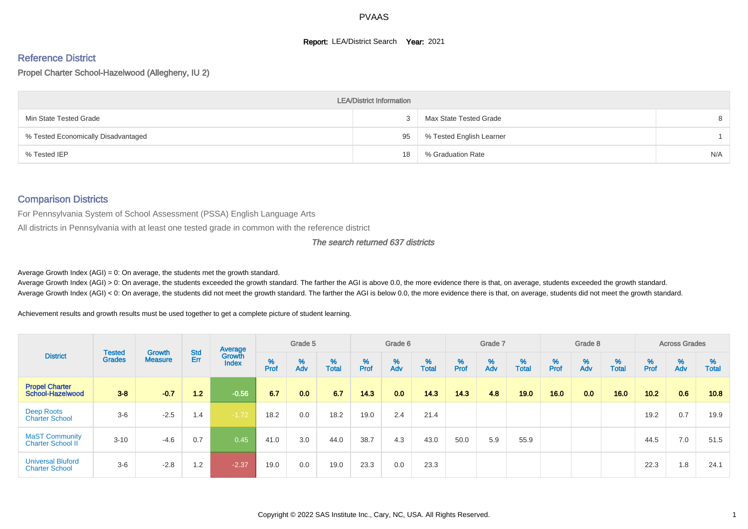#### **Report: LEA/District Search Year: 2021**

# Reference District

Propel Charter School-Hazelwood (Allegheny, IU 2)

|                                     | <b>LEA/District Information</b> |                          |     |
|-------------------------------------|---------------------------------|--------------------------|-----|
| Min State Tested Grade              |                                 | Max State Tested Grade   | 8   |
| % Tested Economically Disadvantaged | 95                              | % Tested English Learner |     |
| % Tested IEP                        | 18                              | % Graduation Rate        | N/A |

#### Comparison Districts

For Pennsylvania System of School Assessment (PSSA) English Language Arts

All districts in Pennsylvania with at least one tested grade in common with the reference district

#### The search returned 637 districts

Average Growth Index  $(AGI) = 0$ : On average, the students met the growth standard.

Average Growth Index (AGI) > 0: On average, the students exceeded the growth standard. The farther the AGI is above 0.0, the more evidence there is that, on average, students exceeded the growth standard. Average Growth Index (AGI) < 0: On average, the students did not meet the growth standard. The farther the AGI is below 0.0, the more evidence there is that, on average, students did not meet the growth standard.

Achievement results and growth results must be used together to get a complete picture of student learning.

|                                                   |                                |                                 |            | Average                |           | Grade 5  |                   |        | Grade 6                       |                   |           | Grade 7  |                   |          | Grade 8  |                   |          | <b>Across Grades</b> |                   |
|---------------------------------------------------|--------------------------------|---------------------------------|------------|------------------------|-----------|----------|-------------------|--------|-------------------------------|-------------------|-----------|----------|-------------------|----------|----------|-------------------|----------|----------------------|-------------------|
| <b>District</b>                                   | <b>Tested</b><br><b>Grades</b> | <b>Growth</b><br><b>Measure</b> | Std<br>Err | Growth<br><b>Index</b> | %<br>Prof | %<br>Adv | %<br><b>Total</b> | % Pref | $\stackrel{\%}{\mathsf{Adv}}$ | %<br><b>Total</b> | %<br>Prof | %<br>Adv | %<br><b>Total</b> | $%$ Prof | %<br>Adv | %<br><b>Total</b> | $%$ Prof | %<br>Adv             | %<br><b>Total</b> |
| <b>Propel Charter</b><br>School-Hazelwood         | $3 - 8$                        | $-0.7$                          | 1.2        | $-0.56$                | 6.7       | 0.0      | 6.7               | 14.3   | 0.0                           | 143               | 14.3      | 4.8      | 19.0              | 16.0     | 0.0      | 16.0              | 10.2     | 0.6                  | 10.8              |
| Deep Roots<br><b>Charter School</b>               | $3-6$                          | $-2.5$                          | 1.4        | $-1.72$                | 18.2      | 0.0      | 18.2              | 19.0   | 2.4                           | 21.4              |           |          |                   |          |          |                   | 19.2     | 0.7                  | 19.9              |
| <b>MaST Community</b><br><b>Charter School II</b> | $3 - 10$                       | $-4.6$                          | 0.7        | 0.45                   | 41.0      | 3.0      | 44.0              | 38.7   | 4.3                           | 43.0              | 50.0      | 5.9      | 55.9              |          |          |                   | 44.5     | 7.0                  | 51.5              |
| <b>Universal Bluford</b><br><b>Charter School</b> | $3-6$                          | $-2.8$                          | 1.2        | $-2.37$                | 19.0      | 0.0      | 19.0              | 23.3   | 0.0                           | 23.3              |           |          |                   |          |          |                   | 22.3     | 1.8                  | 24.1              |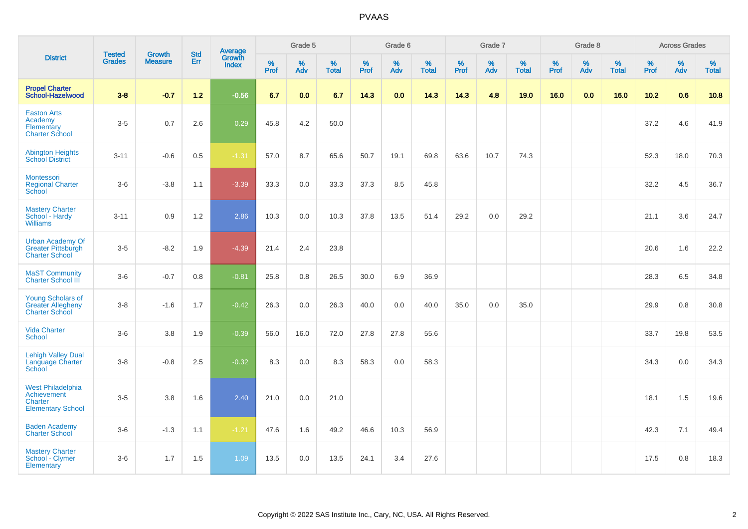|                                                                                | <b>Tested</b> | <b>Growth</b>  | <b>Std</b> | Average                |              | Grade 5  |                   |                     | Grade 6  |                   |              | Grade 7  |                   |              | Grade 8  |                   |              | <b>Across Grades</b> |                   |
|--------------------------------------------------------------------------------|---------------|----------------|------------|------------------------|--------------|----------|-------------------|---------------------|----------|-------------------|--------------|----------|-------------------|--------------|----------|-------------------|--------------|----------------------|-------------------|
| <b>District</b>                                                                | <b>Grades</b> | <b>Measure</b> | <b>Err</b> | Growth<br><b>Index</b> | $\%$<br>Prof | %<br>Adv | %<br><b>Total</b> | $\%$<br><b>Prof</b> | %<br>Adv | %<br><b>Total</b> | $\%$<br>Prof | %<br>Adv | %<br><b>Total</b> | $\%$<br>Prof | %<br>Adv | %<br><b>Total</b> | $\%$<br>Prof | $\%$<br>Adv          | %<br><b>Total</b> |
| <b>Propel Charter</b><br>School-Hazelwood                                      | $3 - 8$       | $-0.7$         | $1.2$      | $-0.56$                | 6.7          | 0.0      | 6.7               | 14.3                | 0.0      | 14.3              | 14.3         | 4.8      | 19.0              | 16.0         | 0.0      | 16.0              | $10.2$       | 0.6                  | 10.8              |
| <b>Easton Arts</b><br>Academy<br>Elementary<br><b>Charter School</b>           | $3-5$         | 0.7            | 2.6        | 0.29                   | 45.8         | 4.2      | 50.0              |                     |          |                   |              |          |                   |              |          |                   | 37.2         | 4.6                  | 41.9              |
| <b>Abington Heights</b><br><b>School District</b>                              | $3 - 11$      | $-0.6$         | 0.5        | $-1.31$                | 57.0         | 8.7      | 65.6              | 50.7                | 19.1     | 69.8              | 63.6         | 10.7     | 74.3              |              |          |                   | 52.3         | 18.0                 | 70.3              |
| <b>Montessori</b><br><b>Regional Charter</b><br>School                         | $3-6$         | $-3.8$         | 1.1        | $-3.39$                | 33.3         | 0.0      | 33.3              | 37.3                | 8.5      | 45.8              |              |          |                   |              |          |                   | 32.2         | 4.5                  | 36.7              |
| <b>Mastery Charter</b><br>School - Hardy<br><b>Williams</b>                    | $3 - 11$      | 0.9            | 1.2        | 2.86                   | 10.3         | 0.0      | 10.3              | 37.8                | 13.5     | 51.4              | 29.2         | 0.0      | 29.2              |              |          |                   | 21.1         | 3.6                  | 24.7              |
| <b>Urban Academy Of</b><br>Greater Pittsburgh<br><b>Charter School</b>         | $3-5$         | $-8.2$         | 1.9        | $-4.39$                | 21.4         | 2.4      | 23.8              |                     |          |                   |              |          |                   |              |          |                   | 20.6         | 1.6                  | 22.2              |
| <b>MaST Community</b><br>Charter School III                                    | $3-6$         | $-0.7$         | 0.8        | $-0.81$                | 25.8         | 0.8      | 26.5              | 30.0                | 6.9      | 36.9              |              |          |                   |              |          |                   | 28.3         | 6.5                  | 34.8              |
| <b>Young Scholars of</b><br><b>Greater Allegheny</b><br><b>Charter School</b>  | $3-8$         | $-1.6$         | 1.7        | $-0.42$                | 26.3         | 0.0      | 26.3              | 40.0                | 0.0      | 40.0              | 35.0         | 0.0      | 35.0              |              |          |                   | 29.9         | 0.8                  | 30.8              |
| <b>Vida Charter</b><br>School                                                  | $3-6$         | 3.8            | 1.9        | $-0.39$                | 56.0         | 16.0     | 72.0              | 27.8                | 27.8     | 55.6              |              |          |                   |              |          |                   | 33.7         | 19.8                 | 53.5              |
| <b>Lehigh Valley Dual</b><br>Language Charter<br>School                        | $3 - 8$       | $-0.8$         | 2.5        | $-0.32$                | 8.3          | 0.0      | 8.3               | 58.3                | 0.0      | 58.3              |              |          |                   |              |          |                   | 34.3         | 0.0                  | 34.3              |
| <b>West Philadelphia</b><br>Achievement<br>Charter<br><b>Elementary School</b> | $3-5$         | 3.8            | 1.6        | 2.40                   | 21.0         | 0.0      | 21.0              |                     |          |                   |              |          |                   |              |          |                   | 18.1         | 1.5                  | 19.6              |
| <b>Baden Academy</b><br><b>Charter School</b>                                  | $3-6$         | $-1.3$         | 1.1        | $-1.21$                | 47.6         | 1.6      | 49.2              | 46.6                | 10.3     | 56.9              |              |          |                   |              |          |                   | 42.3         | 7.1                  | 49.4              |
| <b>Mastery Charter</b><br>School - Clymer<br>Elementary                        | $3-6$         | 1.7            | 1.5        | 1.09                   | 13.5         | 0.0      | 13.5              | 24.1                | 3.4      | 27.6              |              |          |                   |              |          |                   | 17.5         | $0.8\,$              | 18.3              |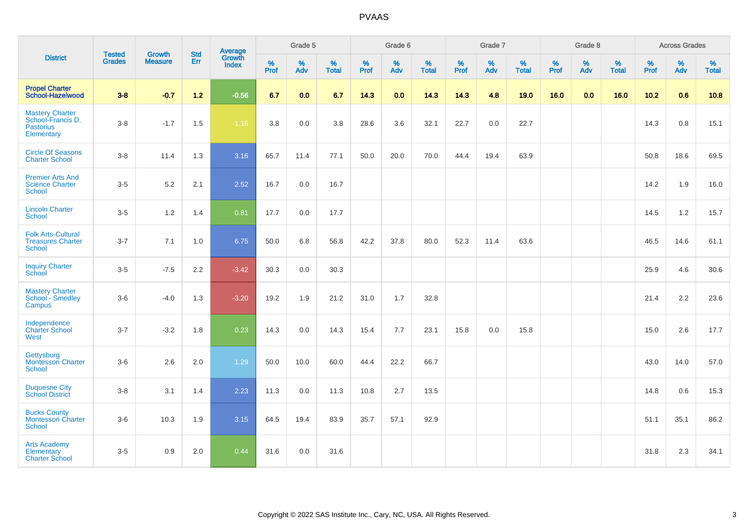|                                                                        | <b>Tested</b> | <b>Growth</b>  | <b>Std</b> | Average                |              | Grade 5  |                   |              | Grade 6  |                   |              | Grade 7  |                   |              | Grade 8  |                   |              | <b>Across Grades</b> |                   |
|------------------------------------------------------------------------|---------------|----------------|------------|------------------------|--------------|----------|-------------------|--------------|----------|-------------------|--------------|----------|-------------------|--------------|----------|-------------------|--------------|----------------------|-------------------|
| <b>District</b>                                                        | <b>Grades</b> | <b>Measure</b> | <b>Err</b> | Growth<br><b>Index</b> | $\%$<br>Prof | %<br>Adv | %<br><b>Total</b> | $\%$<br>Prof | %<br>Adv | %<br><b>Total</b> | $\%$<br>Prof | %<br>Adv | %<br><b>Total</b> | $\%$<br>Prof | %<br>Adv | %<br><b>Total</b> | $\%$<br>Prof | %<br>Adv             | %<br><b>Total</b> |
| <b>Propel Charter</b><br>School-Hazelwood                              | $3 - 8$       | $-0.7$         | $1.2$      | $-0.56$                | 6.7          | 0.0      | 6.7               | 14.3         | 0.0      | 14.3              | 14.3         | 4.8      | 19.0              | 16.0         | 0.0      | 16.0              | 10.2         | 0.6                  | 10.8              |
| Mastery Charter<br>School-Francis D.<br><b>Pastorius</b><br>Elementary | $3 - 8$       | $-1.7$         | 1.5        | $-1.16$                | $3.8\,$      | 0.0      | 3.8               | 28.6         | 3.6      | 32.1              | 22.7         | $0.0\,$  | 22.7              |              |          |                   | 14.3         | $0.8\,$              | 15.1              |
| <b>Circle Of Seasons</b><br><b>Charter School</b>                      | $3 - 8$       | 11.4           | 1.3        | 3.16                   | 65.7         | 11.4     | 77.1              | 50.0         | 20.0     | 70.0              | 44.4         | 19.4     | 63.9              |              |          |                   | 50.8         | 18.6                 | 69.5              |
| <b>Premier Arts And</b><br><b>Science Charter</b><br><b>School</b>     | $3-5$         | 5.2            | 2.1        | 2.52                   | 16.7         | 0.0      | 16.7              |              |          |                   |              |          |                   |              |          |                   | 14.2         | 1.9                  | 16.0              |
| <b>Lincoln Charter</b><br><b>School</b>                                | $3-5$         | 1.2            | 1.4        | 0.81                   | 17.7         | 0.0      | 17.7              |              |          |                   |              |          |                   |              |          |                   | 14.5         | $1.2$                | 15.7              |
| <b>Folk Arts-Cultural</b><br><b>Treasures Charter</b><br><b>School</b> | $3 - 7$       | 7.1            | 1.0        | 6.75                   | 50.0         | 6.8      | 56.8              | 42.2         | 37.8     | 80.0              | 52.3         | 11.4     | 63.6              |              |          |                   | 46.5         | 14.6                 | 61.1              |
| <b>Inquiry Charter</b><br>School                                       | $3-5$         | $-7.5$         | 2.2        | $-3.42$                | 30.3         | 0.0      | 30.3              |              |          |                   |              |          |                   |              |          |                   | 25.9         | 4.6                  | 30.6              |
| <b>Mastery Charter</b><br>School - Smedley<br>Campus                   | $3-6$         | $-4.0$         | 1.3        | $-3.20$                | 19.2         | 1.9      | 21.2              | 31.0         | 1.7      | 32.8              |              |          |                   |              |          |                   | 21.4         | $2.2\,$              | 23.6              |
| Independence<br><b>Charter School</b><br>West                          | $3 - 7$       | $-3.2$         | 1.8        | 0.23                   | 14.3         | 0.0      | 14.3              | 15.4         | 7.7      | 23.1              | 15.8         | 0.0      | 15.8              |              |          |                   | 15.0         | 2.6                  | 17.7              |
| Gettysburg<br><b>Montessori Charter</b><br>School                      | $3-6$         | 2.6            | 2.0        | 1.29                   | 50.0         | 10.0     | 60.0              | 44.4         | 22.2     | 66.7              |              |          |                   |              |          |                   | 43.0         | 14.0                 | 57.0              |
| <b>Duquesne City</b><br><b>School District</b>                         | $3-8$         | 3.1            | 1.4        | 2.23                   | 11.3         | 0.0      | 11.3              | 10.8         | 2.7      | 13.5              |              |          |                   |              |          |                   | 14.8         | 0.6                  | 15.3              |
| <b>Bucks County</b><br><b>Montessori Charter</b><br>School             | $3-6$         | 10.3           | 1.9        | 3.15                   | 64.5         | 19.4     | 83.9              | 35.7         | 57.1     | 92.9              |              |          |                   |              |          |                   | 51.1         | 35.1                 | 86.2              |
| <b>Arts Academy</b><br>Elementary<br><b>Charter School</b>             | $3-5$         | 0.9            | 2.0        | 0.44                   | 31.6         | 0.0      | 31.6              |              |          |                   |              |          |                   |              |          |                   | 31.8         | 2.3                  | 34.1              |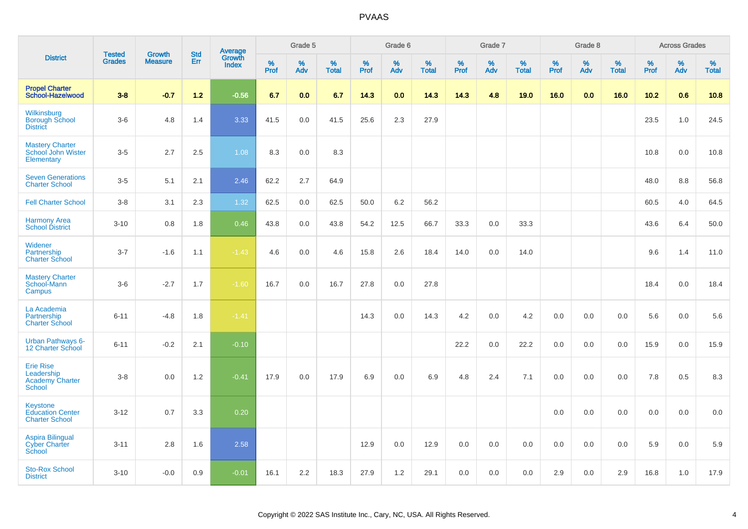|                                                                     |                                |                                 | <b>Std</b> |                                          |              | Grade 5     |                      |                     | Grade 6     |                      |              | Grade 7     |                      |              | Grade 8     |                   |              | <b>Across Grades</b> |                   |
|---------------------------------------------------------------------|--------------------------------|---------------------------------|------------|------------------------------------------|--------------|-------------|----------------------|---------------------|-------------|----------------------|--------------|-------------|----------------------|--------------|-------------|-------------------|--------------|----------------------|-------------------|
| <b>District</b>                                                     | <b>Tested</b><br><b>Grades</b> | <b>Growth</b><br><b>Measure</b> | Err        | <b>Average</b><br>Growth<br><b>Index</b> | $\%$<br>Prof | $\%$<br>Adv | $\%$<br><b>Total</b> | $\%$<br><b>Prof</b> | $\%$<br>Adv | $\%$<br><b>Total</b> | $\%$<br>Prof | $\%$<br>Adv | $\%$<br><b>Total</b> | $\%$<br>Prof | $\%$<br>Adv | %<br><b>Total</b> | $\%$<br>Prof | $\%$<br>Adv          | %<br><b>Total</b> |
| <b>Propel Charter</b><br>School-Hazelwood                           | $3 - 8$                        | $-0.7$                          | $1.2$      | $-0.56$                                  | 6.7          | 0.0         | 6.7                  | 14.3                | 0.0         | 14.3                 | 14.3         | 4.8         | 19.0                 | 16.0         | 0.0         | 16.0              | 10.2         | 0.6                  | 10.8              |
| Wilkinsburg<br><b>Borough School</b><br><b>District</b>             | $3-6$                          | 4.8                             | 1.4        | 3.33                                     | 41.5         | 0.0         | 41.5                 | 25.6                | 2.3         | 27.9                 |              |             |                      |              |             |                   | 23.5         | 1.0                  | 24.5              |
| <b>Mastery Charter</b><br>School John Wister<br>Elementary          | $3-5$                          | 2.7                             | 2.5        | 1.08                                     | 8.3          | 0.0         | 8.3                  |                     |             |                      |              |             |                      |              |             |                   | 10.8         | 0.0                  | 10.8              |
| <b>Seven Generations</b><br><b>Charter School</b>                   | $3-5$                          | 5.1                             | 2.1        | 2.46                                     | 62.2         | 2.7         | 64.9                 |                     |             |                      |              |             |                      |              |             |                   | 48.0         | 8.8                  | 56.8              |
| <b>Fell Charter School</b>                                          | $3 - 8$                        | 3.1                             | 2.3        | 1.32                                     | 62.5         | 0.0         | 62.5                 | 50.0                | 6.2         | 56.2                 |              |             |                      |              |             |                   | 60.5         | 4.0                  | 64.5              |
| <b>Harmony Area</b><br><b>School District</b>                       | $3 - 10$                       | 0.8                             | 1.8        | 0.46                                     | 43.8         | 0.0         | 43.8                 | 54.2                | 12.5        | 66.7                 | 33.3         | 0.0         | 33.3                 |              |             |                   | 43.6         | 6.4                  | 50.0              |
| Widener<br>Partnership<br><b>Charter School</b>                     | $3 - 7$                        | $-1.6$                          | 1.1        | $-1.43$                                  | 4.6          | 0.0         | 4.6                  | 15.8                | 2.6         | 18.4                 | 14.0         | 0.0         | 14.0                 |              |             |                   | 9.6          | 1.4                  | 11.0              |
| <b>Mastery Charter</b><br>School-Mann<br>Campus                     | $3-6$                          | $-2.7$                          | 1.7        | $-1.60$                                  | 16.7         | 0.0         | 16.7                 | 27.8                | 0.0         | 27.8                 |              |             |                      |              |             |                   | 18.4         | 0.0                  | 18.4              |
| La Academia<br>Partnership<br><b>Charter School</b>                 | $6 - 11$                       | $-4.8$                          | 1.8        | $-1.41$                                  |              |             |                      | 14.3                | 0.0         | 14.3                 | 4.2          | 0.0         | 4.2                  | 0.0          | 0.0         | 0.0               | 5.6          | 0.0                  | 5.6               |
| <b>Urban Pathways 6-</b><br>12 Charter School                       | $6 - 11$                       | $-0.2$                          | 2.1        | $-0.10$                                  |              |             |                      |                     |             |                      | 22.2         | 0.0         | 22.2                 | 0.0          | 0.0         | 0.0               | 15.9         | $0.0\,$              | 15.9              |
| <b>Erie Rise</b><br>Leadership<br><b>Academy Charter</b><br>School  | $3 - 8$                        | 0.0                             | 1.2        | $-0.41$                                  | 17.9         | 0.0         | 17.9                 | 6.9                 | 0.0         | 6.9                  | 4.8          | 2.4         | 7.1                  | 0.0          | 0.0         | 0.0               | 7.8          | 0.5                  | 8.3               |
| <b>Keystone</b><br><b>Education Center</b><br><b>Charter School</b> | $3 - 12$                       | 0.7                             | 3.3        | 0.20                                     |              |             |                      |                     |             |                      |              |             |                      | 0.0          | 0.0         | 0.0               | 0.0          | 0.0                  | 0.0               |
| <b>Aspira Bilingual</b><br><b>Cyber Charter</b><br>School           | $3 - 11$                       | 2.8                             | 1.6        | 2.58                                     |              |             |                      | 12.9                | 0.0         | 12.9                 | 0.0          | 0.0         | 0.0                  | 0.0          | 0.0         | 0.0               | 5.9          | 0.0                  | 5.9               |
| <b>Sto-Rox School</b><br><b>District</b>                            | $3 - 10$                       | $-0.0$                          | 0.9        | $-0.01$                                  | 16.1         | 2.2         | 18.3                 | 27.9                | 1.2         | 29.1                 | 0.0          | 0.0         | 0.0                  | 2.9          | 0.0         | 2.9               | 16.8         | 1.0                  | 17.9              |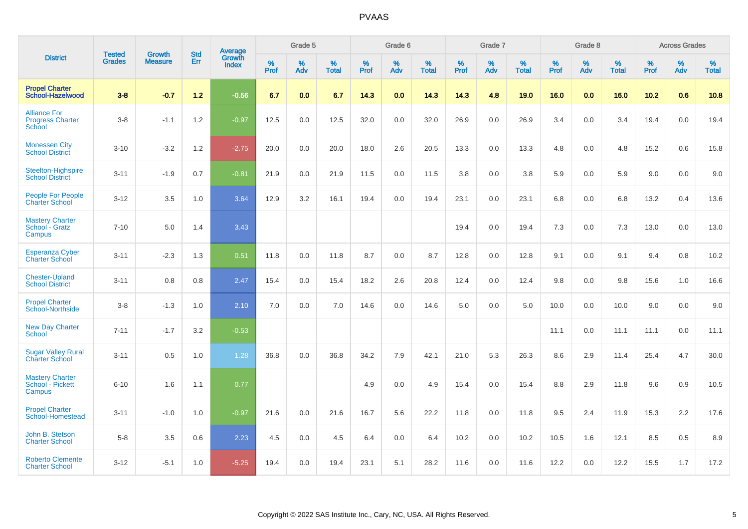|                                                          | <b>Tested</b> | <b>Growth</b>  | <b>Std</b> | Average                |           | Grade 5  |                   |           | Grade 6  |                   |           | Grade 7  |                   |           | Grade 8  |                   |           | <b>Across Grades</b> |                   |
|----------------------------------------------------------|---------------|----------------|------------|------------------------|-----------|----------|-------------------|-----------|----------|-------------------|-----------|----------|-------------------|-----------|----------|-------------------|-----------|----------------------|-------------------|
| <b>District</b>                                          | <b>Grades</b> | <b>Measure</b> | Err        | Growth<br><b>Index</b> | %<br>Prof | %<br>Adv | %<br><b>Total</b> | %<br>Prof | %<br>Adv | %<br><b>Total</b> | %<br>Prof | %<br>Adv | %<br><b>Total</b> | %<br>Prof | %<br>Adv | %<br><b>Total</b> | %<br>Prof | %<br>Adv             | %<br><b>Total</b> |
| <b>Propel Charter</b><br>School-Hazelwood                | $3 - 8$       | $-0.7$         | $1.2$      | $-0.56$                | 6.7       | 0.0      | 6.7               | 14.3      | 0.0      | 14.3              | 14.3      | 4.8      | 19.0              | 16.0      | 0.0      | 16.0              | 10.2      | 0.6                  | 10.8              |
| <b>Alliance For</b><br><b>Progress Charter</b><br>School | $3 - 8$       | $-1.1$         | 1.2        | $-0.97$                | 12.5      | 0.0      | 12.5              | 32.0      | 0.0      | 32.0              | 26.9      | 0.0      | 26.9              | 3.4       | 0.0      | 3.4               | 19.4      | 0.0                  | 19.4              |
| <b>Monessen City</b><br><b>School District</b>           | $3 - 10$      | $-3.2$         | 1.2        | $-2.75$                | 20.0      | 0.0      | 20.0              | 18.0      | 2.6      | 20.5              | 13.3      | 0.0      | 13.3              | 4.8       | 0.0      | 4.8               | 15.2      | 0.6                  | 15.8              |
| <b>Steelton-Highspire</b><br><b>School District</b>      | $3 - 11$      | $-1.9$         | 0.7        | $-0.81$                | 21.9      | 0.0      | 21.9              | 11.5      | 0.0      | 11.5              | 3.8       | 0.0      | 3.8               | 5.9       | 0.0      | 5.9               | 9.0       | 0.0                  | 9.0               |
| <b>People For People</b><br><b>Charter School</b>        | $3 - 12$      | 3.5            | 1.0        | 3.64                   | 12.9      | 3.2      | 16.1              | 19.4      | 0.0      | 19.4              | 23.1      | 0.0      | 23.1              | 6.8       | 0.0      | 6.8               | 13.2      | 0.4                  | 13.6              |
| <b>Mastery Charter</b><br>School - Gratz<br>Campus       | $7 - 10$      | 5.0            | 1.4        | 3.43                   |           |          |                   |           |          |                   | 19.4      | 0.0      | 19.4              | 7.3       | 0.0      | 7.3               | 13.0      | 0.0                  | 13.0              |
| <b>Esperanza Cyber</b><br><b>Charter School</b>          | $3 - 11$      | $-2.3$         | 1.3        | 0.51                   | 11.8      | 0.0      | 11.8              | 8.7       | 0.0      | 8.7               | 12.8      | 0.0      | 12.8              | 9.1       | 0.0      | 9.1               | 9.4       | 0.8                  | 10.2              |
| <b>Chester-Upland</b><br><b>School District</b>          | $3 - 11$      | 0.8            | 0.8        | 2.47                   | 15.4      | 0.0      | 15.4              | 18.2      | 2.6      | 20.8              | 12.4      | 0.0      | 12.4              | 9.8       | 0.0      | 9.8               | 15.6      | 1.0                  | 16.6              |
| <b>Propel Charter</b><br>School-Northside                | $3 - 8$       | $-1.3$         | 1.0        | 2.10                   | 7.0       | 0.0      | 7.0               | 14.6      | 0.0      | 14.6              | 5.0       | 0.0      | 5.0               | 10.0      | 0.0      | 10.0              | 9.0       | 0.0                  | 9.0               |
| <b>New Day Charter</b><br>School                         | $7 - 11$      | $-1.7$         | 3.2        | $-0.53$                |           |          |                   |           |          |                   |           |          |                   | 11.1      | 0.0      | 11.1              | 11.1      | 0.0                  | 11.1              |
| <b>Sugar Valley Rural</b><br><b>Charter School</b>       | $3 - 11$      | 0.5            | 1.0        | 1.28                   | 36.8      | 0.0      | 36.8              | 34.2      | 7.9      | 42.1              | 21.0      | 5.3      | 26.3              | 8.6       | 2.9      | 11.4              | 25.4      | 4.7                  | 30.0              |
| <b>Mastery Charter</b><br>School - Pickett<br>Campus     | $6 - 10$      | 1.6            | 1.1        | 0.77                   |           |          |                   | 4.9       | 0.0      | 4.9               | 15.4      | 0.0      | 15.4              | 8.8       | 2.9      | 11.8              | 9.6       | 0.9                  | 10.5              |
| <b>Propel Charter</b><br>School-Homestead                | $3 - 11$      | $-1.0$         | 1.0        | $-0.97$                | 21.6      | 0.0      | 21.6              | 16.7      | 5.6      | 22.2              | 11.8      | 0.0      | 11.8              | 9.5       | 2.4      | 11.9              | 15.3      | 2.2                  | 17.6              |
| John B. Stetson<br><b>Charter School</b>                 | $5 - 8$       | 3.5            | 0.6        | 2.23                   | 4.5       | 0.0      | 4.5               | 6.4       | 0.0      | 6.4               | 10.2      | 0.0      | 10.2              | 10.5      | 1.6      | 12.1              | 8.5       | 0.5                  | 8.9               |
| <b>Roberto Clemente</b><br><b>Charter School</b>         | $3 - 12$      | $-5.1$         | 1.0        | $-5.25$                | 19.4      | 0.0      | 19.4              | 23.1      | 5.1      | 28.2              | 11.6      | 0.0      | 11.6              | 12.2      | 0.0      | 12.2              | 15.5      | 1.7                  | 17.2              |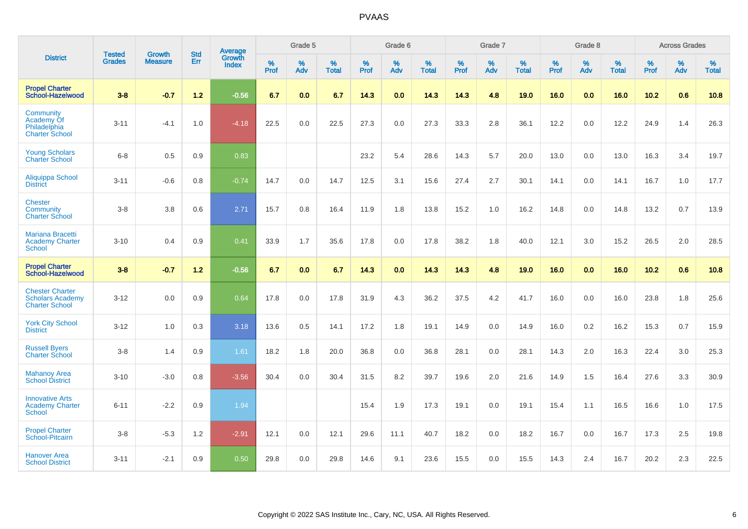|                                                                            | <b>Tested</b> |                                 | <b>Std</b> | <b>Average</b>         |              | Grade 5  |                   |           | Grade 6  |                   |           | Grade 7  |                   |           | Grade 8  |                   |           | <b>Across Grades</b> |                   |
|----------------------------------------------------------------------------|---------------|---------------------------------|------------|------------------------|--------------|----------|-------------------|-----------|----------|-------------------|-----------|----------|-------------------|-----------|----------|-------------------|-----------|----------------------|-------------------|
| <b>District</b>                                                            | <b>Grades</b> | <b>Growth</b><br><b>Measure</b> | Err        | Growth<br><b>Index</b> | $\%$<br>Prof | %<br>Adv | %<br><b>Total</b> | %<br>Prof | %<br>Adv | %<br><b>Total</b> | %<br>Prof | %<br>Adv | %<br><b>Total</b> | %<br>Prof | %<br>Adv | %<br><b>Total</b> | %<br>Prof | %<br>Adv             | %<br><b>Total</b> |
| <b>Propel Charter</b><br>School-Hazelwood                                  | $3 - 8$       | $-0.7$                          | $1.2$      | $-0.56$                | 6.7          | 0.0      | 6.7               | 14.3      | 0.0      | 14.3              | 14.3      | 4.8      | 19.0              | 16.0      | 0.0      | 16.0              | 10.2      | 0.6                  | 10.8              |
| Community<br>Academy Of<br>Philadelphia<br><b>Charter School</b>           | $3 - 11$      | $-4.1$                          | 1.0        | $-4.18$                | 22.5         | 0.0      | 22.5              | 27.3      | 0.0      | 27.3              | 33.3      | 2.8      | 36.1              | 12.2      | 0.0      | 12.2              | 24.9      | 1.4                  | 26.3              |
| <b>Young Scholars</b><br><b>Charter School</b>                             | $6 - 8$       | 0.5                             | 0.9        | 0.83                   |              |          |                   | 23.2      | 5.4      | 28.6              | 14.3      | 5.7      | 20.0              | 13.0      | 0.0      | 13.0              | 16.3      | 3.4                  | 19.7              |
| Aliquippa School<br><b>District</b>                                        | $3 - 11$      | $-0.6$                          | 0.8        | $-0.74$                | 14.7         | 0.0      | 14.7              | 12.5      | 3.1      | 15.6              | 27.4      | 2.7      | 30.1              | 14.1      | 0.0      | 14.1              | 16.7      | 1.0                  | 17.7              |
| <b>Chester</b><br>Community<br><b>Charter School</b>                       | $3 - 8$       | 3.8                             | 0.6        | 2.71                   | 15.7         | 0.8      | 16.4              | 11.9      | 1.8      | 13.8              | 15.2      | 1.0      | 16.2              | 14.8      | 0.0      | 14.8              | 13.2      | 0.7                  | 13.9              |
| Mariana Bracetti<br><b>Academy Charter</b><br><b>School</b>                | $3 - 10$      | 0.4                             | 0.9        | 0.41                   | 33.9         | 1.7      | 35.6              | 17.8      | 0.0      | 17.8              | 38.2      | 1.8      | 40.0              | 12.1      | 3.0      | 15.2              | 26.5      | 2.0                  | 28.5              |
| <b>Propel Charter</b><br>School-Hazelwood                                  | $3 - 8$       | $-0.7$                          | $1.2$      | $-0.56$                | 6.7          | 0.0      | 6.7               | 14.3      | 0.0      | 14.3              | 14.3      | 4.8      | 19.0              | 16.0      | 0.0      | 16.0              | 10.2      | 0.6                  | 10.8              |
| <b>Chester Charter</b><br><b>Scholars Academy</b><br><b>Charter School</b> | $3 - 12$      | 0.0                             | 0.9        | 0.64                   | 17.8         | 0.0      | 17.8              | 31.9      | 4.3      | 36.2              | 37.5      | 4.2      | 41.7              | 16.0      | 0.0      | 16.0              | 23.8      | 1.8                  | 25.6              |
| <b>York City School</b><br><b>District</b>                                 | $3 - 12$      | 1.0                             | 0.3        | 3.18                   | 13.6         | 0.5      | 14.1              | 17.2      | 1.8      | 19.1              | 14.9      | 0.0      | 14.9              | 16.0      | 0.2      | 16.2              | 15.3      | 0.7                  | 15.9              |
| <b>Russell Byers</b><br><b>Charter School</b>                              | $3 - 8$       | 1.4                             | 0.9        | 1.61                   | 18.2         | 1.8      | 20.0              | 36.8      | 0.0      | 36.8              | 28.1      | 0.0      | 28.1              | 14.3      | 2.0      | 16.3              | 22.4      | 3.0                  | 25.3              |
| <b>Mahanoy Area</b><br><b>School District</b>                              | $3 - 10$      | $-3.0$                          | 0.8        | $-3.56$                | 30.4         | 0.0      | 30.4              | 31.5      | 8.2      | 39.7              | 19.6      | 2.0      | 21.6              | 14.9      | 1.5      | 16.4              | 27.6      | 3.3                  | 30.9              |
| <b>Innovative Arts</b><br><b>Academy Charter</b><br>School                 | $6 - 11$      | $-2.2$                          | 0.9        | 1.94                   |              |          |                   | 15.4      | 1.9      | 17.3              | 19.1      | 0.0      | 19.1              | 15.4      | 1.1      | 16.5              | 16.6      | 1.0                  | 17.5              |
| <b>Propel Charter</b><br>School-Pitcairn                                   | $3 - 8$       | $-5.3$                          | $1.2$      | $-2.91$                | 12.1         | 0.0      | 12.1              | 29.6      | 11.1     | 40.7              | 18.2      | 0.0      | 18.2              | 16.7      | 0.0      | 16.7              | 17.3      | 2.5                  | 19.8              |
| <b>Hanover Area</b><br><b>School District</b>                              | $3 - 11$      | $-2.1$                          | 0.9        | 0.50                   | 29.8         | 0.0      | 29.8              | 14.6      | 9.1      | 23.6              | 15.5      | 0.0      | 15.5              | 14.3      | 2.4      | 16.7              | 20.2      | 2.3                  | 22.5              |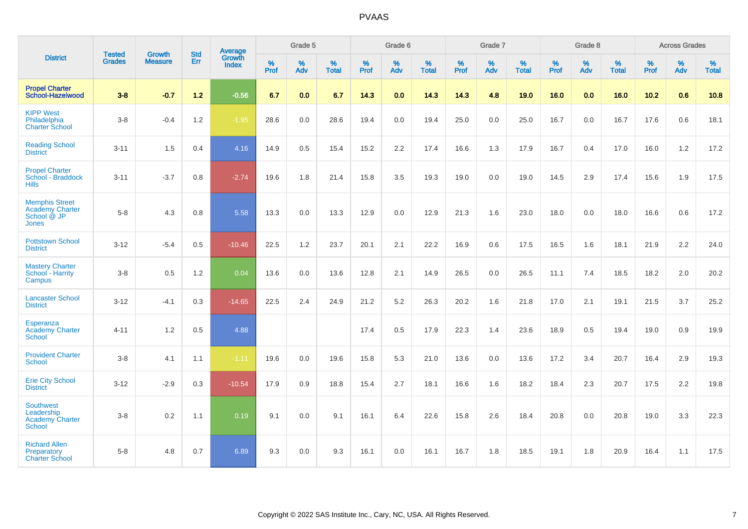|                                                                                | <b>Tested</b> | <b>Growth</b>  | <b>Std</b> | Average                |                  | Grade 5  |                   |           | Grade 6  |                   |           | Grade 7  |                   |           | Grade 8  |                   |           | <b>Across Grades</b> |                   |
|--------------------------------------------------------------------------------|---------------|----------------|------------|------------------------|------------------|----------|-------------------|-----------|----------|-------------------|-----------|----------|-------------------|-----------|----------|-------------------|-----------|----------------------|-------------------|
| <b>District</b>                                                                | <b>Grades</b> | <b>Measure</b> | Err        | Growth<br><b>Index</b> | %<br><b>Prof</b> | %<br>Adv | %<br><b>Total</b> | %<br>Prof | %<br>Adv | %<br><b>Total</b> | %<br>Prof | %<br>Adv | %<br><b>Total</b> | %<br>Prof | %<br>Adv | %<br><b>Total</b> | %<br>Prof | %<br>Adv             | %<br><b>Total</b> |
| <b>Propel Charter</b><br><b>School-Hazelwood</b>                               | $3 - 8$       | $-0.7$         | $1.2$      | $-0.56$                | 6.7              | 0.0      | 6.7               | 14.3      | 0.0      | 14.3              | 14.3      | 4.8      | 19.0              | 16.0      | 0.0      | 16.0              | 10.2      | 0.6                  | 10.8              |
| <b>KIPP West</b><br>Philadelphia<br><b>Charter School</b>                      | $3 - 8$       | $-0.4$         | 1.2        | $-1.95$                | 28.6             | 0.0      | 28.6              | 19.4      | 0.0      | 19.4              | 25.0      | 0.0      | 25.0              | 16.7      | 0.0      | 16.7              | 17.6      | 0.6                  | 18.1              |
| <b>Reading School</b><br><b>District</b>                                       | $3 - 11$      | 1.5            | 0.4        | 4.16                   | 14.9             | 0.5      | 15.4              | 15.2      | 2.2      | 17.4              | 16.6      | 1.3      | 17.9              | 16.7      | 0.4      | 17.0              | 16.0      | 1.2                  | 17.2              |
| <b>Propel Charter</b><br>School - Braddock<br><b>Hills</b>                     | $3 - 11$      | $-3.7$         | 0.8        | $-2.74$                | 19.6             | 1.8      | 21.4              | 15.8      | 3.5      | 19.3              | 19.0      | 0.0      | 19.0              | 14.5      | 2.9      | 17.4              | 15.6      | 1.9                  | 17.5              |
| <b>Memphis Street</b><br><b>Academy Charter</b><br>School @ JP<br><b>Jones</b> | $5 - 8$       | 4.3            | 0.8        | 5.58                   | 13.3             | 0.0      | 13.3              | 12.9      | 0.0      | 12.9              | 21.3      | 1.6      | 23.0              | 18.0      | 0.0      | 18.0              | 16.6      | 0.6                  | 17.2              |
| <b>Pottstown School</b><br><b>District</b>                                     | $3 - 12$      | $-5.4$         | 0.5        | $-10.46$               | 22.5             | 1.2      | 23.7              | 20.1      | 2.1      | 22.2              | 16.9      | 0.6      | 17.5              | 16.5      | 1.6      | 18.1              | 21.9      | 2.2                  | 24.0              |
| <b>Mastery Charter</b><br>School - Harrity<br>Campus                           | $3 - 8$       | 0.5            | 1.2        | 0.04                   | 13.6             | 0.0      | 13.6              | 12.8      | 2.1      | 14.9              | 26.5      | 0.0      | 26.5              | 11.1      | 7.4      | 18.5              | 18.2      | 2.0                  | 20.2              |
| <b>Lancaster School</b><br><b>District</b>                                     | $3 - 12$      | $-4.1$         | 0.3        | $-14.65$               | 22.5             | 2.4      | 24.9              | 21.2      | $5.2\,$  | 26.3              | 20.2      | 1.6      | 21.8              | 17.0      | 2.1      | 19.1              | 21.5      | 3.7                  | 25.2              |
| <b>Esperanza</b><br><b>Academy Charter</b><br><b>School</b>                    | $4 - 11$      | 1.2            | 0.5        | 4.88                   |                  |          |                   | 17.4      | 0.5      | 17.9              | 22.3      | 1.4      | 23.6              | 18.9      | 0.5      | 19.4              | 19.0      | 0.9                  | 19.9              |
| <b>Provident Charter</b><br><b>School</b>                                      | $3 - 8$       | 4.1            | 1.1        | $-1.11$                | 19.6             | 0.0      | 19.6              | 15.8      | 5.3      | 21.0              | 13.6      | 0.0      | 13.6              | 17.2      | 3.4      | 20.7              | 16.4      | 2.9                  | 19.3              |
| <b>Erie City School</b><br><b>District</b>                                     | $3 - 12$      | $-2.9$         | 0.3        | $-10.54$               | 17.9             | 0.9      | 18.8              | 15.4      | 2.7      | 18.1              | 16.6      | 1.6      | 18.2              | 18.4      | 2.3      | 20.7              | 17.5      | 2.2                  | 19.8              |
| <b>Southwest</b><br>Leadership<br><b>Academy Charter</b><br>School             | $3 - 8$       | 0.2            | 1.1        | 0.19                   | 9.1              | 0.0      | 9.1               | 16.1      | 6.4      | 22.6              | 15.8      | 2.6      | 18.4              | 20.8      | 0.0      | 20.8              | 19.0      | 3.3                  | 22.3              |
| <b>Richard Allen</b><br>Preparatory<br><b>Charter School</b>                   | $5 - 8$       | 4.8            | 0.7        | 6.89                   | 9.3              | 0.0      | 9.3               | 16.1      | 0.0      | 16.1              | 16.7      | 1.8      | 18.5              | 19.1      | 1.8      | 20.9              | 16.4      | 1.1                  | 17.5              |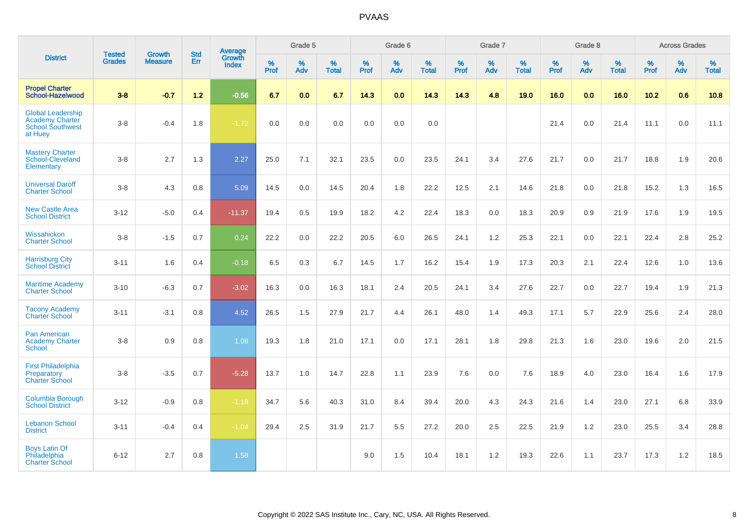|                                                                                          | <b>Tested</b> | <b>Growth</b>  | <b>Std</b> | <b>Average</b>                |              | Grade 5  |                   |           | Grade 6  |                   |           | Grade 7  |                   |           | Grade 8  |                   |           | <b>Across Grades</b> |                   |
|------------------------------------------------------------------------------------------|---------------|----------------|------------|-------------------------------|--------------|----------|-------------------|-----------|----------|-------------------|-----------|----------|-------------------|-----------|----------|-------------------|-----------|----------------------|-------------------|
| <b>District</b>                                                                          | <b>Grades</b> | <b>Measure</b> | Err        | <b>Growth</b><br><b>Index</b> | $\%$<br>Prof | %<br>Adv | %<br><b>Total</b> | %<br>Prof | %<br>Adv | %<br><b>Total</b> | %<br>Prof | %<br>Adv | %<br><b>Total</b> | %<br>Prof | %<br>Adv | %<br><b>Total</b> | %<br>Prof | %<br>Adv             | %<br><b>Total</b> |
| <b>Propel Charter</b><br>School-Hazelwood                                                | $3 - 8$       | $-0.7$         | 1.2        | $-0.56$                       | 6.7          | 0.0      | 6.7               | 14.3      | 0.0      | 14.3              | 14.3      | 4.8      | 19.0              | 16.0      | 0.0      | 16.0              | 10.2      | 0.6                  | 10.8              |
| <b>Global Leadership</b><br><b>Academy Charter</b><br><b>School Southwest</b><br>at Huey | $3 - 8$       | $-0.4$         | 1.8        | $-1.72$                       | 0.0          | 0.0      | 0.0               | 0.0       | 0.0      | 0.0               |           |          |                   | 21.4      | 0.0      | 21.4              | 11.1      | 0.0                  | 11.1              |
| <b>Mastery Charter</b><br>School-Cleveland<br>Elementary                                 | $3 - 8$       | 2.7            | 1.3        | 2.27                          | 25.0         | 7.1      | 32.1              | 23.5      | 0.0      | 23.5              | 24.1      | 3.4      | 27.6              | 21.7      | 0.0      | 21.7              | 18.8      | 1.9                  | 20.6              |
| <b>Universal Daroff</b><br><b>Charter School</b>                                         | $3 - 8$       | 4.3            | 0.8        | 5.09                          | 14.5         | 0.0      | 14.5              | 20.4      | 1.8      | 22.2              | 12.5      | 2.1      | 14.6              | 21.8      | 0.0      | 21.8              | 15.2      | 1.3                  | 16.5              |
| <b>New Castle Area</b><br><b>School District</b>                                         | $3 - 12$      | $-5.0$         | 0.4        | $-11.37$                      | 19.4         | 0.5      | 19.9              | 18.2      | 4.2      | 22.4              | 18.3      | 0.0      | 18.3              | 20.9      | 0.9      | 21.9              | 17.6      | 1.9                  | 19.5              |
| Wissahickon<br><b>Charter School</b>                                                     | $3 - 8$       | $-1.5$         | 0.7        | 0.24                          | 22.2         | 0.0      | 22.2              | 20.5      | 6.0      | 26.5              | 24.1      | 1.2      | 25.3              | 22.1      | 0.0      | 22.1              | 22.4      | 2.8                  | 25.2              |
| <b>Harrisburg City</b><br><b>School District</b>                                         | $3 - 11$      | 1.6            | 0.4        | $-0.18$                       | 6.5          | 0.3      | 6.7               | 14.5      | 1.7      | 16.2              | 15.4      | 1.9      | 17.3              | 20.3      | 2.1      | 22.4              | 12.6      | 1.0                  | 13.6              |
| <b>Maritime Academy</b><br><b>Charter School</b>                                         | $3 - 10$      | $-6.3$         | 0.7        | $-3.02$                       | 16.3         | 0.0      | 16.3              | 18.1      | 2.4      | 20.5              | 24.1      | 3.4      | 27.6              | 22.7      | 0.0      | 22.7              | 19.4      | 1.9                  | 21.3              |
| <b>Tacony Academy</b><br><b>Charter School</b>                                           | $3 - 11$      | $-3.1$         | 0.8        | 4.52                          | 26.5         | 1.5      | 27.9              | 21.7      | 4.4      | 26.1              | 48.0      | 1.4      | 49.3              | 17.1      | 5.7      | 22.9              | 25.6      | 2.4                  | 28.0              |
| <b>Pan American</b><br><b>Academy Charter</b><br>School                                  | $3 - 8$       | 0.9            | 0.8        | 1.08                          | 19.3         | 1.8      | 21.0              | 17.1      | 0.0      | 17.1              | 28.1      | 1.8      | 29.8              | 21.3      | 1.6      | 23.0              | 19.6      | 2.0                  | 21.5              |
| <b>First Philadelphia</b><br>Preparatory<br><b>Charter School</b>                        | $3 - 8$       | $-3.5$         | 0.7        | $-5.28$                       | 13.7         | 1.0      | 14.7              | 22.8      | 1.1      | 23.9              | 7.6       | 0.0      | 7.6               | 18.9      | 4.0      | 23.0              | 16.4      | 1.6                  | 17.9              |
| <b>Columbia Borough</b><br><b>School District</b>                                        | $3 - 12$      | $-0.9$         | 0.8        | $-1.18$                       | 34.7         | 5.6      | 40.3              | 31.0      | 8.4      | 39.4              | 20.0      | 4.3      | 24.3              | 21.6      | 1.4      | 23.0              | 27.1      | 6.8                  | 33.9              |
| <b>Lebanon School</b><br><b>District</b>                                                 | $3 - 11$      | $-0.4$         | 0.4        | $-1.04$                       | 29.4         | 2.5      | 31.9              | 21.7      | 5.5      | 27.2              | 20.0      | 2.5      | 22.5              | 21.9      | 1.2      | 23.0              | 25.5      | 3.4                  | 28.8              |
| <b>Boys Latin Of</b><br>Philadelphia<br><b>Charter School</b>                            | $6 - 12$      | 2.7            | 0.8        | 1.58                          |              |          |                   | 9.0       | 1.5      | 10.4              | 18.1      | 1.2      | 19.3              | 22.6      | 1.1      | 23.7              | 17.3      | 1.2                  | 18.5              |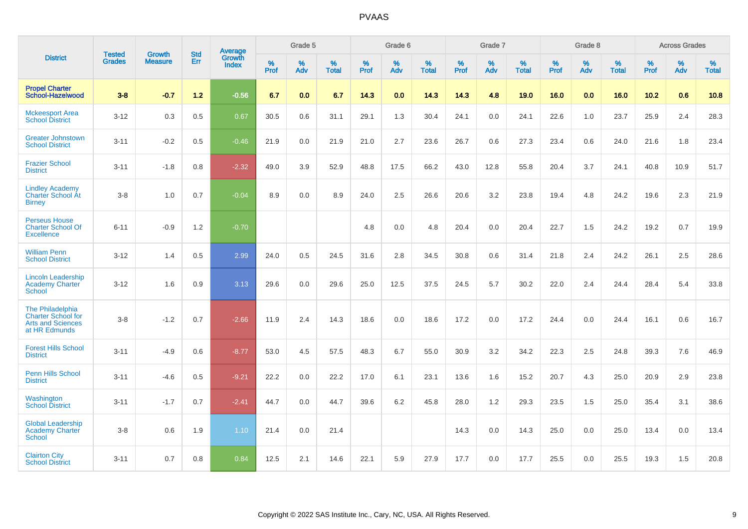|                                                                                            | <b>Tested</b> | <b>Growth</b>  | <b>Std</b> | Average                |              | Grade 5  |                   |              | Grade 6  |                   |              | Grade 7  |                   |              | Grade 8  |                   |           | <b>Across Grades</b> |                   |
|--------------------------------------------------------------------------------------------|---------------|----------------|------------|------------------------|--------------|----------|-------------------|--------------|----------|-------------------|--------------|----------|-------------------|--------------|----------|-------------------|-----------|----------------------|-------------------|
| <b>District</b>                                                                            | <b>Grades</b> | <b>Measure</b> | Err        | Growth<br><b>Index</b> | $\%$<br>Prof | %<br>Adv | %<br><b>Total</b> | $\%$<br>Prof | %<br>Adv | %<br><b>Total</b> | $\%$<br>Prof | %<br>Adv | %<br><b>Total</b> | $\%$<br>Prof | %<br>Adv | %<br><b>Total</b> | %<br>Prof | %<br>Adv             | %<br><b>Total</b> |
| <b>Propel Charter</b><br>School-Hazelwood                                                  | $3 - 8$       | $-0.7$         | $1.2$      | $-0.56$                | 6.7          | 0.0      | 6.7               | 14.3         | 0.0      | 14.3              | 14.3         | 4.8      | 19.0              | 16.0         | 0.0      | 16.0              | 10.2      | 0.6                  | 10.8              |
| <b>Mckeesport Area</b><br><b>School District</b>                                           | $3 - 12$      | 0.3            | 0.5        | 0.67                   | 30.5         | 0.6      | 31.1              | 29.1         | 1.3      | 30.4              | 24.1         | 0.0      | 24.1              | 22.6         | 1.0      | 23.7              | 25.9      | 2.4                  | 28.3              |
| <b>Greater Johnstown</b><br><b>School District</b>                                         | $3 - 11$      | $-0.2$         | 0.5        | $-0.46$                | 21.9         | 0.0      | 21.9              | 21.0         | 2.7      | 23.6              | 26.7         | 0.6      | 27.3              | 23.4         | 0.6      | 24.0              | 21.6      | 1.8                  | 23.4              |
| <b>Frazier School</b><br><b>District</b>                                                   | $3 - 11$      | $-1.8$         | 0.8        | $-2.32$                | 49.0         | 3.9      | 52.9              | 48.8         | 17.5     | 66.2              | 43.0         | 12.8     | 55.8              | 20.4         | 3.7      | 24.1              | 40.8      | 10.9                 | 51.7              |
| <b>Lindley Academy</b><br><b>Charter School At</b><br><b>Birney</b>                        | $3 - 8$       | 1.0            | 0.7        | $-0.04$                | 8.9          | 0.0      | 8.9               | 24.0         | 2.5      | 26.6              | 20.6         | 3.2      | 23.8              | 19.4         | 4.8      | 24.2              | 19.6      | 2.3                  | 21.9              |
| <b>Perseus House</b><br><b>Charter School Of</b><br><b>Excellence</b>                      | $6 - 11$      | $-0.9$         | 1.2        | $-0.70$                |              |          |                   | 4.8          | 0.0      | 4.8               | 20.4         | 0.0      | 20.4              | 22.7         | 1.5      | 24.2              | 19.2      | 0.7                  | 19.9              |
| <b>William Penn</b><br><b>School District</b>                                              | $3 - 12$      | 1.4            | 0.5        | 2.99                   | 24.0         | 0.5      | 24.5              | 31.6         | 2.8      | 34.5              | 30.8         | 0.6      | 31.4              | 21.8         | 2.4      | 24.2              | 26.1      | 2.5                  | 28.6              |
| <b>Lincoln Leadership</b><br><b>Academy Charter</b><br>School                              | $3 - 12$      | 1.6            | 0.9        | 3.13                   | 29.6         | 0.0      | 29.6              | 25.0         | 12.5     | 37.5              | 24.5         | 5.7      | 30.2              | 22.0         | 2.4      | 24.4              | 28.4      | 5.4                  | 33.8              |
| The Philadelphia<br><b>Charter School for</b><br><b>Arts and Sciences</b><br>at HR Edmunds | $3 - 8$       | $-1.2$         | 0.7        | $-2.66$                | 11.9         | 2.4      | 14.3              | 18.6         | 0.0      | 18.6              | 17.2         | 0.0      | 17.2              | 24.4         | 0.0      | 24.4              | 16.1      | 0.6                  | 16.7              |
| <b>Forest Hills School</b><br><b>District</b>                                              | $3 - 11$      | $-4.9$         | 0.6        | $-8.77$                | 53.0         | 4.5      | 57.5              | 48.3         | 6.7      | 55.0              | 30.9         | 3.2      | 34.2              | 22.3         | 2.5      | 24.8              | 39.3      | 7.6                  | 46.9              |
| <b>Penn Hills School</b><br><b>District</b>                                                | $3 - 11$      | $-4.6$         | 0.5        | $-9.21$                | 22.2         | 0.0      | 22.2              | 17.0         | 6.1      | 23.1              | 13.6         | 1.6      | 15.2              | 20.7         | 4.3      | 25.0              | 20.9      | 2.9                  | 23.8              |
| Washington<br><b>School District</b>                                                       | $3 - 11$      | $-1.7$         | 0.7        | $-2.41$                | 44.7         | 0.0      | 44.7              | 39.6         | 6.2      | 45.8              | 28.0         | 1.2      | 29.3              | 23.5         | 1.5      | 25.0              | 35.4      | 3.1                  | 38.6              |
| <b>Global Leadership</b><br><b>Academy Charter</b><br><b>School</b>                        | $3 - 8$       | 0.6            | 1.9        | 1.10                   | 21.4         | 0.0      | 21.4              |              |          |                   | 14.3         | 0.0      | 14.3              | 25.0         | 0.0      | 25.0              | 13.4      | 0.0                  | 13.4              |
| <b>Clairton City</b><br><b>School District</b>                                             | $3 - 11$      | 0.7            | 0.8        | 0.84                   | 12.5         | 2.1      | 14.6              | 22.1         | 5.9      | 27.9              | 17.7         | 0.0      | 17.7              | 25.5         | 0.0      | 25.5              | 19.3      | 1.5                  | 20.8              |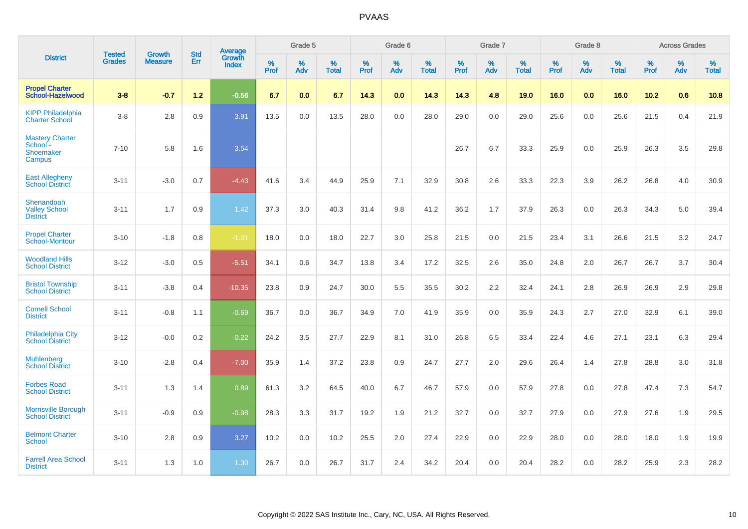|                                                           | <b>Tested</b> | <b>Growth</b>  | <b>Std</b> | <b>Average</b>                |              | Grade 5  |                   |           | Grade 6  |                   |           | Grade 7  |                   |           | Grade 8  |                   |           | <b>Across Grades</b> |                   |
|-----------------------------------------------------------|---------------|----------------|------------|-------------------------------|--------------|----------|-------------------|-----------|----------|-------------------|-----------|----------|-------------------|-----------|----------|-------------------|-----------|----------------------|-------------------|
| <b>District</b>                                           | <b>Grades</b> | <b>Measure</b> | Err        | <b>Growth</b><br><b>Index</b> | $\%$<br>Prof | %<br>Adv | %<br><b>Total</b> | %<br>Prof | %<br>Adv | %<br><b>Total</b> | %<br>Prof | %<br>Adv | %<br><b>Total</b> | %<br>Prof | %<br>Adv | %<br><b>Total</b> | %<br>Prof | %<br>Adv             | %<br><b>Total</b> |
| <b>Propel Charter</b><br>School-Hazelwood                 | $3 - 8$       | $-0.7$         | $1.2$      | $-0.56$                       | 6.7          | 0.0      | 6.7               | 14.3      | 0.0      | 14.3              | 14.3      | 4.8      | 19.0              | 16.0      | 0.0      | 16.0              | 10.2      | 0.6                  | 10.8              |
| <b>KIPP Philadelphia</b><br><b>Charter School</b>         | $3 - 8$       | 2.8            | 0.9        | 3.91                          | 13.5         | 0.0      | 13.5              | 28.0      | 0.0      | 28.0              | 29.0      | 0.0      | 29.0              | 25.6      | 0.0      | 25.6              | 21.5      | 0.4                  | 21.9              |
| <b>Mastery Charter</b><br>School -<br>Shoemaker<br>Campus | $7 - 10$      | 5.8            | 1.6        | 3.54                          |              |          |                   |           |          |                   | 26.7      | 6.7      | 33.3              | 25.9      | 0.0      | 25.9              | 26.3      | 3.5                  | 29.8              |
| <b>East Allegheny</b><br><b>School District</b>           | $3 - 11$      | $-3.0$         | 0.7        | $-4.43$                       | 41.6         | 3.4      | 44.9              | 25.9      | 7.1      | 32.9              | 30.8      | 2.6      | 33.3              | 22.3      | 3.9      | 26.2              | 26.8      | 4.0                  | 30.9              |
| Shenandoah<br><b>Valley School</b><br><b>District</b>     | $3 - 11$      | 1.7            | 0.9        | 1.42                          | 37.3         | 3.0      | 40.3              | 31.4      | 9.8      | 41.2              | 36.2      | 1.7      | 37.9              | 26.3      | 0.0      | 26.3              | 34.3      | 5.0                  | 39.4              |
| <b>Propel Charter</b><br>School-Montour                   | $3 - 10$      | $-1.8$         | 0.8        | $-1.01$                       | 18.0         | 0.0      | 18.0              | 22.7      | 3.0      | 25.8              | 21.5      | 0.0      | 21.5              | 23.4      | 3.1      | 26.6              | 21.5      | 3.2                  | 24.7              |
| <b>Woodland Hills</b><br><b>School District</b>           | $3 - 12$      | $-3.0$         | 0.5        | $-5.51$                       | 34.1         | 0.6      | 34.7              | 13.8      | 3.4      | 17.2              | 32.5      | 2.6      | 35.0              | 24.8      | 2.0      | 26.7              | 26.7      | 3.7                  | 30.4              |
| <b>Bristol Township</b><br><b>School District</b>         | $3 - 11$      | $-3.8$         | 0.4        | $-10.35$                      | 23.8         | 0.9      | 24.7              | 30.0      | 5.5      | 35.5              | 30.2      | 2.2      | 32.4              | 24.1      | 2.8      | 26.9              | 26.9      | 2.9                  | 29.8              |
| <b>Cornell School</b><br><b>District</b>                  | $3 - 11$      | $-0.8$         | 1.1        | $-0.69$                       | 36.7         | 0.0      | 36.7              | 34.9      | 7.0      | 41.9              | 35.9      | 0.0      | 35.9              | 24.3      | 2.7      | 27.0              | 32.9      | 6.1                  | 39.0              |
| <b>Philadelphia City</b><br><b>School District</b>        | $3 - 12$      | $-0.0$         | 0.2        | $-0.22$                       | 24.2         | 3.5      | 27.7              | 22.9      | 8.1      | 31.0              | 26.8      | 6.5      | 33.4              | 22.4      | 4.6      | 27.1              | 23.1      | 6.3                  | 29.4              |
| <b>Muhlenberg</b><br><b>School District</b>               | $3 - 10$      | $-2.8$         | 0.4        | $-7.00$                       | 35.9         | 1.4      | 37.2              | 23.8      | 0.9      | 24.7              | 27.7      | 2.0      | 29.6              | 26.4      | 1.4      | 27.8              | 28.8      | 3.0                  | 31.8              |
| <b>Forbes Road</b><br><b>School District</b>              | $3 - 11$      | 1.3            | 1.4        | 0.89                          | 61.3         | 3.2      | 64.5              | 40.0      | 6.7      | 46.7              | 57.9      | 0.0      | 57.9              | 27.8      | 0.0      | 27.8              | 47.4      | 7.3                  | 54.7              |
| Morrisville Borough<br><b>School District</b>             | $3 - 11$      | $-0.9$         | 0.9        | $-0.98$                       | 28.3         | 3.3      | 31.7              | 19.2      | 1.9      | 21.2              | 32.7      | 0.0      | 32.7              | 27.9      | 0.0      | 27.9              | 27.6      | 1.9                  | 29.5              |
| <b>Belmont Charter</b><br><b>School</b>                   | $3 - 10$      | 2.8            | 0.9        | 3.27                          | 10.2         | 0.0      | 10.2              | 25.5      | 2.0      | 27.4              | 22.9      | 0.0      | 22.9              | 28.0      | 0.0      | 28.0              | 18.0      | 1.9                  | 19.9              |
| <b>Farrell Area School</b><br><b>District</b>             | $3 - 11$      | 1.3            | 1.0        | 1.30                          | 26.7         | 0.0      | 26.7              | 31.7      | 2.4      | 34.2              | 20.4      | 0.0      | 20.4              | 28.2      | 0.0      | 28.2              | 25.9      | 2.3                  | 28.2              |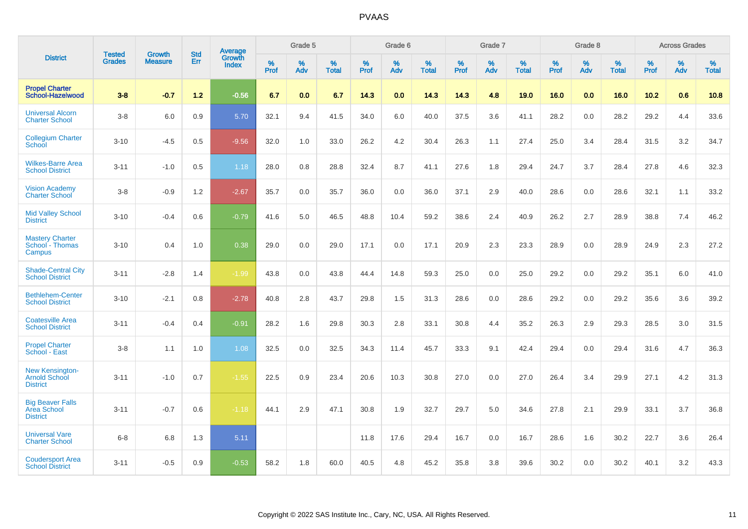|                                                                   |                                |                                 | <b>Std</b> | Average                       |           | Grade 5  |                   |           | Grade 6  |                   |           | Grade 7  |                   |           | Grade 8  |                   |           | <b>Across Grades</b> |                   |
|-------------------------------------------------------------------|--------------------------------|---------------------------------|------------|-------------------------------|-----------|----------|-------------------|-----------|----------|-------------------|-----------|----------|-------------------|-----------|----------|-------------------|-----------|----------------------|-------------------|
| <b>District</b>                                                   | <b>Tested</b><br><b>Grades</b> | <b>Growth</b><br><b>Measure</b> | Err        | <b>Growth</b><br><b>Index</b> | %<br>Prof | %<br>Adv | %<br><b>Total</b> | %<br>Prof | %<br>Adv | %<br><b>Total</b> | %<br>Prof | %<br>Adv | %<br><b>Total</b> | %<br>Prof | %<br>Adv | %<br><b>Total</b> | %<br>Prof | %<br>Adv             | %<br><b>Total</b> |
| <b>Propel Charter</b><br>School-Hazelwood                         | $3 - 8$                        | $-0.7$                          | $1.2$      | $-0.56$                       | 6.7       | 0.0      | 6.7               | 14.3      | 0.0      | 14.3              | 14.3      | 4.8      | 19.0              | 16.0      | 0.0      | 16.0              | 10.2      | 0.6                  | 10.8              |
| <b>Universal Alcorn</b><br><b>Charter School</b>                  | $3 - 8$                        | 6.0                             | 0.9        | 5.70                          | 32.1      | 9.4      | 41.5              | 34.0      | 6.0      | 40.0              | 37.5      | 3.6      | 41.1              | 28.2      | 0.0      | 28.2              | 29.2      | 4.4                  | 33.6              |
| <b>Collegium Charter</b><br><b>School</b>                         | $3 - 10$                       | $-4.5$                          | 0.5        | $-9.56$                       | 32.0      | 1.0      | 33.0              | 26.2      | 4.2      | 30.4              | 26.3      | 1.1      | 27.4              | 25.0      | 3.4      | 28.4              | 31.5      | 3.2                  | 34.7              |
| <b>Wilkes-Barre Area</b><br><b>School District</b>                | $3 - 11$                       | $-1.0$                          | 0.5        | 1.18                          | 28.0      | 0.8      | 28.8              | 32.4      | 8.7      | 41.1              | 27.6      | 1.8      | 29.4              | 24.7      | 3.7      | 28.4              | 27.8      | 4.6                  | 32.3              |
| <b>Vision Academy</b><br>Charter School                           | $3-8$                          | $-0.9$                          | 1.2        | $-2.67$                       | 35.7      | 0.0      | 35.7              | 36.0      | 0.0      | 36.0              | 37.1      | 2.9      | 40.0              | 28.6      | 0.0      | 28.6              | 32.1      | 1.1                  | 33.2              |
| <b>Mid Valley School</b><br><b>District</b>                       | $3 - 10$                       | $-0.4$                          | 0.6        | $-0.79$                       | 41.6      | 5.0      | 46.5              | 48.8      | 10.4     | 59.2              | 38.6      | 2.4      | 40.9              | 26.2      | 2.7      | 28.9              | 38.8      | 7.4                  | 46.2              |
| <b>Mastery Charter</b><br>School - Thomas<br>Campus               | $3 - 10$                       | 0.4                             | 1.0        | 0.38                          | 29.0      | 0.0      | 29.0              | 17.1      | 0.0      | 17.1              | 20.9      | 2.3      | 23.3              | 28.9      | 0.0      | 28.9              | 24.9      | 2.3                  | 27.2              |
| <b>Shade-Central City</b><br><b>School District</b>               | $3 - 11$                       | $-2.8$                          | 1.4        | $-1.99$                       | 43.8      | 0.0      | 43.8              | 44.4      | 14.8     | 59.3              | 25.0      | 0.0      | 25.0              | 29.2      | 0.0      | 29.2              | 35.1      | 6.0                  | 41.0              |
| <b>Bethlehem-Center</b><br><b>School District</b>                 | $3 - 10$                       | $-2.1$                          | 0.8        | $-2.78$                       | 40.8      | 2.8      | 43.7              | 29.8      | 1.5      | 31.3              | 28.6      | 0.0      | 28.6              | 29.2      | 0.0      | 29.2              | 35.6      | 3.6                  | 39.2              |
| <b>Coatesville Area</b><br><b>School District</b>                 | $3 - 11$                       | $-0.4$                          | 0.4        | $-0.91$                       | 28.2      | 1.6      | 29.8              | 30.3      | 2.8      | 33.1              | 30.8      | 4.4      | 35.2              | 26.3      | 2.9      | 29.3              | 28.5      | 3.0                  | 31.5              |
| <b>Propel Charter</b><br>School - East                            | $3 - 8$                        | 1.1                             | 1.0        | 1.08                          | 32.5      | 0.0      | 32.5              | 34.3      | 11.4     | 45.7              | 33.3      | 9.1      | 42.4              | 29.4      | 0.0      | 29.4              | 31.6      | 4.7                  | 36.3              |
| <b>New Kensington-</b><br><b>Arnold School</b><br><b>District</b> | $3 - 11$                       | $-1.0$                          | 0.7        | $-1.55$                       | 22.5      | 0.9      | 23.4              | 20.6      | 10.3     | 30.8              | 27.0      | 0.0      | 27.0              | 26.4      | 3.4      | 29.9              | 27.1      | 4.2                  | 31.3              |
| <b>Big Beaver Falls</b><br>Area School<br><b>District</b>         | $3 - 11$                       | $-0.7$                          | 0.6        | $-1.18$                       | 44.1      | 2.9      | 47.1              | 30.8      | 1.9      | 32.7              | 29.7      | 5.0      | 34.6              | 27.8      | 2.1      | 29.9              | 33.1      | 3.7                  | 36.8              |
| <b>Universal Vare</b><br><b>Charter School</b>                    | $6-8$                          | 6.8                             | 1.3        | 5.11                          |           |          |                   | 11.8      | 17.6     | 29.4              | 16.7      | 0.0      | 16.7              | 28.6      | 1.6      | 30.2              | 22.7      | 3.6                  | 26.4              |
| <b>Coudersport Area</b><br><b>School District</b>                 | $3 - 11$                       | $-0.5$                          | 0.9        | $-0.53$                       | 58.2      | 1.8      | 60.0              | 40.5      | 4.8      | 45.2              | 35.8      | 3.8      | 39.6              | 30.2      | 0.0      | 30.2              | 40.1      | 3.2                  | 43.3              |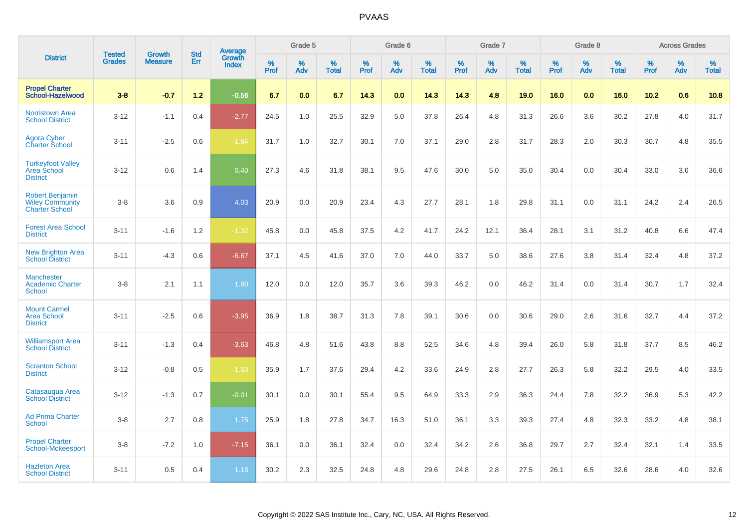|                                                                           | <b>Tested</b> | <b>Growth</b>  | <b>Std</b> | Average                |              | Grade 5  |                   |           | Grade 6  |                   |           | Grade 7  |                   |           | Grade 8  |                   |              | <b>Across Grades</b> |                   |
|---------------------------------------------------------------------------|---------------|----------------|------------|------------------------|--------------|----------|-------------------|-----------|----------|-------------------|-----------|----------|-------------------|-----------|----------|-------------------|--------------|----------------------|-------------------|
| <b>District</b>                                                           | <b>Grades</b> | <b>Measure</b> | Err        | Growth<br><b>Index</b> | $\%$<br>Prof | %<br>Adv | %<br><b>Total</b> | %<br>Prof | %<br>Adv | %<br><b>Total</b> | %<br>Prof | %<br>Adv | %<br><b>Total</b> | %<br>Prof | %<br>Adv | %<br><b>Total</b> | $\%$<br>Prof | $\%$<br>Adv          | %<br><b>Total</b> |
| <b>Propel Charter</b><br>School-Hazelwood                                 | $3 - 8$       | $-0.7$         | $1.2$      | $-0.56$                | 6.7          | 0.0      | 6.7               | 14.3      | 0.0      | 14.3              | 14.3      | 4.8      | 19.0              | 16.0      | 0.0      | 16.0              | 10.2         | 0.6                  | 10.8              |
| <b>Norristown Area</b><br><b>School District</b>                          | $3 - 12$      | $-1.1$         | 0.4        | $-2.77$                | 24.5         | 1.0      | 25.5              | 32.9      | 5.0      | 37.8              | 26.4      | 4.8      | 31.3              | 26.6      | 3.6      | 30.2              | 27.8         | 4.0                  | 31.7              |
| <b>Agora Cyber</b><br><b>Charter School</b>                               | $3 - 11$      | $-2.5$         | 0.6        | $-1.84$                | 31.7         | 1.0      | 32.7              | 30.1      | 7.0      | 37.1              | 29.0      | 2.8      | 31.7              | 28.3      | 2.0      | 30.3              | 30.7         | 4.8                  | 35.5              |
| <b>Turkeyfoot Valley</b><br>Area School<br><b>District</b>                | $3 - 12$      | 0.6            | 1.4        | 0.40                   | 27.3         | 4.6      | 31.8              | 38.1      | 9.5      | 47.6              | 30.0      | 5.0      | 35.0              | 30.4      | 0.0      | 30.4              | 33.0         | 3.6                  | 36.6              |
| <b>Robert Benjamin</b><br><b>Wiley Community</b><br><b>Charter School</b> | $3 - 8$       | 3.6            | 0.9        | 4.03                   | 20.9         | 0.0      | 20.9              | 23.4      | 4.3      | 27.7              | 28.1      | 1.8      | 29.8              | 31.1      | 0.0      | 31.1              | 24.2         | 2.4                  | 26.5              |
| <b>Forest Area School</b><br><b>District</b>                              | $3 - 11$      | $-1.6$         | 1.2        | $-1.32$                | 45.8         | 0.0      | 45.8              | 37.5      | 4.2      | 41.7              | 24.2      | 12.1     | 36.4              | 28.1      | 3.1      | 31.2              | 40.8         | 6.6                  | 47.4              |
| <b>New Brighton Area</b><br><b>School District</b>                        | $3 - 11$      | $-4.3$         | 0.6        | $-6.67$                | 37.1         | 4.5      | 41.6              | 37.0      | 7.0      | 44.0              | 33.7      | 5.0      | 38.6              | 27.6      | 3.8      | 31.4              | 32.4         | 4.8                  | 37.2              |
| <b>Manchester</b><br><b>Academic Charter</b><br><b>School</b>             | $3 - 8$       | 2.1            | 1.1        | 1.80                   | 12.0         | 0.0      | 12.0              | 35.7      | 3.6      | 39.3              | 46.2      | 0.0      | 46.2              | 31.4      | 0.0      | 31.4              | 30.7         | 1.7                  | 32.4              |
| <b>Mount Carmel</b><br><b>Area School</b><br><b>District</b>              | $3 - 11$      | $-2.5$         | 0.6        | $-3.95$                | 36.9         | 1.8      | 38.7              | 31.3      | 7.8      | 39.1              | 30.6      | 0.0      | 30.6              | 29.0      | 2.6      | 31.6              | 32.7         | 4.4                  | 37.2              |
| <b>Williamsport Area</b><br><b>School District</b>                        | $3 - 11$      | $-1.3$         | 0.4        | $-3.63$                | 46.8         | 4.8      | 51.6              | 43.8      | 8.8      | 52.5              | 34.6      | 4.8      | 39.4              | 26.0      | 5.8      | 31.8              | 37.7         | 8.5                  | 46.2              |
| <b>Scranton School</b><br><b>District</b>                                 | $3 - 12$      | $-0.8$         | 0.5        | $-1.60$                | 35.9         | 1.7      | 37.6              | 29.4      | 4.2      | 33.6              | 24.9      | 2.8      | 27.7              | 26.3      | 5.8      | 32.2              | 29.5         | 4.0                  | 33.5              |
| Catasauqua Area<br><b>School District</b>                                 | $3 - 12$      | $-1.3$         | 0.7        | $-0.01$                | 30.1         | 0.0      | 30.1              | 55.4      | 9.5      | 64.9              | 33.3      | 2.9      | 36.3              | 24.4      | 7.8      | 32.2              | 36.9         | 5.3                  | 42.2              |
| <b>Ad Prima Charter</b><br><b>School</b>                                  | $3 - 8$       | 2.7            | 0.8        | 1.75                   | 25.9         | 1.8      | 27.8              | 34.7      | 16.3     | 51.0              | 36.1      | 3.3      | 39.3              | 27.4      | 4.8      | 32.3              | 33.2         | 4.8                  | 38.1              |
| <b>Propel Charter</b><br>School-Mckeesport                                | $3 - 8$       | $-7.2$         | 1.0        | $-7.15$                | 36.1         | 0.0      | 36.1              | 32.4      | 0.0      | 32.4              | 34.2      | 2.6      | 36.8              | 29.7      | 2.7      | 32.4              | 32.1         | 1.4                  | 33.5              |
| <b>Hazleton Area</b><br><b>School District</b>                            | $3 - 11$      | 0.5            | 0.4        | 1.18                   | 30.2         | 2.3      | 32.5              | 24.8      | 4.8      | 29.6              | 24.8      | 2.8      | 27.5              | 26.1      | 6.5      | 32.6              | 28.6         | 4.0                  | 32.6              |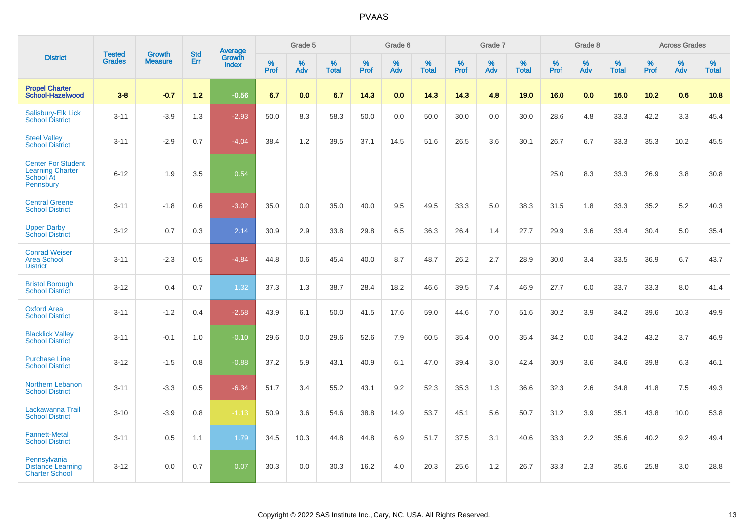|                                                                                |                                |                                 | <b>Std</b> | Average                |           | Grade 5  |                   |           | Grade 6  |                   |           | Grade 7  |                   |           | Grade 8  |                   |           | <b>Across Grades</b> |                   |
|--------------------------------------------------------------------------------|--------------------------------|---------------------------------|------------|------------------------|-----------|----------|-------------------|-----------|----------|-------------------|-----------|----------|-------------------|-----------|----------|-------------------|-----------|----------------------|-------------------|
| <b>District</b>                                                                | <b>Tested</b><br><b>Grades</b> | <b>Growth</b><br><b>Measure</b> | Err        | Growth<br><b>Index</b> | %<br>Prof | %<br>Adv | %<br><b>Total</b> | %<br>Prof | %<br>Adv | %<br><b>Total</b> | %<br>Prof | %<br>Adv | %<br><b>Total</b> | %<br>Prof | %<br>Adv | %<br><b>Total</b> | %<br>Prof | %<br>Adv             | %<br><b>Total</b> |
| <b>Propel Charter</b><br><b>School-Hazelwood</b>                               | $3 - 8$                        | $-0.7$                          | $1.2$      | $-0.56$                | 6.7       | 0.0      | 6.7               | 14.3      | 0.0      | 14.3              | 14.3      | 4.8      | 19.0              | 16.0      | 0.0      | 16.0              | 10.2      | 0.6                  | 10.8              |
| <b>Salisbury-Elk Lick</b><br><b>School District</b>                            | $3 - 11$                       | $-3.9$                          | 1.3        | $-2.93$                | 50.0      | 8.3      | 58.3              | 50.0      | 0.0      | 50.0              | 30.0      | 0.0      | 30.0              | 28.6      | 4.8      | 33.3              | 42.2      | 3.3                  | 45.4              |
| <b>Steel Valley</b><br><b>School District</b>                                  | $3 - 11$                       | $-2.9$                          | 0.7        | $-4.04$                | 38.4      | 1.2      | 39.5              | 37.1      | 14.5     | 51.6              | 26.5      | 3.6      | 30.1              | 26.7      | 6.7      | 33.3              | 35.3      | 10.2                 | 45.5              |
| <b>Center For Student</b><br><b>Learning Charter</b><br>School At<br>Pennsbury | $6 - 12$                       | 1.9                             | 3.5        | 0.54                   |           |          |                   |           |          |                   |           |          |                   | 25.0      | 8.3      | 33.3              | 26.9      | 3.8                  | 30.8              |
| <b>Central Greene</b><br><b>School District</b>                                | $3 - 11$                       | $-1.8$                          | 0.6        | $-3.02$                | 35.0      | 0.0      | 35.0              | 40.0      | 9.5      | 49.5              | 33.3      | 5.0      | 38.3              | 31.5      | 1.8      | 33.3              | 35.2      | $5.2\,$              | 40.3              |
| <b>Upper Darby</b><br><b>School District</b>                                   | $3 - 12$                       | 0.7                             | 0.3        | 2.14                   | 30.9      | 2.9      | 33.8              | 29.8      | 6.5      | 36.3              | 26.4      | 1.4      | 27.7              | 29.9      | 3.6      | 33.4              | 30.4      | 5.0                  | 35.4              |
| <b>Conrad Weiser</b><br><b>Area School</b><br><b>District</b>                  | $3 - 11$                       | $-2.3$                          | 0.5        | $-4.84$                | 44.8      | 0.6      | 45.4              | 40.0      | 8.7      | 48.7              | 26.2      | 2.7      | 28.9              | 30.0      | 3.4      | 33.5              | 36.9      | 6.7                  | 43.7              |
| <b>Bristol Borough</b><br><b>School District</b>                               | $3 - 12$                       | 0.4                             | 0.7        | 1.32                   | 37.3      | 1.3      | 38.7              | 28.4      | 18.2     | 46.6              | 39.5      | 7.4      | 46.9              | 27.7      | 6.0      | 33.7              | 33.3      | 8.0                  | 41.4              |
| <b>Oxford Area</b><br><b>School District</b>                                   | $3 - 11$                       | $-1.2$                          | 0.4        | $-2.58$                | 43.9      | 6.1      | 50.0              | 41.5      | 17.6     | 59.0              | 44.6      | 7.0      | 51.6              | 30.2      | 3.9      | 34.2              | 39.6      | 10.3                 | 49.9              |
| <b>Blacklick Valley</b><br><b>School District</b>                              | $3 - 11$                       | $-0.1$                          | 1.0        | $-0.10$                | 29.6      | 0.0      | 29.6              | 52.6      | 7.9      | 60.5              | 35.4      | 0.0      | 35.4              | 34.2      | 0.0      | 34.2              | 43.2      | 3.7                  | 46.9              |
| <b>Purchase Line</b><br><b>School District</b>                                 | $3 - 12$                       | $-1.5$                          | 0.8        | $-0.88$                | 37.2      | 5.9      | 43.1              | 40.9      | 6.1      | 47.0              | 39.4      | 3.0      | 42.4              | 30.9      | 3.6      | 34.6              | 39.8      | 6.3                  | 46.1              |
| Northern Lebanon<br><b>School District</b>                                     | $3 - 11$                       | $-3.3$                          | 0.5        | $-6.34$                | 51.7      | 3.4      | 55.2              | 43.1      | 9.2      | 52.3              | 35.3      | 1.3      | 36.6              | 32.3      | 2.6      | 34.8              | 41.8      | 7.5                  | 49.3              |
| Lackawanna Trail<br><b>School District</b>                                     | $3 - 10$                       | $-3.9$                          | 0.8        | $-1.13$                | 50.9      | 3.6      | 54.6              | 38.8      | 14.9     | 53.7              | 45.1      | 5.6      | 50.7              | 31.2      | 3.9      | 35.1              | 43.8      | 10.0                 | 53.8              |
| <b>Fannett-Metal</b><br><b>School District</b>                                 | $3 - 11$                       | 0.5                             | 1.1        | 1.79                   | 34.5      | 10.3     | 44.8              | 44.8      | 6.9      | 51.7              | 37.5      | 3.1      | 40.6              | 33.3      | $2.2\,$  | 35.6              | 40.2      | $9.2\,$              | 49.4              |
| Pennsylvania<br><b>Distance Learning</b><br><b>Charter School</b>              | $3 - 12$                       | 0.0                             | 0.7        | 0.07                   | 30.3      | 0.0      | 30.3              | 16.2      | 4.0      | 20.3              | 25.6      | 1.2      | 26.7              | 33.3      | 2.3      | 35.6              | 25.8      | 3.0                  | 28.8              |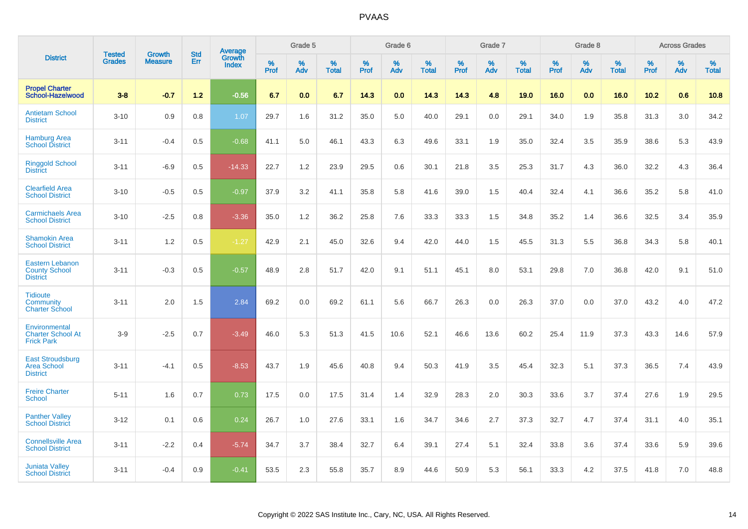|                                                                   |                                | <b>Growth</b>  | <b>Std</b> | Average                |              | Grade 5  |                   |           | Grade 6  |                   |           | Grade 7  |                   |           | Grade 8  |                   |              | <b>Across Grades</b> |                   |
|-------------------------------------------------------------------|--------------------------------|----------------|------------|------------------------|--------------|----------|-------------------|-----------|----------|-------------------|-----------|----------|-------------------|-----------|----------|-------------------|--------------|----------------------|-------------------|
| <b>District</b>                                                   | <b>Tested</b><br><b>Grades</b> | <b>Measure</b> | Err        | Growth<br><b>Index</b> | $\%$<br>Prof | %<br>Adv | %<br><b>Total</b> | %<br>Prof | %<br>Adv | %<br><b>Total</b> | %<br>Prof | %<br>Adv | %<br><b>Total</b> | %<br>Prof | %<br>Adv | %<br><b>Total</b> | $\%$<br>Prof | $\%$<br>Adv          | %<br><b>Total</b> |
| <b>Propel Charter</b><br>School-Hazelwood                         | $3 - 8$                        | $-0.7$         | $1.2$      | $-0.56$                | 6.7          | 0.0      | 6.7               | 14.3      | 0.0      | 14.3              | 14.3      | 4.8      | 19.0              | 16.0      | 0.0      | 16.0              | 10.2         | 0.6                  | 10.8              |
| <b>Antietam School</b><br><b>District</b>                         | $3 - 10$                       | 0.9            | 0.8        | 1.07                   | 29.7         | 1.6      | 31.2              | 35.0      | 5.0      | 40.0              | 29.1      | 0.0      | 29.1              | 34.0      | 1.9      | 35.8              | 31.3         | 3.0                  | 34.2              |
| <b>Hamburg Area</b><br><b>School District</b>                     | $3 - 11$                       | $-0.4$         | 0.5        | $-0.68$                | 41.1         | 5.0      | 46.1              | 43.3      | 6.3      | 49.6              | 33.1      | 1.9      | 35.0              | 32.4      | 3.5      | 35.9              | 38.6         | 5.3                  | 43.9              |
| <b>Ringgold School</b><br><b>District</b>                         | $3 - 11$                       | $-6.9$         | 0.5        | $-14.33$               | 22.7         | 1.2      | 23.9              | 29.5      | 0.6      | 30.1              | 21.8      | 3.5      | 25.3              | 31.7      | 4.3      | 36.0              | 32.2         | 4.3                  | 36.4              |
| <b>Clearfield Area</b><br><b>School District</b>                  | $3 - 10$                       | $-0.5$         | 0.5        | $-0.97$                | 37.9         | 3.2      | 41.1              | 35.8      | 5.8      | 41.6              | 39.0      | 1.5      | 40.4              | 32.4      | 4.1      | 36.6              | 35.2         | 5.8                  | 41.0              |
| <b>Carmichaels Area</b><br><b>School District</b>                 | $3 - 10$                       | $-2.5$         | 0.8        | $-3.36$                | 35.0         | 1.2      | 36.2              | 25.8      | 7.6      | 33.3              | 33.3      | 1.5      | 34.8              | 35.2      | 1.4      | 36.6              | 32.5         | 3.4                  | 35.9              |
| <b>Shamokin Area</b><br><b>School District</b>                    | $3 - 11$                       | 1.2            | $0.5\,$    | $-1.27$                | 42.9         | 2.1      | 45.0              | 32.6      | 9.4      | 42.0              | 44.0      | 1.5      | 45.5              | 31.3      | 5.5      | 36.8              | 34.3         | 5.8                  | 40.1              |
| <b>Eastern Lebanon</b><br><b>County School</b><br><b>District</b> | $3 - 11$                       | $-0.3$         | 0.5        | $-0.57$                | 48.9         | 2.8      | 51.7              | 42.0      | 9.1      | 51.1              | 45.1      | 8.0      | 53.1              | 29.8      | 7.0      | 36.8              | 42.0         | 9.1                  | 51.0              |
| <b>Tidioute</b><br><b>Community</b><br><b>Charter School</b>      | $3 - 11$                       | 2.0            | 1.5        | 2.84                   | 69.2         | 0.0      | 69.2              | 61.1      | 5.6      | 66.7              | 26.3      | 0.0      | 26.3              | 37.0      | 0.0      | 37.0              | 43.2         | 4.0                  | 47.2              |
| Environmental<br><b>Charter School At</b><br><b>Frick Park</b>    | $3-9$                          | $-2.5$         | 0.7        | $-3.49$                | 46.0         | 5.3      | 51.3              | 41.5      | 10.6     | 52.1              | 46.6      | 13.6     | 60.2              | 25.4      | 11.9     | 37.3              | 43.3         | 14.6                 | 57.9              |
| <b>East Stroudsburg</b><br><b>Area School</b><br><b>District</b>  | $3 - 11$                       | $-4.1$         | 0.5        | $-8.53$                | 43.7         | 1.9      | 45.6              | 40.8      | 9.4      | 50.3              | 41.9      | 3.5      | 45.4              | 32.3      | 5.1      | 37.3              | 36.5         | 7.4                  | 43.9              |
| <b>Freire Charter</b><br><b>School</b>                            | $5 - 11$                       | 1.6            | 0.7        | 0.73                   | 17.5         | 0.0      | 17.5              | 31.4      | 1.4      | 32.9              | 28.3      | 2.0      | 30.3              | 33.6      | 3.7      | 37.4              | 27.6         | 1.9                  | 29.5              |
| <b>Panther Valley</b><br><b>School District</b>                   | $3 - 12$                       | 0.1            | 0.6        | 0.24                   | 26.7         | 1.0      | 27.6              | 33.1      | 1.6      | 34.7              | 34.6      | 2.7      | 37.3              | 32.7      | 4.7      | 37.4              | 31.1         | 4.0                  | 35.1              |
| <b>Connellsville Area</b><br><b>School District</b>               | $3 - 11$                       | $-2.2$         | 0.4        | $-5.74$                | 34.7         | 3.7      | 38.4              | 32.7      | 6.4      | 39.1              | 27.4      | 5.1      | 32.4              | 33.8      | 3.6      | 37.4              | 33.6         | 5.9                  | 39.6              |
| <b>Juniata Valley</b><br><b>School District</b>                   | $3 - 11$                       | $-0.4$         | 0.9        | $-0.41$                | 53.5         | 2.3      | 55.8              | 35.7      | 8.9      | 44.6              | 50.9      | 5.3      | 56.1              | 33.3      | 4.2      | 37.5              | 41.8         | 7.0                  | 48.8              |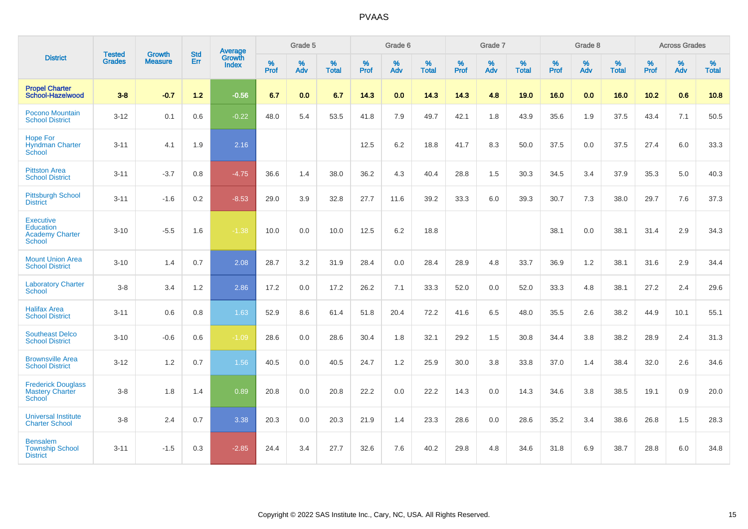|                                                                                 | <b>Tested</b> | <b>Growth</b>  | <b>Std</b> | Average                |           | Grade 5  |                   |                  | Grade 6  |                   |           | Grade 7  |                   |                  | Grade 8  |                   |                  | <b>Across Grades</b> |                   |
|---------------------------------------------------------------------------------|---------------|----------------|------------|------------------------|-----------|----------|-------------------|------------------|----------|-------------------|-----------|----------|-------------------|------------------|----------|-------------------|------------------|----------------------|-------------------|
| <b>District</b>                                                                 | <b>Grades</b> | <b>Measure</b> | Err        | Growth<br><b>Index</b> | %<br>Prof | %<br>Adv | %<br><b>Total</b> | %<br><b>Prof</b> | %<br>Adv | %<br><b>Total</b> | %<br>Prof | %<br>Adv | %<br><b>Total</b> | %<br><b>Prof</b> | %<br>Adv | %<br><b>Total</b> | %<br><b>Prof</b> | %<br>Adv             | %<br><b>Total</b> |
| <b>Propel Charter</b><br>School-Hazelwood                                       | $3 - 8$       | $-0.7$         | $1.2$      | $-0.56$                | 6.7       | 0.0      | 6.7               | 14.3             | 0.0      | 14.3              | 14.3      | 4.8      | 19.0              | 16.0             | 0.0      | 16.0              | $10.2$           | 0.6                  | 10.8              |
| Pocono Mountain<br><b>School District</b>                                       | $3 - 12$      | 0.1            | 0.6        | $-0.22$                | 48.0      | 5.4      | 53.5              | 41.8             | 7.9      | 49.7              | 42.1      | 1.8      | 43.9              | 35.6             | 1.9      | 37.5              | 43.4             | 7.1                  | 50.5              |
| <b>Hope For</b><br><b>Hyndman Charter</b><br>School                             | $3 - 11$      | 4.1            | 1.9        | 2.16                   |           |          |                   | 12.5             | 6.2      | 18.8              | 41.7      | 8.3      | 50.0              | 37.5             | 0.0      | 37.5              | 27.4             | 6.0                  | 33.3              |
| <b>Pittston Area</b><br><b>School District</b>                                  | $3 - 11$      | $-3.7$         | 0.8        | $-4.75$                | 36.6      | 1.4      | 38.0              | 36.2             | 4.3      | 40.4              | 28.8      | 1.5      | 30.3              | 34.5             | 3.4      | 37.9              | 35.3             | 5.0                  | 40.3              |
| <b>Pittsburgh School</b><br><b>District</b>                                     | $3 - 11$      | $-1.6$         | 0.2        | $-8.53$                | 29.0      | 3.9      | 32.8              | 27.7             | 11.6     | 39.2              | 33.3      | 6.0      | 39.3              | 30.7             | 7.3      | 38.0              | 29.7             | 7.6                  | 37.3              |
| <b>Executive</b><br><b>Education</b><br><b>Academy Charter</b><br><b>School</b> | $3 - 10$      | $-5.5$         | 1.6        | $-1.38$                | 10.0      | 0.0      | 10.0              | 12.5             | 6.2      | 18.8              |           |          |                   | 38.1             | 0.0      | 38.1              | 31.4             | 2.9                  | 34.3              |
| <b>Mount Union Area</b><br><b>School District</b>                               | $3 - 10$      | 1.4            | 0.7        | 2.08                   | 28.7      | 3.2      | 31.9              | 28.4             | 0.0      | 28.4              | 28.9      | 4.8      | 33.7              | 36.9             | 1.2      | 38.1              | 31.6             | 2.9                  | 34.4              |
| <b>Laboratory Charter</b><br><b>School</b>                                      | $3 - 8$       | 3.4            | 1.2        | 2.86                   | 17.2      | 0.0      | 17.2              | 26.2             | 7.1      | 33.3              | 52.0      | 0.0      | 52.0              | 33.3             | 4.8      | 38.1              | 27.2             | 2.4                  | 29.6              |
| <b>Halifax Area</b><br><b>School District</b>                                   | $3 - 11$      | 0.6            | 0.8        | 1.63                   | 52.9      | 8.6      | 61.4              | 51.8             | 20.4     | 72.2              | 41.6      | 6.5      | 48.0              | 35.5             | 2.6      | 38.2              | 44.9             | 10.1                 | 55.1              |
| <b>Southeast Delco</b><br><b>School District</b>                                | $3 - 10$      | $-0.6$         | 0.6        | $-1.09$                | 28.6      | 0.0      | 28.6              | 30.4             | 1.8      | 32.1              | 29.2      | 1.5      | 30.8              | 34.4             | 3.8      | 38.2              | 28.9             | 2.4                  | 31.3              |
| <b>Brownsville Area</b><br><b>School District</b>                               | $3 - 12$      | 1.2            | 0.7        | 1.56                   | 40.5      | 0.0      | 40.5              | 24.7             | 1.2      | 25.9              | 30.0      | 3.8      | 33.8              | 37.0             | 1.4      | 38.4              | 32.0             | 2.6                  | 34.6              |
| <b>Frederick Douglass</b><br><b>Mastery Charter</b><br>School                   | $3 - 8$       | 1.8            | 1.4        | 0.89                   | 20.8      | 0.0      | 20.8              | 22.2             | 0.0      | 22.2              | 14.3      | 0.0      | 14.3              | 34.6             | 3.8      | 38.5              | 19.1             | 0.9                  | 20.0              |
| <b>Universal Institute</b><br><b>Charter School</b>                             | $3 - 8$       | 2.4            | 0.7        | 3.38                   | 20.3      | 0.0      | 20.3              | 21.9             | 1.4      | 23.3              | 28.6      | 0.0      | 28.6              | 35.2             | 3.4      | 38.6              | 26.8             | 1.5                  | 28.3              |
| <b>Bensalem</b><br><b>Township School</b><br><b>District</b>                    | $3 - 11$      | $-1.5$         | 0.3        | $-2.85$                | 24.4      | 3.4      | 27.7              | 32.6             | 7.6      | 40.2              | 29.8      | 4.8      | 34.6              | 31.8             | 6.9      | 38.7              | 28.8             | 6.0                  | 34.8              |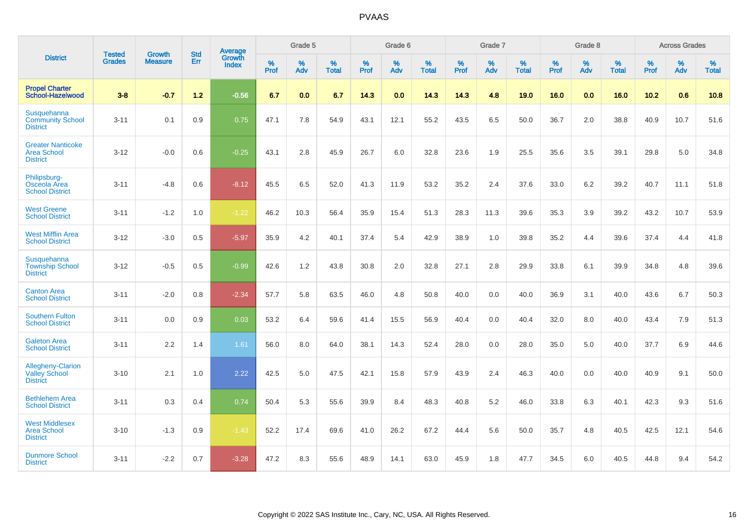|                                                                     | <b>Tested</b> |                                 | <b>Std</b> | Average                |           | Grade 5  |                   |           | Grade 6  |                   |           | Grade 7  |                   |           | Grade 8  |                   |           | <b>Across Grades</b> |                   |
|---------------------------------------------------------------------|---------------|---------------------------------|------------|------------------------|-----------|----------|-------------------|-----------|----------|-------------------|-----------|----------|-------------------|-----------|----------|-------------------|-----------|----------------------|-------------------|
| <b>District</b>                                                     | <b>Grades</b> | <b>Growth</b><br><b>Measure</b> | Err        | Growth<br><b>Index</b> | %<br>Prof | %<br>Adv | %<br><b>Total</b> | %<br>Prof | %<br>Adv | %<br><b>Total</b> | %<br>Prof | %<br>Adv | %<br><b>Total</b> | %<br>Prof | %<br>Adv | %<br><b>Total</b> | %<br>Prof | %<br>Adv             | %<br><b>Total</b> |
| <b>Propel Charter</b><br><b>School-Hazelwood</b>                    | $3 - 8$       | $-0.7$                          | $1.2$      | $-0.56$                | 6.7       | 0.0      | 6.7               | 14.3      | 0.0      | 14.3              | 14.3      | 4.8      | 19.0              | 16.0      | 0.0      | 16.0              | 10.2      | 0.6                  | 10.8              |
| Susquehanna<br><b>Community School</b><br><b>District</b>           | $3 - 11$      | 0.1                             | 0.9        | 0.75                   | 47.1      | 7.8      | 54.9              | 43.1      | 12.1     | 55.2              | 43.5      | 6.5      | 50.0              | 36.7      | 2.0      | 38.8              | 40.9      | 10.7                 | 51.6              |
| <b>Greater Nanticoke</b><br><b>Area School</b><br><b>District</b>   | $3 - 12$      | $-0.0$                          | 0.6        | $-0.25$                | 43.1      | 2.8      | 45.9              | 26.7      | 6.0      | 32.8              | 23.6      | 1.9      | 25.5              | 35.6      | 3.5      | 39.1              | 29.8      | 5.0                  | 34.8              |
| Philipsburg-<br>Osceola Area<br><b>School District</b>              | $3 - 11$      | $-4.8$                          | 0.6        | $-8.12$                | 45.5      | 6.5      | 52.0              | 41.3      | 11.9     | 53.2              | 35.2      | 2.4      | 37.6              | 33.0      | $6.2\,$  | 39.2              | 40.7      | 11.1                 | 51.8              |
| <b>West Greene</b><br><b>School District</b>                        | $3 - 11$      | $-1.2$                          | 1.0        | $-1.22$                | 46.2      | 10.3     | 56.4              | 35.9      | 15.4     | 51.3              | 28.3      | 11.3     | 39.6              | 35.3      | 3.9      | 39.2              | 43.2      | 10.7                 | 53.9              |
| <b>West Mifflin Area</b><br><b>School District</b>                  | $3 - 12$      | $-3.0$                          | 0.5        | $-5.97$                | 35.9      | 4.2      | 40.1              | 37.4      | 5.4      | 42.9              | 38.9      | 1.0      | 39.8              | 35.2      | 4.4      | 39.6              | 37.4      | 4.4                  | 41.8              |
| <b>Susquehanna</b><br><b>Township School</b><br><b>District</b>     | $3 - 12$      | $-0.5$                          | 0.5        | $-0.99$                | 42.6      | 1.2      | 43.8              | 30.8      | 2.0      | 32.8              | 27.1      | 2.8      | 29.9              | 33.8      | 6.1      | 39.9              | 34.8      | 4.8                  | 39.6              |
| <b>Canton Area</b><br><b>School District</b>                        | $3 - 11$      | $-2.0$                          | 0.8        | $-2.34$                | 57.7      | 5.8      | 63.5              | 46.0      | 4.8      | 50.8              | 40.0      | 0.0      | 40.0              | 36.9      | 3.1      | 40.0              | 43.6      | 6.7                  | 50.3              |
| <b>Southern Fulton</b><br><b>School District</b>                    | $3 - 11$      | 0.0                             | 0.9        | 0.03                   | 53.2      | 6.4      | 59.6              | 41.4      | 15.5     | 56.9              | 40.4      | 0.0      | 40.4              | 32.0      | 8.0      | 40.0              | 43.4      | 7.9                  | 51.3              |
| <b>Galeton Area</b><br><b>School District</b>                       | $3 - 11$      | 2.2                             | 1.4        | 1.61                   | 56.0      | 8.0      | 64.0              | 38.1      | 14.3     | 52.4              | 28.0      | 0.0      | 28.0              | 35.0      | 5.0      | 40.0              | 37.7      | 6.9                  | 44.6              |
| <b>Allegheny-Clarion</b><br><b>Valley School</b><br><b>District</b> | $3 - 10$      | 2.1                             | 1.0        | 2.22                   | 42.5      | 5.0      | 47.5              | 42.1      | 15.8     | 57.9              | 43.9      | 2.4      | 46.3              | 40.0      | 0.0      | 40.0              | 40.9      | 9.1                  | 50.0              |
| <b>Bethlehem Area</b><br><b>School District</b>                     | $3 - 11$      | 0.3                             | 0.4        | 0.74                   | 50.4      | 5.3      | 55.6              | 39.9      | 8.4      | 48.3              | 40.8      | 5.2      | 46.0              | 33.8      | 6.3      | 40.1              | 42.3      | 9.3                  | 51.6              |
| <b>West Middlesex</b><br><b>Area School</b><br><b>District</b>      | $3 - 10$      | $-1.3$                          | 0.9        | $-1.43$                | 52.2      | 17.4     | 69.6              | 41.0      | 26.2     | 67.2              | 44.4      | 5.6      | 50.0              | 35.7      | 4.8      | 40.5              | 42.5      | 12.1                 | 54.6              |
| <b>Dunmore School</b><br><b>District</b>                            | $3 - 11$      | $-2.2$                          | 0.7        | $-3.28$                | 47.2      | 8.3      | 55.6              | 48.9      | 14.1     | 63.0              | 45.9      | 1.8      | 47.7              | 34.5      | 6.0      | 40.5              | 44.8      | 9.4                  | 54.2              |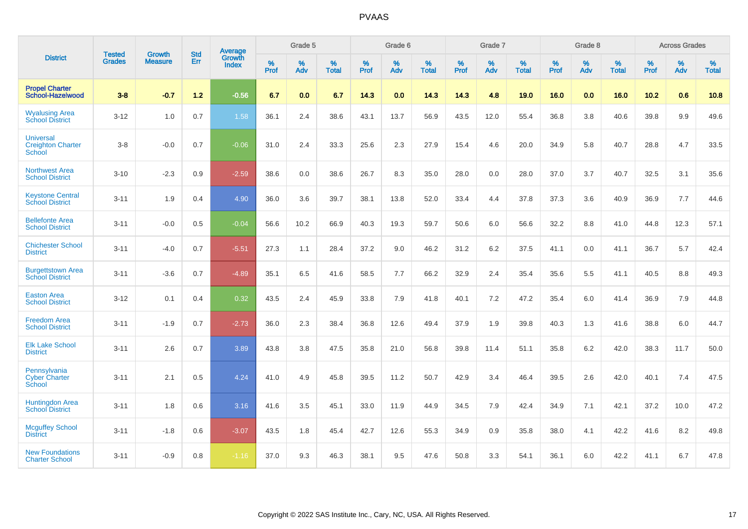|                                                        | <b>Tested</b> | <b>Growth</b>  | <b>Std</b> | Average                |                  | Grade 5  |                   |           | Grade 6  |                   |                  | Grade 7  |                   |                  | Grade 8  |                   |           | <b>Across Grades</b> |                   |
|--------------------------------------------------------|---------------|----------------|------------|------------------------|------------------|----------|-------------------|-----------|----------|-------------------|------------------|----------|-------------------|------------------|----------|-------------------|-----------|----------------------|-------------------|
| <b>District</b>                                        | <b>Grades</b> | <b>Measure</b> | Err        | Growth<br><b>Index</b> | %<br><b>Prof</b> | %<br>Adv | %<br><b>Total</b> | %<br>Prof | %<br>Adv | %<br><b>Total</b> | %<br><b>Prof</b> | %<br>Adv | %<br><b>Total</b> | %<br><b>Prof</b> | %<br>Adv | %<br><b>Total</b> | %<br>Prof | %<br>Adv             | %<br><b>Total</b> |
| <b>Propel Charter</b><br>School-Hazelwood              | $3 - 8$       | $-0.7$         | $1.2$      | $-0.56$                | 6.7              | 0.0      | 6.7               | 14.3      | 0.0      | 14.3              | 14.3             | 4.8      | 19.0              | 16.0             | 0.0      | 16.0              | 10.2      | 0.6                  | 10.8              |
| <b>Wyalusing Area</b><br><b>School District</b>        | $3 - 12$      | 1.0            | 0.7        | 1.58                   | 36.1             | 2.4      | 38.6              | 43.1      | 13.7     | 56.9              | 43.5             | 12.0     | 55.4              | 36.8             | 3.8      | 40.6              | 39.8      | 9.9                  | 49.6              |
| <b>Universal</b><br><b>Creighton Charter</b><br>School | $3 - 8$       | $-0.0$         | 0.7        | $-0.06$                | 31.0             | 2.4      | 33.3              | 25.6      | 2.3      | 27.9              | 15.4             | 4.6      | 20.0              | 34.9             | 5.8      | 40.7              | 28.8      | 4.7                  | 33.5              |
| <b>Northwest Area</b><br><b>School District</b>        | $3 - 10$      | $-2.3$         | 0.9        | $-2.59$                | 38.6             | 0.0      | 38.6              | 26.7      | 8.3      | 35.0              | 28.0             | 0.0      | 28.0              | 37.0             | 3.7      | 40.7              | 32.5      | 3.1                  | 35.6              |
| <b>Keystone Central</b><br><b>School District</b>      | $3 - 11$      | 1.9            | 0.4        | 4.90                   | 36.0             | 3.6      | 39.7              | 38.1      | 13.8     | 52.0              | 33.4             | 4.4      | 37.8              | 37.3             | 3.6      | 40.9              | 36.9      | 7.7                  | 44.6              |
| <b>Bellefonte Area</b><br><b>School District</b>       | $3 - 11$      | $-0.0$         | 0.5        | $-0.04$                | 56.6             | 10.2     | 66.9              | 40.3      | 19.3     | 59.7              | 50.6             | 6.0      | 56.6              | 32.2             | 8.8      | 41.0              | 44.8      | 12.3                 | 57.1              |
| <b>Chichester School</b><br><b>District</b>            | $3 - 11$      | $-4.0$         | 0.7        | $-5.51$                | 27.3             | 1.1      | 28.4              | 37.2      | 9.0      | 46.2              | 31.2             | 6.2      | 37.5              | 41.1             | 0.0      | 41.1              | 36.7      | 5.7                  | 42.4              |
| <b>Burgettstown Area</b><br><b>School District</b>     | $3 - 11$      | $-3.6$         | 0.7        | $-4.89$                | 35.1             | 6.5      | 41.6              | 58.5      | 7.7      | 66.2              | 32.9             | 2.4      | 35.4              | 35.6             | 5.5      | 41.1              | 40.5      | 8.8                  | 49.3              |
| <b>Easton Area</b><br><b>School District</b>           | $3 - 12$      | 0.1            | 0.4        | 0.32                   | 43.5             | 2.4      | 45.9              | 33.8      | 7.9      | 41.8              | 40.1             | 7.2      | 47.2              | 35.4             | 6.0      | 41.4              | 36.9      | 7.9                  | 44.8              |
| <b>Freedom Area</b><br><b>School District</b>          | $3 - 11$      | $-1.9$         | 0.7        | $-2.73$                | 36.0             | 2.3      | 38.4              | 36.8      | 12.6     | 49.4              | 37.9             | 1.9      | 39.8              | 40.3             | 1.3      | 41.6              | 38.8      | 6.0                  | 44.7              |
| <b>Elk Lake School</b><br><b>District</b>              | $3 - 11$      | 2.6            | 0.7        | 3.89                   | 43.8             | 3.8      | 47.5              | 35.8      | 21.0     | 56.8              | 39.8             | 11.4     | 51.1              | 35.8             | 6.2      | 42.0              | 38.3      | 11.7                 | 50.0              |
| Pennsylvania<br><b>Cyber Charter</b><br>School         | $3 - 11$      | 2.1            | 0.5        | 4.24                   | 41.0             | 4.9      | 45.8              | 39.5      | 11.2     | 50.7              | 42.9             | 3.4      | 46.4              | 39.5             | 2.6      | 42.0              | 40.1      | 7.4                  | 47.5              |
| <b>Huntingdon Area</b><br><b>School District</b>       | $3 - 11$      | 1.8            | 0.6        | 3.16                   | 41.6             | 3.5      | 45.1              | 33.0      | 11.9     | 44.9              | 34.5             | 7.9      | 42.4              | 34.9             | 7.1      | 42.1              | 37.2      | 10.0                 | 47.2              |
| <b>Mcguffey School</b><br><b>District</b>              | $3 - 11$      | $-1.8$         | 0.6        | $-3.07$                | 43.5             | 1.8      | 45.4              | 42.7      | 12.6     | 55.3              | 34.9             | 0.9      | 35.8              | 38.0             | 4.1      | 42.2              | 41.6      | 8.2                  | 49.8              |
| <b>New Foundations</b><br><b>Charter School</b>        | $3 - 11$      | $-0.9$         | 0.8        | $-1.16$                | 37.0             | 9.3      | 46.3              | 38.1      | 9.5      | 47.6              | 50.8             | 3.3      | 54.1              | 36.1             | 6.0      | 42.2              | 41.1      | 6.7                  | 47.8              |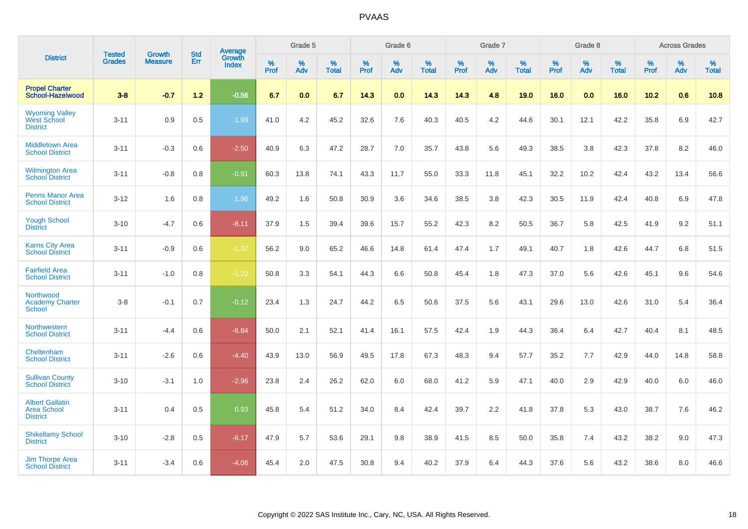|                                                                 | <b>Tested</b> | <b>Growth</b>  | <b>Std</b> | Average                       |           | Grade 5  |                   |           | Grade 6  |                   |           | Grade 7  |                   |           | Grade 8  |                   |           | <b>Across Grades</b> |                   |
|-----------------------------------------------------------------|---------------|----------------|------------|-------------------------------|-----------|----------|-------------------|-----------|----------|-------------------|-----------|----------|-------------------|-----------|----------|-------------------|-----------|----------------------|-------------------|
| <b>District</b>                                                 | <b>Grades</b> | <b>Measure</b> | Err        | <b>Growth</b><br><b>Index</b> | %<br>Prof | %<br>Adv | %<br><b>Total</b> | %<br>Prof | %<br>Adv | %<br><b>Total</b> | %<br>Prof | %<br>Adv | %<br><b>Total</b> | %<br>Prof | %<br>Adv | %<br><b>Total</b> | %<br>Prof | %<br>Adv             | %<br><b>Total</b> |
| <b>Propel Charter</b><br>School-Hazelwood                       | $3 - 8$       | $-0.7$         | $1.2$      | $-0.56$                       | 6.7       | 0.0      | 6.7               | 14.3      | 0.0      | 14.3              | 14.3      | 4.8      | 19.0              | 16.0      | 0.0      | 16.0              | 10.2      | 0.6                  | 10.8              |
| <b>Wyoming Valley</b><br><b>West School</b><br><b>District</b>  | $3 - 11$      | 0.9            | 0.5        | 1.99                          | 41.0      | 4.2      | 45.2              | 32.6      | 7.6      | 40.3              | 40.5      | 4.2      | 44.6              | 30.1      | 12.1     | 42.2              | 35.8      | 6.9                  | 42.7              |
| <b>Middletown Area</b><br><b>School District</b>                | $3 - 11$      | $-0.3$         | 0.6        | $-2.50$                       | 40.9      | 6.3      | 47.2              | 28.7      | 7.0      | 35.7              | 43.8      | 5.6      | 49.3              | 38.5      | 3.8      | 42.3              | 37.8      | 8.2                  | 46.0              |
| <b>Wilmington Area</b><br><b>School District</b>                | $3 - 11$      | $-0.8$         | 0.8        | $-0.91$                       | 60.3      | 13.8     | 74.1              | 43.3      | 11.7     | 55.0              | 33.3      | 11.8     | 45.1              | 32.2      | 10.2     | 42.4              | 43.2      | 13.4                 | 56.6              |
| <b>Penns Manor Area</b><br><b>School District</b>               | $3 - 12$      | 1.6            | 0.8        | 1.96                          | 49.2      | 1.6      | 50.8              | 30.9      | 3.6      | 34.6              | 38.5      | 3.8      | 42.3              | 30.5      | 11.9     | 42.4              | 40.8      | 6.9                  | 47.8              |
| <b>Yough School</b><br><b>District</b>                          | $3 - 10$      | $-4.7$         | 0.6        | $-8.11$                       | 37.9      | 1.5      | 39.4              | 39.6      | 15.7     | 55.2              | 42.3      | 8.2      | 50.5              | 36.7      | 5.8      | 42.5              | 41.9      | 9.2                  | 51.1              |
| <b>Karns City Area</b><br><b>School District</b>                | $3 - 11$      | $-0.9$         | 0.6        | $-1.37$                       | 56.2      | 9.0      | 65.2              | 46.6      | 14.8     | 61.4              | 47.4      | 1.7      | 49.1              | 40.7      | 1.8      | 42.6              | 44.7      | 6.8                  | 51.5              |
| <b>Fairfield Area</b><br><b>School District</b>                 | $3 - 11$      | $-1.0$         | 0.8        | $-1.22$                       | 50.8      | 3.3      | 54.1              | 44.3      | 6.6      | 50.8              | 45.4      | 1.8      | 47.3              | 37.0      | 5.6      | 42.6              | 45.1      | 9.6                  | 54.6              |
| Northwood<br><b>Academy Charter</b><br><b>School</b>            | $3 - 8$       | $-0.1$         | 0.7        | $-0.12$                       | 23.4      | 1.3      | 24.7              | 44.2      | 6.5      | 50.6              | 37.5      | 5.6      | 43.1              | 29.6      | 13.0     | 42.6              | 31.0      | 5.4                  | 36.4              |
| Northwestern<br><b>School District</b>                          | $3 - 11$      | $-4.4$         | 0.6        | $-6.84$                       | 50.0      | 2.1      | 52.1              | 41.4      | 16.1     | 57.5              | 42.4      | 1.9      | 44.3              | 36.4      | 6.4      | 42.7              | 40.4      | 8.1                  | 48.5              |
| Cheltenham<br><b>School District</b>                            | $3 - 11$      | $-2.6$         | 0.6        | $-4.40$                       | 43.9      | 13.0     | 56.9              | 49.5      | 17.8     | 67.3              | 48.3      | 9.4      | 57.7              | 35.2      | 7.7      | 42.9              | 44.0      | 14.8                 | 58.8              |
| <b>Sullivan County</b><br><b>School District</b>                | $3 - 10$      | $-3.1$         | 1.0        | $-2.96$                       | 23.8      | 2.4      | 26.2              | 62.0      | 6.0      | 68.0              | 41.2      | 5.9      | 47.1              | 40.0      | 2.9      | 42.9              | 40.0      | 6.0                  | 46.0              |
| <b>Albert Gallatin</b><br><b>Area School</b><br><b>District</b> | $3 - 11$      | 0.4            | 0.5        | 0.93                          | 45.8      | 5.4      | 51.2              | 34.0      | 8.4      | 42.4              | 39.7      | 2.2      | 41.8              | 37.8      | 5.3      | 43.0              | 38.7      | 7.6                  | 46.2              |
| <b>Shikellamy School</b><br><b>District</b>                     | $3 - 10$      | $-2.8$         | 0.5        | $-6.17$                       | 47.9      | 5.7      | 53.6              | 29.1      | 9.8      | 38.9              | 41.5      | 8.5      | 50.0              | 35.8      | 7.4      | 43.2              | 38.2      | 9.0                  | 47.3              |
| <b>Jim Thorpe Area</b><br><b>School District</b>                | $3 - 11$      | $-3.4$         | 0.6        | $-4.06$                       | 45.4      | 2.0      | 47.5              | 30.8      | 9.4      | 40.2              | 37.9      | 6.4      | 44.3              | 37.6      | 5.6      | 43.2              | 38.6      | 8.0                  | 46.6              |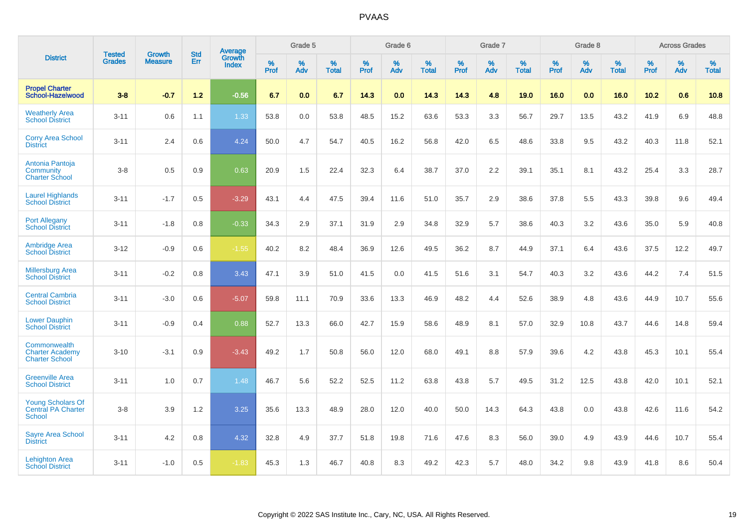|                                                                 | <b>Tested</b> | <b>Growth</b>  | <b>Std</b> | Average                |           | Grade 5  |                   |           | Grade 6  |                   |           | Grade 7  |                   |           | Grade 8  |                   |           | <b>Across Grades</b> |                   |
|-----------------------------------------------------------------|---------------|----------------|------------|------------------------|-----------|----------|-------------------|-----------|----------|-------------------|-----------|----------|-------------------|-----------|----------|-------------------|-----------|----------------------|-------------------|
| <b>District</b>                                                 | <b>Grades</b> | <b>Measure</b> | Err        | Growth<br><b>Index</b> | %<br>Prof | %<br>Adv | %<br><b>Total</b> | %<br>Prof | %<br>Adv | %<br><b>Total</b> | %<br>Prof | %<br>Adv | %<br><b>Total</b> | %<br>Prof | %<br>Adv | %<br><b>Total</b> | %<br>Prof | %<br>Adv             | %<br><b>Total</b> |
| <b>Propel Charter</b><br>School-Hazelwood                       | $3 - 8$       | $-0.7$         | $1.2$      | $-0.56$                | 6.7       | 0.0      | 6.7               | 14.3      | 0.0      | 14.3              | 14.3      | 4.8      | 19.0              | 16.0      | 0.0      | 16.0              | 10.2      | 0.6                  | 10.8              |
| <b>Weatherly Area</b><br><b>School District</b>                 | $3 - 11$      | 0.6            | 1.1        | 1.33                   | 53.8      | 0.0      | 53.8              | 48.5      | 15.2     | 63.6              | 53.3      | 3.3      | 56.7              | 29.7      | 13.5     | 43.2              | 41.9      | 6.9                  | 48.8              |
| <b>Corry Area School</b><br><b>District</b>                     | $3 - 11$      | 2.4            | 0.6        | 4.24                   | 50.0      | 4.7      | 54.7              | 40.5      | 16.2     | 56.8              | 42.0      | 6.5      | 48.6              | 33.8      | 9.5      | 43.2              | 40.3      | 11.8                 | 52.1              |
| Antonia Pantoja<br>Community<br><b>Charter School</b>           | $3 - 8$       | 0.5            | 0.9        | 0.63                   | 20.9      | 1.5      | 22.4              | 32.3      | 6.4      | 38.7              | 37.0      | 2.2      | 39.1              | 35.1      | 8.1      | 43.2              | 25.4      | 3.3                  | 28.7              |
| <b>Laurel Highlands</b><br><b>School District</b>               | $3 - 11$      | $-1.7$         | 0.5        | $-3.29$                | 43.1      | 4.4      | 47.5              | 39.4      | 11.6     | 51.0              | 35.7      | 2.9      | 38.6              | 37.8      | 5.5      | 43.3              | 39.8      | 9.6                  | 49.4              |
| <b>Port Allegany</b><br><b>School District</b>                  | $3 - 11$      | $-1.8$         | 0.8        | $-0.33$                | 34.3      | 2.9      | 37.1              | 31.9      | 2.9      | 34.8              | 32.9      | 5.7      | 38.6              | 40.3      | 3.2      | 43.6              | 35.0      | 5.9                  | 40.8              |
| <b>Ambridge Area</b><br><b>School District</b>                  | $3 - 12$      | $-0.9$         | 0.6        | $-1.55$                | 40.2      | 8.2      | 48.4              | 36.9      | 12.6     | 49.5              | 36.2      | 8.7      | 44.9              | 37.1      | 6.4      | 43.6              | 37.5      | 12.2                 | 49.7              |
| <b>Millersburg Area</b><br><b>School District</b>               | $3 - 11$      | $-0.2$         | 0.8        | 3.43                   | 47.1      | 3.9      | 51.0              | 41.5      | 0.0      | 41.5              | 51.6      | 3.1      | 54.7              | 40.3      | 3.2      | 43.6              | 44.2      | 7.4                  | 51.5              |
| <b>Central Cambria</b><br><b>School District</b>                | $3 - 11$      | $-3.0$         | 0.6        | $-5.07$                | 59.8      | 11.1     | 70.9              | 33.6      | 13.3     | 46.9              | 48.2      | 4.4      | 52.6              | 38.9      | 4.8      | 43.6              | 44.9      | 10.7                 | 55.6              |
| <b>Lower Dauphin</b><br><b>School District</b>                  | $3 - 11$      | $-0.9$         | 0.4        | 0.88                   | 52.7      | 13.3     | 66.0              | 42.7      | 15.9     | 58.6              | 48.9      | 8.1      | 57.0              | 32.9      | 10.8     | 43.7              | 44.6      | 14.8                 | 59.4              |
| Commonwealth<br><b>Charter Academy</b><br><b>Charter School</b> | $3 - 10$      | $-3.1$         | 0.9        | $-3.43$                | 49.2      | 1.7      | 50.8              | 56.0      | 12.0     | 68.0              | 49.1      | 8.8      | 57.9              | 39.6      | 4.2      | 43.8              | 45.3      | 10.1                 | 55.4              |
| <b>Greenville Area</b><br><b>School District</b>                | $3 - 11$      | 1.0            | 0.7        | 1.48                   | 46.7      | 5.6      | 52.2              | 52.5      | 11.2     | 63.8              | 43.8      | 5.7      | 49.5              | 31.2      | 12.5     | 43.8              | 42.0      | 10.1                 | 52.1              |
| <b>Young Scholars Of</b><br>Central PA Charter<br>School        | $3 - 8$       | 3.9            | 1.2        | 3.25                   | 35.6      | 13.3     | 48.9              | 28.0      | 12.0     | 40.0              | 50.0      | 14.3     | 64.3              | 43.8      | 0.0      | 43.8              | 42.6      | 11.6                 | 54.2              |
| <b>Sayre Area School</b><br><b>District</b>                     | $3 - 11$      | 4.2            | 0.8        | 4.32                   | 32.8      | 4.9      | 37.7              | 51.8      | 19.8     | 71.6              | 47.6      | 8.3      | 56.0              | 39.0      | 4.9      | 43.9              | 44.6      | 10.7                 | 55.4              |
| <b>Lehighton Area</b><br><b>School District</b>                 | $3 - 11$      | $-1.0$         | 0.5        | $-1.83$                | 45.3      | 1.3      | 46.7              | 40.8      | 8.3      | 49.2              | 42.3      | 5.7      | 48.0              | 34.2      | 9.8      | 43.9              | 41.8      | 8.6                  | 50.4              |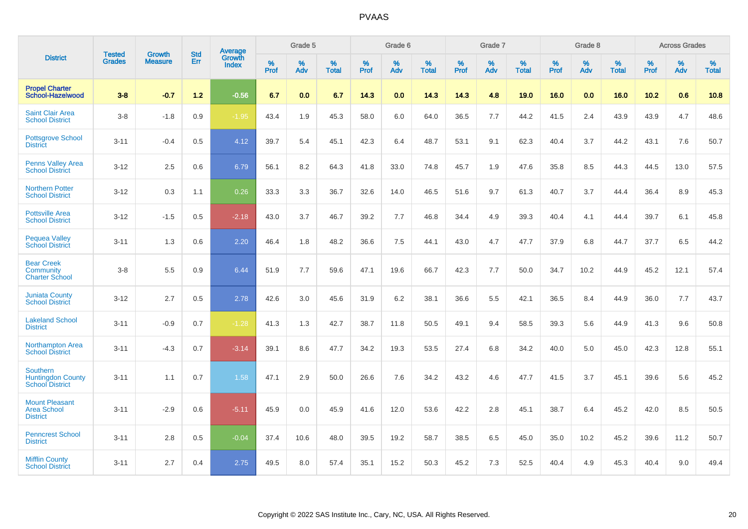|                                                                       | <b>Tested</b> | <b>Growth</b>  | <b>Std</b> | <b>Average</b>                |           | Grade 5  |                   |           | Grade 6  |                   |           | Grade 7  |                   |           | Grade 8  |                   |              | <b>Across Grades</b> |                   |
|-----------------------------------------------------------------------|---------------|----------------|------------|-------------------------------|-----------|----------|-------------------|-----------|----------|-------------------|-----------|----------|-------------------|-----------|----------|-------------------|--------------|----------------------|-------------------|
| <b>District</b>                                                       | <b>Grades</b> | <b>Measure</b> | Err        | <b>Growth</b><br><b>Index</b> | %<br>Prof | %<br>Adv | %<br><b>Total</b> | %<br>Prof | %<br>Adv | %<br><b>Total</b> | %<br>Prof | %<br>Adv | %<br><b>Total</b> | %<br>Prof | %<br>Adv | %<br><b>Total</b> | $\%$<br>Prof | %<br>Adv             | %<br><b>Total</b> |
| <b>Propel Charter</b><br>School-Hazelwood                             | $3 - 8$       | $-0.7$         | $1.2$      | $-0.56$                       | 6.7       | 0.0      | 6.7               | 14.3      | 0.0      | 14.3              | 14.3      | 4.8      | 19.0              | 16.0      | 0.0      | 16.0              | 10.2         | 0.6                  | 10.8              |
| <b>Saint Clair Area</b><br><b>School District</b>                     | $3-8$         | $-1.8$         | 0.9        | $-1.95$                       | 43.4      | 1.9      | 45.3              | 58.0      | 6.0      | 64.0              | 36.5      | 7.7      | 44.2              | 41.5      | 2.4      | 43.9              | 43.9         | 4.7                  | 48.6              |
| <b>Pottsgrove School</b><br><b>District</b>                           | $3 - 11$      | $-0.4$         | 0.5        | 4.12                          | 39.7      | 5.4      | 45.1              | 42.3      | 6.4      | 48.7              | 53.1      | 9.1      | 62.3              | 40.4      | 3.7      | 44.2              | 43.1         | 7.6                  | 50.7              |
| <b>Penns Valley Area</b><br><b>School District</b>                    | $3 - 12$      | 2.5            | 0.6        | 6.79                          | 56.1      | 8.2      | 64.3              | 41.8      | 33.0     | 74.8              | 45.7      | 1.9      | 47.6              | 35.8      | 8.5      | 44.3              | 44.5         | 13.0                 | 57.5              |
| <b>Northern Potter</b><br><b>School District</b>                      | $3 - 12$      | 0.3            | 1.1        | 0.26                          | 33.3      | 3.3      | 36.7              | 32.6      | 14.0     | 46.5              | 51.6      | 9.7      | 61.3              | 40.7      | 3.7      | 44.4              | 36.4         | 8.9                  | 45.3              |
| <b>Pottsville Area</b><br><b>School District</b>                      | $3 - 12$      | $-1.5$         | 0.5        | $-2.18$                       | 43.0      | 3.7      | 46.7              | 39.2      | 7.7      | 46.8              | 34.4      | 4.9      | 39.3              | 40.4      | 4.1      | 44.4              | 39.7         | 6.1                  | 45.8              |
| <b>Pequea Valley</b><br><b>School District</b>                        | $3 - 11$      | 1.3            | 0.6        | 2.20                          | 46.4      | 1.8      | 48.2              | 36.6      | 7.5      | 44.1              | 43.0      | 4.7      | 47.7              | 37.9      | 6.8      | 44.7              | 37.7         | 6.5                  | 44.2              |
| <b>Bear Creek</b><br>Community<br><b>Charter School</b>               | $3-8$         | 5.5            | 0.9        | 6.44                          | 51.9      | 7.7      | 59.6              | 47.1      | 19.6     | 66.7              | 42.3      | 7.7      | 50.0              | 34.7      | 10.2     | 44.9              | 45.2         | 12.1                 | 57.4              |
| <b>Juniata County</b><br><b>School District</b>                       | $3 - 12$      | 2.7            | 0.5        | 2.78                          | 42.6      | 3.0      | 45.6              | 31.9      | 6.2      | 38.1              | 36.6      | 5.5      | 42.1              | 36.5      | 8.4      | 44.9              | 36.0         | 7.7                  | 43.7              |
| <b>Lakeland School</b><br><b>District</b>                             | $3 - 11$      | $-0.9$         | 0.7        | $-1.28$                       | 41.3      | 1.3      | 42.7              | 38.7      | 11.8     | 50.5              | 49.1      | 9.4      | 58.5              | 39.3      | 5.6      | 44.9              | 41.3         | 9.6                  | 50.8              |
| <b>Northampton Area</b><br><b>School District</b>                     | $3 - 11$      | $-4.3$         | 0.7        | $-3.14$                       | 39.1      | 8.6      | 47.7              | 34.2      | 19.3     | 53.5              | 27.4      | 6.8      | 34.2              | 40.0      | 5.0      | 45.0              | 42.3         | 12.8                 | 55.1              |
| <b>Southern</b><br><b>Huntingdon County</b><br><b>School District</b> | $3 - 11$      | 1.1            | 0.7        | 1.58                          | 47.1      | 2.9      | 50.0              | 26.6      | 7.6      | 34.2              | 43.2      | 4.6      | 47.7              | 41.5      | 3.7      | 45.1              | 39.6         | 5.6                  | 45.2              |
| <b>Mount Pleasant</b><br><b>Area School</b><br><b>District</b>        | $3 - 11$      | $-2.9$         | 0.6        | $-5.11$                       | 45.9      | 0.0      | 45.9              | 41.6      | 12.0     | 53.6              | 42.2      | 2.8      | 45.1              | 38.7      | 6.4      | 45.2              | 42.0         | 8.5                  | 50.5              |
| <b>Penncrest School</b><br><b>District</b>                            | $3 - 11$      | 2.8            | 0.5        | $-0.04$                       | 37.4      | 10.6     | 48.0              | 39.5      | 19.2     | 58.7              | 38.5      | 6.5      | 45.0              | 35.0      | 10.2     | 45.2              | 39.6         | 11.2                 | 50.7              |
| <b>Mifflin County</b><br><b>School District</b>                       | $3 - 11$      | 2.7            | 0.4        | 2.75                          | 49.5      | 8.0      | 57.4              | 35.1      | 15.2     | 50.3              | 45.2      | 7.3      | 52.5              | 40.4      | 4.9      | 45.3              | 40.4         | 9.0                  | 49.4              |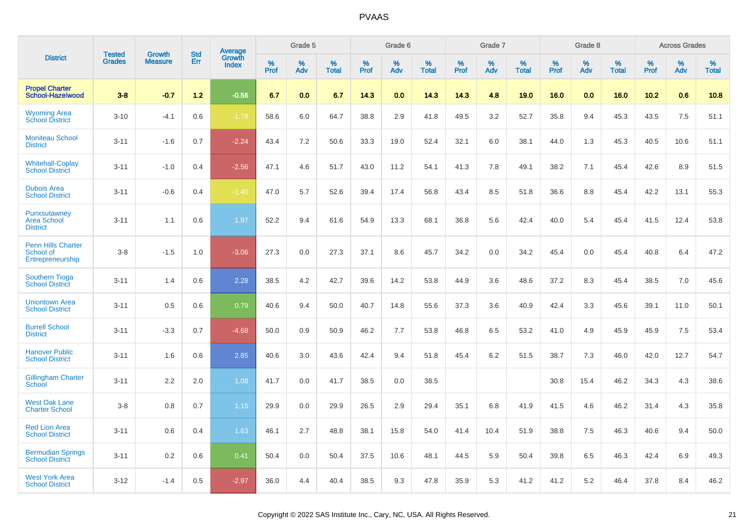|                                                            | <b>Tested</b> | <b>Growth</b>  | <b>Std</b> | Average                |              | Grade 5  |                   |              | Grade 6  |                   |              | Grade 7  |                   |              | Grade 8  |                   |              | <b>Across Grades</b> |                   |
|------------------------------------------------------------|---------------|----------------|------------|------------------------|--------------|----------|-------------------|--------------|----------|-------------------|--------------|----------|-------------------|--------------|----------|-------------------|--------------|----------------------|-------------------|
| <b>District</b>                                            | <b>Grades</b> | <b>Measure</b> | Err        | Growth<br><b>Index</b> | $\%$<br>Prof | %<br>Adv | %<br><b>Total</b> | $\%$<br>Prof | %<br>Adv | %<br><b>Total</b> | $\%$<br>Prof | %<br>Adv | %<br><b>Total</b> | $\%$<br>Prof | %<br>Adv | %<br><b>Total</b> | $\%$<br>Prof | %<br>Adv             | %<br><b>Total</b> |
| <b>Propel Charter</b><br>School-Hazelwood                  | $3 - 8$       | $-0.7$         | 1.2        | $-0.56$                | 6.7          | 0.0      | 6.7               | 14.3         | 0.0      | 14.3              | 14.3         | 4.8      | 19.0              | 16.0         | 0.0      | 16.0              | 10.2         | 0.6                  | 10.8              |
| <b>Wyoming Area</b><br><b>School District</b>              | $3 - 10$      | $-4.1$         | 0.6        | $-1.78$                | 58.6         | 6.0      | 64.7              | 38.8         | 2.9      | 41.8              | 49.5         | 3.2      | 52.7              | 35.8         | 9.4      | 45.3              | 43.5         | 7.5                  | 51.1              |
| <b>Moniteau School</b><br><b>District</b>                  | $3 - 11$      | $-1.6$         | 0.7        | $-2.24$                | 43.4         | 7.2      | 50.6              | 33.3         | 19.0     | 52.4              | 32.1         | 6.0      | 38.1              | 44.0         | 1.3      | 45.3              | 40.5         | 10.6                 | 51.1              |
| <b>Whitehall-Coplay</b><br><b>School District</b>          | $3 - 11$      | $-1.0$         | 0.4        | $-2.56$                | 47.1         | 4.6      | 51.7              | 43.0         | 11.2     | 54.1              | 41.3         | 7.8      | 49.1              | 38.2         | 7.1      | 45.4              | 42.6         | 8.9                  | 51.5              |
| <b>Dubois Area</b><br><b>School District</b>               | $3 - 11$      | $-0.6$         | 0.4        | $-1.40$                | 47.0         | 5.7      | 52.6              | 39.4         | 17.4     | 56.8              | 43.4         | 8.5      | 51.8              | 36.6         | 8.8      | 45.4              | 42.2         | 13.1                 | 55.3              |
| Punxsutawney<br><b>Area School</b><br><b>District</b>      | $3 - 11$      | 1.1            | 0.6        | 1.97                   | 52.2         | 9.4      | 61.6              | 54.9         | 13.3     | 68.1              | 36.8         | 5.6      | 42.4              | 40.0         | 5.4      | 45.4              | 41.5         | 12.4                 | 53.8              |
| <b>Penn Hills Charter</b><br>School of<br>Entrepreneurship | $3-8$         | $-1.5$         | 1.0        | $-3.06$                | 27.3         | 0.0      | 27.3              | 37.1         | 8.6      | 45.7              | 34.2         | 0.0      | 34.2              | 45.4         | 0.0      | 45.4              | 40.8         | 6.4                  | 47.2              |
| <b>Southern Tioga</b><br><b>School District</b>            | $3 - 11$      | 1.4            | 0.6        | 2.28                   | 38.5         | 4.2      | 42.7              | 39.6         | 14.2     | 53.8              | 44.9         | 3.6      | 48.6              | 37.2         | 8.3      | 45.4              | 38.5         | 7.0                  | 45.6              |
| <b>Uniontown Area</b><br><b>School District</b>            | $3 - 11$      | 0.5            | 0.6        | 0.79                   | 40.6         | 9.4      | 50.0              | 40.7         | 14.8     | 55.6              | 37.3         | 3.6      | 40.9              | 42.4         | 3.3      | 45.6              | 39.1         | 11.0                 | 50.1              |
| <b>Burrell School</b><br><b>District</b>                   | $3 - 11$      | $-3.3$         | 0.7        | $-4.68$                | 50.0         | 0.9      | 50.9              | 46.2         | 7.7      | 53.8              | 46.8         | 6.5      | 53.2              | 41.0         | 4.9      | 45.9              | 45.9         | 7.5                  | 53.4              |
| <b>Hanover Public</b><br><b>School District</b>            | $3 - 11$      | 1.6            | 0.6        | 2.85                   | 40.6         | 3.0      | 43.6              | 42.4         | 9.4      | 51.8              | 45.4         | 6.2      | 51.5              | 38.7         | 7.3      | 46.0              | 42.0         | 12.7                 | 54.7              |
| <b>Gillingham Charter</b><br>School                        | $3 - 11$      | 2.2            | 2.0        | 1.08                   | 41.7         | 0.0      | 41.7              | 38.5         | 0.0      | 38.5              |              |          |                   | 30.8         | 15.4     | 46.2              | 34.3         | 4.3                  | 38.6              |
| <b>West Oak Lane</b><br><b>Charter School</b>              | $3 - 8$       | 0.8            | 0.7        | 1.15                   | 29.9         | 0.0      | 29.9              | 26.5         | 2.9      | 29.4              | 35.1         | 6.8      | 41.9              | 41.5         | 4.6      | 46.2              | 31.4         | 4.3                  | 35.8              |
| <b>Red Lion Area</b><br><b>School District</b>             | $3 - 11$      | 0.6            | 0.4        | 1.63                   | 46.1         | 2.7      | 48.8              | 38.1         | 15.8     | 54.0              | 41.4         | 10.4     | 51.9              | 38.8         | 7.5      | 46.3              | 40.6         | 9.4                  | 50.0              |
| <b>Bermudian Springs</b><br><b>School District</b>         | $3 - 11$      | 0.2            | 0.6        | 0.41                   | 50.4         | 0.0      | 50.4              | 37.5         | 10.6     | 48.1              | 44.5         | 5.9      | 50.4              | 39.8         | 6.5      | 46.3              | 42.4         | 6.9                  | 49.3              |
| <b>West York Area</b><br><b>School District</b>            | $3 - 12$      | $-1.4$         | 0.5        | $-2.97$                | 36.0         | 4.4      | 40.4              | 38.5         | 9.3      | 47.8              | 35.9         | 5.3      | 41.2              | 41.2         | 5.2      | 46.4              | 37.8         | 8.4                  | 46.2              |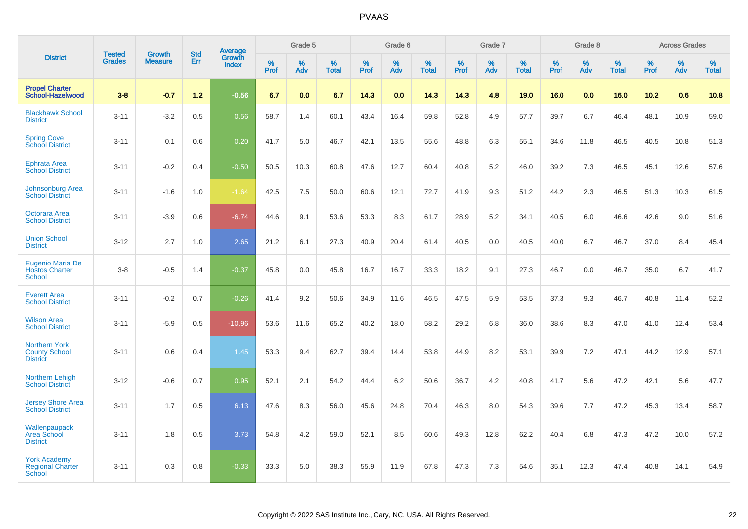|                                                                 |                                |                          |                   | <b>Average</b>         |           | Grade 5  |                   |           | Grade 6  |                   |           | Grade 7  |                   |           | Grade 8  |                   |           | <b>Across Grades</b> |                   |
|-----------------------------------------------------------------|--------------------------------|--------------------------|-------------------|------------------------|-----------|----------|-------------------|-----------|----------|-------------------|-----------|----------|-------------------|-----------|----------|-------------------|-----------|----------------------|-------------------|
| <b>District</b>                                                 | <b>Tested</b><br><b>Grades</b> | Growth<br><b>Measure</b> | <b>Std</b><br>Err | Growth<br><b>Index</b> | %<br>Prof | %<br>Adv | %<br><b>Total</b> | %<br>Prof | %<br>Adv | %<br><b>Total</b> | %<br>Prof | %<br>Adv | %<br><b>Total</b> | %<br>Prof | %<br>Adv | %<br><b>Total</b> | %<br>Prof | %<br>Adv             | %<br><b>Total</b> |
| <b>Propel Charter</b><br>School-Hazelwood                       | $3 - 8$                        | $-0.7$                   | $1.2$             | $-0.56$                | 6.7       | 0.0      | 6.7               | 14.3      | 0.0      | 14.3              | 14.3      | 4.8      | 19.0              | 16.0      | 0.0      | 16.0              | 10.2      | 0.6                  | 10.8              |
| <b>Blackhawk School</b><br><b>District</b>                      | $3 - 11$                       | $-3.2$                   | 0.5               | 0.56                   | 58.7      | 1.4      | 60.1              | 43.4      | 16.4     | 59.8              | 52.8      | 4.9      | 57.7              | 39.7      | 6.7      | 46.4              | 48.1      | 10.9                 | 59.0              |
| <b>Spring Cove</b><br><b>School District</b>                    | $3 - 11$                       | 0.1                      | 0.6               | 0.20                   | 41.7      | 5.0      | 46.7              | 42.1      | 13.5     | 55.6              | 48.8      | 6.3      | 55.1              | 34.6      | 11.8     | 46.5              | 40.5      | 10.8                 | 51.3              |
| <b>Ephrata Area</b><br><b>School District</b>                   | $3 - 11$                       | $-0.2$                   | 0.4               | $-0.50$                | 50.5      | 10.3     | 60.8              | 47.6      | 12.7     | 60.4              | 40.8      | 5.2      | 46.0              | 39.2      | 7.3      | 46.5              | 45.1      | 12.6                 | 57.6              |
| <b>Johnsonburg Area</b><br><b>School District</b>               | $3 - 11$                       | $-1.6$                   | 1.0               | $-1.64$                | 42.5      | 7.5      | 50.0              | 60.6      | 12.1     | 72.7              | 41.9      | 9.3      | 51.2              | 44.2      | 2.3      | 46.5              | 51.3      | 10.3                 | 61.5              |
| Octorara Area<br><b>School District</b>                         | $3 - 11$                       | $-3.9$                   | 0.6               | $-6.74$                | 44.6      | 9.1      | 53.6              | 53.3      | 8.3      | 61.7              | 28.9      | 5.2      | 34.1              | 40.5      | 6.0      | 46.6              | 42.6      | 9.0                  | 51.6              |
| <b>Union School</b><br><b>District</b>                          | $3-12$                         | 2.7                      | 1.0               | 2.65                   | 21.2      | 6.1      | 27.3              | 40.9      | 20.4     | 61.4              | 40.5      | 0.0      | 40.5              | 40.0      | 6.7      | 46.7              | 37.0      | 8.4                  | 45.4              |
| Eugenio Maria De<br><b>Hostos Charter</b><br>School             | $3 - 8$                        | $-0.5$                   | 1.4               | $-0.37$                | 45.8      | 0.0      | 45.8              | 16.7      | 16.7     | 33.3              | 18.2      | 9.1      | 27.3              | 46.7      | 0.0      | 46.7              | 35.0      | 6.7                  | 41.7              |
| <b>Everett Area</b><br><b>School District</b>                   | $3 - 11$                       | $-0.2$                   | 0.7               | $-0.26$                | 41.4      | 9.2      | 50.6              | 34.9      | 11.6     | 46.5              | 47.5      | 5.9      | 53.5              | 37.3      | 9.3      | 46.7              | 40.8      | 11.4                 | 52.2              |
| <b>Wilson Area</b><br><b>School District</b>                    | $3 - 11$                       | $-5.9$                   | 0.5               | $-10.96$               | 53.6      | 11.6     | 65.2              | 40.2      | 18.0     | 58.2              | 29.2      | 6.8      | 36.0              | 38.6      | 8.3      | 47.0              | 41.0      | 12.4                 | 53.4              |
| <b>Northern York</b><br><b>County School</b><br><b>District</b> | $3 - 11$                       | 0.6                      | 0.4               | 1.45                   | 53.3      | 9.4      | 62.7              | 39.4      | 14.4     | 53.8              | 44.9      | 8.2      | 53.1              | 39.9      | 7.2      | 47.1              | 44.2      | 12.9                 | 57.1              |
| <b>Northern Lehigh</b><br><b>School District</b>                | $3 - 12$                       | $-0.6$                   | 0.7               | 0.95                   | 52.1      | 2.1      | 54.2              | 44.4      | $6.2\,$  | 50.6              | 36.7      | 4.2      | 40.8              | 41.7      | 5.6      | 47.2              | 42.1      | 5.6                  | 47.7              |
| <b>Jersey Shore Area</b><br><b>School District</b>              | $3 - 11$                       | 1.7                      | 0.5               | 6.13                   | 47.6      | 8.3      | 56.0              | 45.6      | 24.8     | 70.4              | 46.3      | 8.0      | 54.3              | 39.6      | 7.7      | 47.2              | 45.3      | 13.4                 | 58.7              |
| Wallenpaupack<br><b>Area School</b><br><b>District</b>          | $3 - 11$                       | 1.8                      | 0.5               | 3.73                   | 54.8      | 4.2      | 59.0              | 52.1      | 8.5      | 60.6              | 49.3      | 12.8     | 62.2              | 40.4      | 6.8      | 47.3              | 47.2      | 10.0                 | 57.2              |
| <b>York Academy</b><br><b>Regional Charter</b><br><b>School</b> | $3 - 11$                       | 0.3                      | 0.8               | $-0.33$                | 33.3      | 5.0      | 38.3              | 55.9      | 11.9     | 67.8              | 47.3      | 7.3      | 54.6              | 35.1      | 12.3     | 47.4              | 40.8      | 14.1                 | 54.9              |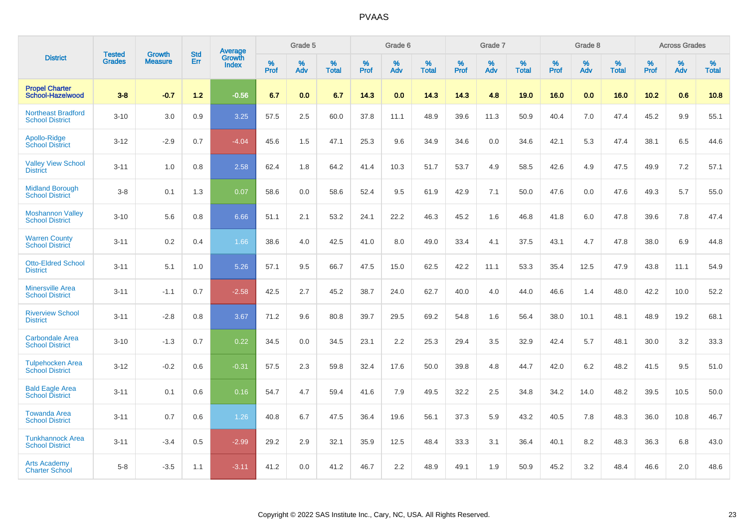|                                                     |                                |                                 | <b>Std</b> | Average                |           | Grade 5  |                   |           | Grade 6  |                   |              | Grade 7  |                   |           | Grade 8  |                   |           | <b>Across Grades</b> |                   |
|-----------------------------------------------------|--------------------------------|---------------------------------|------------|------------------------|-----------|----------|-------------------|-----------|----------|-------------------|--------------|----------|-------------------|-----------|----------|-------------------|-----------|----------------------|-------------------|
| <b>District</b>                                     | <b>Tested</b><br><b>Grades</b> | <b>Growth</b><br><b>Measure</b> | Err        | Growth<br><b>Index</b> | %<br>Prof | %<br>Adv | %<br><b>Total</b> | %<br>Prof | %<br>Adv | %<br><b>Total</b> | $\%$<br>Prof | %<br>Adv | %<br><b>Total</b> | %<br>Prof | %<br>Adv | %<br><b>Total</b> | %<br>Prof | %<br>Adv             | %<br><b>Total</b> |
| <b>Propel Charter</b><br><b>School-Hazelwood</b>    | $3 - 8$                        | $-0.7$                          | 1.2        | $-0.56$                | 6.7       | 0.0      | 6.7               | 14.3      | 0.0      | 14.3              | 14.3         | 4.8      | 19.0              | 16.0      | 0.0      | 16.0              | 10.2      | 0.6                  | 10.8              |
| <b>Northeast Bradford</b><br><b>School District</b> | $3 - 10$                       | 3.0                             | 0.9        | 3.25                   | 57.5      | 2.5      | 60.0              | 37.8      | 11.1     | 48.9              | 39.6         | 11.3     | 50.9              | 40.4      | 7.0      | 47.4              | 45.2      | 9.9                  | 55.1              |
| Apollo-Ridge<br><b>School District</b>              | $3 - 12$                       | $-2.9$                          | 0.7        | $-4.04$                | 45.6      | 1.5      | 47.1              | 25.3      | 9.6      | 34.9              | 34.6         | 0.0      | 34.6              | 42.1      | 5.3      | 47.4              | 38.1      | 6.5                  | 44.6              |
| <b>Valley View School</b><br><b>District</b>        | $3 - 11$                       | 1.0                             | 0.8        | 2.58                   | 62.4      | 1.8      | 64.2              | 41.4      | 10.3     | 51.7              | 53.7         | 4.9      | 58.5              | 42.6      | 4.9      | 47.5              | 49.9      | 7.2                  | 57.1              |
| <b>Midland Borough</b><br><b>School District</b>    | $3 - 8$                        | 0.1                             | 1.3        | 0.07                   | 58.6      | 0.0      | 58.6              | 52.4      | 9.5      | 61.9              | 42.9         | 7.1      | 50.0              | 47.6      | 0.0      | 47.6              | 49.3      | 5.7                  | 55.0              |
| <b>Moshannon Valley</b><br><b>School District</b>   | $3 - 10$                       | 5.6                             | 0.8        | 6.66                   | 51.1      | 2.1      | 53.2              | 24.1      | 22.2     | 46.3              | 45.2         | 1.6      | 46.8              | 41.8      | 6.0      | 47.8              | 39.6      | 7.8                  | 47.4              |
| <b>Warren County</b><br><b>School District</b>      | $3 - 11$                       | 0.2                             | 0.4        | 1.66                   | 38.6      | 4.0      | 42.5              | 41.0      | 8.0      | 49.0              | 33.4         | 4.1      | 37.5              | 43.1      | 4.7      | 47.8              | 38.0      | 6.9                  | 44.8              |
| <b>Otto-Eldred School</b><br><b>District</b>        | $3 - 11$                       | 5.1                             | 1.0        | 5.26                   | 57.1      | 9.5      | 66.7              | 47.5      | 15.0     | 62.5              | 42.2         | 11.1     | 53.3              | 35.4      | 12.5     | 47.9              | 43.8      | 11.1                 | 54.9              |
| <b>Minersville Area</b><br><b>School District</b>   | $3 - 11$                       | $-1.1$                          | 0.7        | $-2.58$                | 42.5      | 2.7      | 45.2              | 38.7      | 24.0     | 62.7              | 40.0         | 4.0      | 44.0              | 46.6      | 1.4      | 48.0              | 42.2      | 10.0                 | 52.2              |
| <b>Riverview School</b><br><b>District</b>          | $3 - 11$                       | $-2.8$                          | 0.8        | 3.67                   | 71.2      | 9.6      | 80.8              | 39.7      | 29.5     | 69.2              | 54.8         | 1.6      | 56.4              | 38.0      | 10.1     | 48.1              | 48.9      | 19.2                 | 68.1              |
| <b>Carbondale Area</b><br><b>School District</b>    | $3 - 10$                       | $-1.3$                          | 0.7        | 0.22                   | 34.5      | 0.0      | 34.5              | 23.1      | 2.2      | 25.3              | 29.4         | 3.5      | 32.9              | 42.4      | 5.7      | 48.1              | 30.0      | 3.2                  | 33.3              |
| <b>Tulpehocken Area</b><br><b>School District</b>   | $3 - 12$                       | $-0.2$                          | 0.6        | $-0.31$                | 57.5      | 2.3      | 59.8              | 32.4      | 17.6     | 50.0              | 39.8         | 4.8      | 44.7              | 42.0      | $6.2\,$  | 48.2              | 41.5      | 9.5                  | 51.0              |
| <b>Bald Eagle Area</b><br><b>School District</b>    | $3 - 11$                       | 0.1                             | 0.6        | 0.16                   | 54.7      | 4.7      | 59.4              | 41.6      | 7.9      | 49.5              | 32.2         | 2.5      | 34.8              | 34.2      | 14.0     | 48.2              | 39.5      | 10.5                 | 50.0              |
| <b>Towanda Area</b><br><b>School District</b>       | $3 - 11$                       | 0.7                             | 0.6        | 1.26                   | 40.8      | 6.7      | 47.5              | 36.4      | 19.6     | 56.1              | 37.3         | 5.9      | 43.2              | 40.5      | 7.8      | 48.3              | 36.0      | 10.8                 | 46.7              |
| <b>Tunkhannock Area</b><br><b>School District</b>   | $3 - 11$                       | $-3.4$                          | 0.5        | $-2.99$                | 29.2      | 2.9      | 32.1              | 35.9      | 12.5     | 48.4              | 33.3         | 3.1      | 36.4              | 40.1      | 8.2      | 48.3              | 36.3      | 6.8                  | 43.0              |
| <b>Arts Academy</b><br><b>Charter School</b>        | $5 - 8$                        | $-3.5$                          | 1.1        | $-3.11$                | 41.2      | 0.0      | 41.2              | 46.7      | 2.2      | 48.9              | 49.1         | 1.9      | 50.9              | 45.2      | 3.2      | 48.4              | 46.6      | 2.0                  | 48.6              |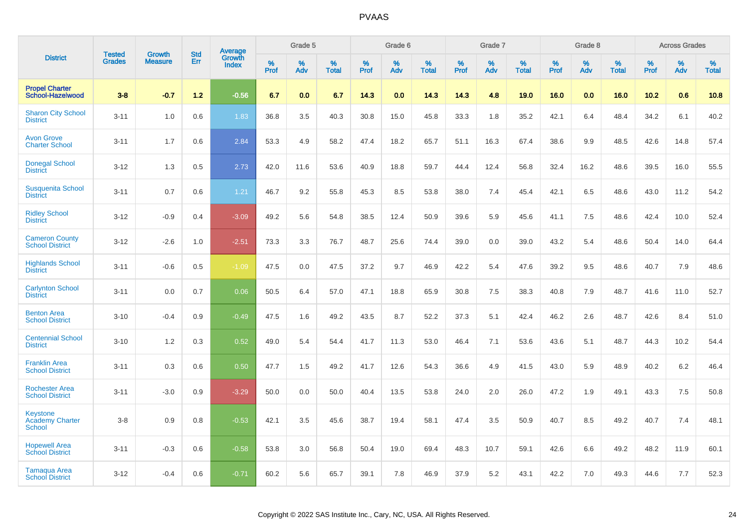|                                                            | <b>Tested</b> | <b>Growth</b>  | <b>Std</b> | Average                |              | Grade 5     |                      |              | Grade 6     |                      |              | Grade 7     |                      |              | Grade 8     |                      |                     | <b>Across Grades</b> |                      |
|------------------------------------------------------------|---------------|----------------|------------|------------------------|--------------|-------------|----------------------|--------------|-------------|----------------------|--------------|-------------|----------------------|--------------|-------------|----------------------|---------------------|----------------------|----------------------|
| <b>District</b>                                            | <b>Grades</b> | <b>Measure</b> | Err        | Growth<br><b>Index</b> | $\%$<br>Prof | $\%$<br>Adv | $\%$<br><b>Total</b> | $\%$<br>Prof | $\%$<br>Adv | $\%$<br><b>Total</b> | $\%$<br>Prof | $\%$<br>Adv | $\%$<br><b>Total</b> | $\%$<br>Prof | $\%$<br>Adv | $\%$<br><b>Total</b> | $\%$<br><b>Prof</b> | $\%$<br>Adv          | $\%$<br><b>Total</b> |
| <b>Propel Charter</b><br>School-Hazelwood                  | $3 - 8$       | $-0.7$         | 1.2        | $-0.56$                | 6.7          | 0.0         | 6.7                  | 14.3         | 0.0         | 14.3                 | 14.3         | 4.8         | 19.0                 | 16.0         | 0.0         | 16.0                 | 10.2                | 0.6                  | 10.8                 |
| <b>Sharon City School</b><br><b>District</b>               | $3 - 11$      | 1.0            | 0.6        | 1.83                   | 36.8         | 3.5         | 40.3                 | 30.8         | 15.0        | 45.8                 | 33.3         | 1.8         | 35.2                 | 42.1         | 6.4         | 48.4                 | 34.2                | 6.1                  | 40.2                 |
| <b>Avon Grove</b><br><b>Charter School</b>                 | $3 - 11$      | 1.7            | 0.6        | 2.84                   | 53.3         | 4.9         | 58.2                 | 47.4         | 18.2        | 65.7                 | 51.1         | 16.3        | 67.4                 | 38.6         | 9.9         | 48.5                 | 42.6                | 14.8                 | 57.4                 |
| <b>Donegal School</b><br><b>District</b>                   | $3 - 12$      | 1.3            | 0.5        | 2.73                   | 42.0         | 11.6        | 53.6                 | 40.9         | 18.8        | 59.7                 | 44.4         | 12.4        | 56.8                 | 32.4         | 16.2        | 48.6                 | 39.5                | 16.0                 | 55.5                 |
| <b>Susquenita School</b><br><b>District</b>                | $3 - 11$      | 0.7            | 0.6        | 1.21                   | 46.7         | 9.2         | 55.8                 | 45.3         | 8.5         | 53.8                 | 38.0         | 7.4         | 45.4                 | 42.1         | 6.5         | 48.6                 | 43.0                | 11.2                 | 54.2                 |
| <b>Ridley School</b><br><b>District</b>                    | $3 - 12$      | $-0.9$         | 0.4        | $-3.09$                | 49.2         | 5.6         | 54.8                 | 38.5         | 12.4        | 50.9                 | 39.6         | 5.9         | 45.6                 | 41.1         | 7.5         | 48.6                 | 42.4                | 10.0                 | 52.4                 |
| <b>Cameron County</b><br><b>School District</b>            | $3 - 12$      | $-2.6$         | 1.0        | $-2.51$                | 73.3         | 3.3         | 76.7                 | 48.7         | 25.6        | 74.4                 | 39.0         | 0.0         | 39.0                 | 43.2         | 5.4         | 48.6                 | 50.4                | 14.0                 | 64.4                 |
| <b>Highlands School</b><br><b>District</b>                 | $3 - 11$      | $-0.6$         | 0.5        | $-1.09$                | 47.5         | 0.0         | 47.5                 | 37.2         | 9.7         | 46.9                 | 42.2         | 5.4         | 47.6                 | 39.2         | 9.5         | 48.6                 | 40.7                | 7.9                  | 48.6                 |
| <b>Carlynton School</b><br><b>District</b>                 | $3 - 11$      | 0.0            | 0.7        | 0.06                   | 50.5         | 6.4         | 57.0                 | 47.1         | 18.8        | 65.9                 | 30.8         | 7.5         | 38.3                 | 40.8         | 7.9         | 48.7                 | 41.6                | 11.0                 | 52.7                 |
| <b>Benton Area</b><br><b>School District</b>               | $3 - 10$      | $-0.4$         | 0.9        | $-0.49$                | 47.5         | 1.6         | 49.2                 | 43.5         | 8.7         | 52.2                 | 37.3         | 5.1         | 42.4                 | 46.2         | 2.6         | 48.7                 | 42.6                | 8.4                  | 51.0                 |
| <b>Centennial School</b><br><b>District</b>                | $3 - 10$      | 1.2            | 0.3        | 0.52                   | 49.0         | 5.4         | 54.4                 | 41.7         | 11.3        | 53.0                 | 46.4         | 7.1         | 53.6                 | 43.6         | 5.1         | 48.7                 | 44.3                | 10.2                 | 54.4                 |
| <b>Franklin Area</b><br><b>School District</b>             | $3 - 11$      | 0.3            | 0.6        | 0.50                   | 47.7         | 1.5         | 49.2                 | 41.7         | 12.6        | 54.3                 | 36.6         | 4.9         | 41.5                 | 43.0         | 5.9         | 48.9                 | 40.2                | 6.2                  | 46.4                 |
| <b>Rochester Area</b><br><b>School District</b>            | $3 - 11$      | $-3.0$         | 0.9        | $-3.29$                | 50.0         | 0.0         | 50.0                 | 40.4         | 13.5        | 53.8                 | 24.0         | 2.0         | 26.0                 | 47.2         | 1.9         | 49.1                 | 43.3                | 7.5                  | 50.8                 |
| <b>Keystone</b><br><b>Academy Charter</b><br><b>School</b> | $3 - 8$       | 0.9            | 0.8        | $-0.53$                | 42.1         | 3.5         | 45.6                 | 38.7         | 19.4        | 58.1                 | 47.4         | 3.5         | 50.9                 | 40.7         | 8.5         | 49.2                 | 40.7                | 7.4                  | 48.1                 |
| <b>Hopewell Area</b><br><b>School District</b>             | $3 - 11$      | $-0.3$         | 0.6        | $-0.58$                | 53.8         | 3.0         | 56.8                 | 50.4         | 19.0        | 69.4                 | 48.3         | 10.7        | 59.1                 | 42.6         | 6.6         | 49.2                 | 48.2                | 11.9                 | 60.1                 |
| Tamaqua Area<br><b>School District</b>                     | $3 - 12$      | $-0.4$         | 0.6        | $-0.71$                | 60.2         | 5.6         | 65.7                 | 39.1         | 7.8         | 46.9                 | 37.9         | 5.2         | 43.1                 | 42.2         | 7.0         | 49.3                 | 44.6                | 7.7                  | 52.3                 |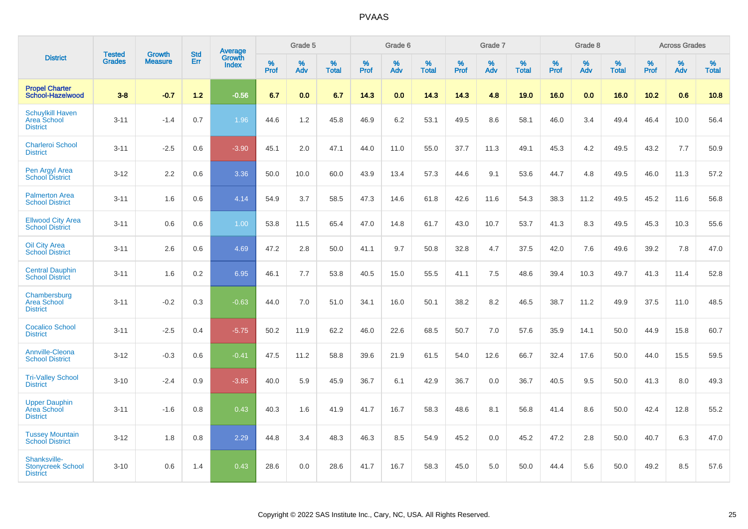|                                                                  |                                |                                 | <b>Std</b> | Average         |              | Grade 5  |                   |           | Grade 6  |                   |           | Grade 7  |                      |           | Grade 8  |                   |              | <b>Across Grades</b> |                   |
|------------------------------------------------------------------|--------------------------------|---------------------------------|------------|-----------------|--------------|----------|-------------------|-----------|----------|-------------------|-----------|----------|----------------------|-----------|----------|-------------------|--------------|----------------------|-------------------|
| <b>District</b>                                                  | <b>Tested</b><br><b>Grades</b> | <b>Growth</b><br><b>Measure</b> | Err        | Growth<br>Index | $\%$<br>Prof | %<br>Adv | %<br><b>Total</b> | %<br>Prof | %<br>Adv | %<br><b>Total</b> | %<br>Prof | %<br>Adv | $\%$<br><b>Total</b> | %<br>Prof | %<br>Adv | %<br><b>Total</b> | $\%$<br>Prof | %<br>Adv             | %<br><b>Total</b> |
| <b>Propel Charter</b><br><b>School-Hazelwood</b>                 | $3 - 8$                        | $-0.7$                          | $1.2$      | $-0.56$         | 6.7          | 0.0      | 6.7               | 14.3      | 0.0      | 14.3              | 14.3      | 4.8      | 19.0                 | 16.0      | 0.0      | 16.0              | 10.2         | 0.6                  | 10.8              |
| <b>Schuylkill Haven</b><br><b>Area School</b><br><b>District</b> | $3 - 11$                       | $-1.4$                          | 0.7        | 1.96            | 44.6         | 1.2      | 45.8              | 46.9      | 6.2      | 53.1              | 49.5      | 8.6      | 58.1                 | 46.0      | 3.4      | 49.4              | 46.4         | 10.0                 | 56.4              |
| <b>Charleroi School</b><br><b>District</b>                       | $3 - 11$                       | $-2.5$                          | 0.6        | $-3.90$         | 45.1         | 2.0      | 47.1              | 44.0      | 11.0     | 55.0              | 37.7      | 11.3     | 49.1                 | 45.3      | 4.2      | 49.5              | 43.2         | 7.7                  | 50.9              |
| Pen Argyl Area<br><b>School District</b>                         | $3 - 12$                       | 2.2                             | 0.6        | 3.36            | 50.0         | 10.0     | 60.0              | 43.9      | 13.4     | 57.3              | 44.6      | 9.1      | 53.6                 | 44.7      | 4.8      | 49.5              | 46.0         | 11.3                 | 57.2              |
| <b>Palmerton Area</b><br><b>School District</b>                  | $3 - 11$                       | 1.6                             | 0.6        | 4.14            | 54.9         | 3.7      | 58.5              | 47.3      | 14.6     | 61.8              | 42.6      | 11.6     | 54.3                 | 38.3      | 11.2     | 49.5              | 45.2         | 11.6                 | 56.8              |
| <b>Ellwood City Area</b><br><b>School District</b>               | $3 - 11$                       | 0.6                             | 0.6        | 1.00            | 53.8         | 11.5     | 65.4              | 47.0      | 14.8     | 61.7              | 43.0      | 10.7     | 53.7                 | 41.3      | 8.3      | 49.5              | 45.3         | 10.3                 | 55.6              |
| <b>Oil City Area</b><br><b>School District</b>                   | $3 - 11$                       | 2.6                             | 0.6        | 4.69            | 47.2         | 2.8      | 50.0              | 41.1      | 9.7      | 50.8              | 32.8      | 4.7      | 37.5                 | 42.0      | 7.6      | 49.6              | 39.2         | 7.8                  | 47.0              |
| <b>Central Dauphin</b><br><b>School District</b>                 | $3 - 11$                       | 1.6                             | 0.2        | 6.95            | 46.1         | 7.7      | 53.8              | 40.5      | 15.0     | 55.5              | 41.1      | 7.5      | 48.6                 | 39.4      | 10.3     | 49.7              | 41.3         | 11.4                 | 52.8              |
| Chambersburg<br><b>Area School</b><br><b>District</b>            | $3 - 11$                       | $-0.2$                          | 0.3        | $-0.63$         | 44.0         | 7.0      | 51.0              | 34.1      | 16.0     | 50.1              | 38.2      | 8.2      | 46.5                 | 38.7      | 11.2     | 49.9              | 37.5         | 11.0                 | 48.5              |
| <b>Cocalico School</b><br><b>District</b>                        | $3 - 11$                       | $-2.5$                          | 0.4        | $-5.75$         | 50.2         | 11.9     | 62.2              | 46.0      | 22.6     | 68.5              | 50.7      | 7.0      | 57.6                 | 35.9      | 14.1     | 50.0              | 44.9         | 15.8                 | 60.7              |
| <b>Annville-Cleona</b><br><b>School District</b>                 | $3 - 12$                       | $-0.3$                          | 0.6        | $-0.41$         | 47.5         | 11.2     | 58.8              | 39.6      | 21.9     | 61.5              | 54.0      | 12.6     | 66.7                 | 32.4      | 17.6     | 50.0              | 44.0         | 15.5                 | 59.5              |
| <b>Tri-Valley School</b><br><b>District</b>                      | $3 - 10$                       | $-2.4$                          | 0.9        | $-3.85$         | 40.0         | 5.9      | 45.9              | 36.7      | 6.1      | 42.9              | 36.7      | 0.0      | 36.7                 | 40.5      | 9.5      | 50.0              | 41.3         | 8.0                  | 49.3              |
| <b>Upper Dauphin</b><br>Area School<br><b>District</b>           | $3 - 11$                       | $-1.6$                          | 0.8        | 0.43            | 40.3         | 1.6      | 41.9              | 41.7      | 16.7     | 58.3              | 48.6      | 8.1      | 56.8                 | 41.4      | 8.6      | 50.0              | 42.4         | 12.8                 | 55.2              |
| <b>Tussey Mountain</b><br><b>School District</b>                 | $3 - 12$                       | 1.8                             | 0.8        | 2.29            | 44.8         | 3.4      | 48.3              | 46.3      | 8.5      | 54.9              | 45.2      | 0.0      | 45.2                 | 47.2      | 2.8      | 50.0              | 40.7         | 6.3                  | 47.0              |
| Shanksville-<br><b>Stonycreek School</b><br><b>District</b>      | $3 - 10$                       | 0.6                             | 1.4        | 0.43            | 28.6         | 0.0      | 28.6              | 41.7      | 16.7     | 58.3              | 45.0      | 5.0      | 50.0                 | 44.4      | 5.6      | 50.0              | 49.2         | 8.5                  | 57.6              |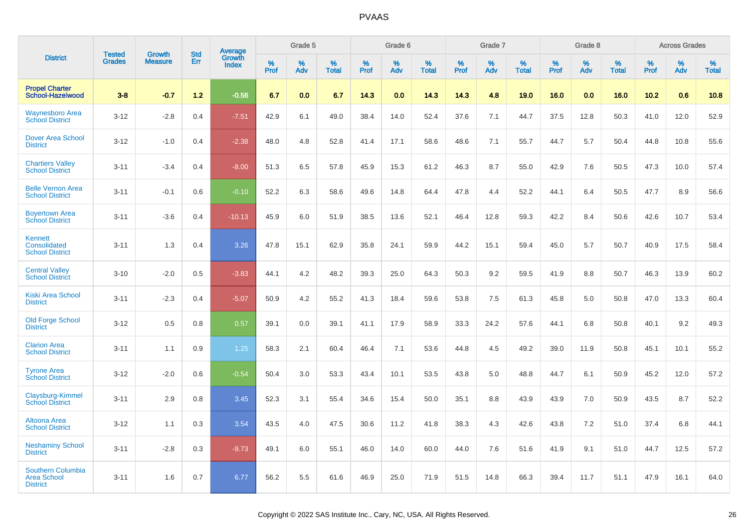|                                                            | <b>Tested</b> | <b>Growth</b>  | <b>Std</b> |                                   |                     | Grade 5  |                   |                     | Grade 6  |                   |              | Grade 7  |                   |              | Grade 8  |                   |              | <b>Across Grades</b> |                   |
|------------------------------------------------------------|---------------|----------------|------------|-----------------------------------|---------------------|----------|-------------------|---------------------|----------|-------------------|--------------|----------|-------------------|--------------|----------|-------------------|--------------|----------------------|-------------------|
| <b>District</b>                                            | <b>Grades</b> | <b>Measure</b> | Err        | Average<br>Growth<br><b>Index</b> | $\%$<br><b>Prof</b> | %<br>Adv | %<br><b>Total</b> | $\%$<br><b>Prof</b> | %<br>Adv | %<br><b>Total</b> | $\%$<br>Prof | %<br>Adv | %<br><b>Total</b> | $\%$<br>Prof | %<br>Adv | %<br><b>Total</b> | $\%$<br>Prof | %<br>Adv             | %<br><b>Total</b> |
| <b>Propel Charter</b><br>School-Hazelwood                  | $3 - 8$       | $-0.7$         | $1.2$      | $-0.56$                           | 6.7                 | 0.0      | 6.7               | 14.3                | 0.0      | 14.3              | 14.3         | 4.8      | 19.0              | 16.0         | 0.0      | 16.0              | 10.2         | 0.6                  | 10.8              |
| <b>Waynesboro Area</b><br><b>School District</b>           | $3 - 12$      | $-2.8$         | 0.4        | $-7.51$                           | 42.9                | 6.1      | 49.0              | 38.4                | 14.0     | 52.4              | 37.6         | 7.1      | 44.7              | 37.5         | 12.8     | 50.3              | 41.0         | 12.0                 | 52.9              |
| <b>Dover Area School</b><br><b>District</b>                | $3 - 12$      | $-1.0$         | 0.4        | $-2.38$                           | 48.0                | 4.8      | 52.8              | 41.4                | 17.1     | 58.6              | 48.6         | 7.1      | 55.7              | 44.7         | 5.7      | 50.4              | 44.8         | 10.8                 | 55.6              |
| <b>Chartiers Valley</b><br><b>School District</b>          | $3 - 11$      | $-3.4$         | 0.4        | $-8.00$                           | 51.3                | 6.5      | 57.8              | 45.9                | 15.3     | 61.2              | 46.3         | 8.7      | 55.0              | 42.9         | 7.6      | 50.5              | 47.3         | 10.0                 | 57.4              |
| <b>Belle Vernon Area</b><br><b>School District</b>         | $3 - 11$      | $-0.1$         | 0.6        | $-0.10$                           | 52.2                | 6.3      | 58.6              | 49.6                | 14.8     | 64.4              | 47.8         | 4.4      | 52.2              | 44.1         | 6.4      | 50.5              | 47.7         | 8.9                  | 56.6              |
| <b>Boyertown Area</b><br><b>School District</b>            | $3 - 11$      | $-3.6$         | 0.4        | $-10.13$                          | 45.9                | 6.0      | 51.9              | 38.5                | 13.6     | 52.1              | 46.4         | 12.8     | 59.3              | 42.2         | 8.4      | 50.6              | 42.6         | 10.7                 | 53.4              |
| Kennett<br>Consolidated<br><b>School District</b>          | $3 - 11$      | 1.3            | 0.4        | 3.26                              | 47.8                | 15.1     | 62.9              | 35.8                | 24.1     | 59.9              | 44.2         | 15.1     | 59.4              | 45.0         | 5.7      | 50.7              | 40.9         | 17.5                 | 58.4              |
| <b>Central Valley</b><br><b>School District</b>            | $3 - 10$      | $-2.0$         | 0.5        | $-3.83$                           | 44.1                | 4.2      | 48.2              | 39.3                | 25.0     | 64.3              | 50.3         | 9.2      | 59.5              | 41.9         | 8.8      | 50.7              | 46.3         | 13.9                 | 60.2              |
| <b>Kiski Area School</b><br><b>District</b>                | $3 - 11$      | $-2.3$         | 0.4        | $-5.07$                           | 50.9                | 4.2      | 55.2              | 41.3                | 18.4     | 59.6              | 53.8         | 7.5      | 61.3              | 45.8         | 5.0      | 50.8              | 47.0         | 13.3                 | 60.4              |
| <b>Old Forge School</b><br><b>District</b>                 | $3 - 12$      | 0.5            | 0.8        | 0.57                              | 39.1                | 0.0      | 39.1              | 41.1                | 17.9     | 58.9              | 33.3         | 24.2     | 57.6              | 44.1         | 6.8      | 50.8              | 40.1         | 9.2                  | 49.3              |
| <b>Clarion Area</b><br><b>School District</b>              | $3 - 11$      | 1.1            | 0.9        | 1.25                              | 58.3                | 2.1      | 60.4              | 46.4                | 7.1      | 53.6              | 44.8         | 4.5      | 49.2              | 39.0         | 11.9     | 50.8              | 45.1         | 10.1                 | 55.2              |
| <b>Tyrone Area</b><br><b>School District</b>               | $3-12$        | $-2.0$         | 0.6        | $-0.54$                           | 50.4                | 3.0      | 53.3              | 43.4                | 10.1     | 53.5              | 43.8         | 5.0      | 48.8              | 44.7         | 6.1      | 50.9              | 45.2         | 12.0                 | 57.2              |
| Claysburg-Kimmel<br><b>School District</b>                 | $3 - 11$      | 2.9            | 0.8        | 3.45                              | 52.3                | 3.1      | 55.4              | 34.6                | 15.4     | 50.0              | 35.1         | 8.8      | 43.9              | 43.9         | 7.0      | 50.9              | 43.5         | 8.7                  | 52.2              |
| Altoona Area<br><b>School District</b>                     | $3 - 12$      | 1.1            | 0.3        | 3.54                              | 43.5                | 4.0      | 47.5              | 30.6                | 11.2     | 41.8              | 38.3         | 4.3      | 42.6              | 43.8         | 7.2      | 51.0              | 37.4         | 6.8                  | 44.1              |
| <b>Neshaminy School</b><br><b>District</b>                 | $3 - 11$      | $-2.8$         | 0.3        | $-9.73$                           | 49.1                | 6.0      | 55.1              | 46.0                | 14.0     | 60.0              | 44.0         | 7.6      | 51.6              | 41.9         | 9.1      | 51.0              | 44.7         | 12.5                 | 57.2              |
| Southern Columbia<br><b>Area School</b><br><b>District</b> | $3 - 11$      | 1.6            | 0.7        | 6.77                              | 56.2                | 5.5      | 61.6              | 46.9                | 25.0     | 71.9              | 51.5         | 14.8     | 66.3              | 39.4         | 11.7     | 51.1              | 47.9         | 16.1                 | 64.0              |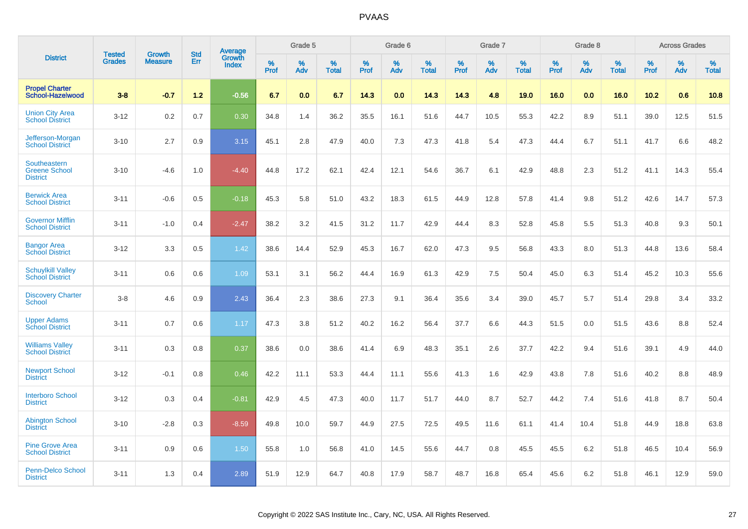|                                                         |                                | <b>Growth</b>  | <b>Std</b> | Average                |              | Grade 5     |                      |                     | Grade 6     |                      |              | Grade 7     |                      |              | Grade 8     |                   |                     | <b>Across Grades</b> |                      |
|---------------------------------------------------------|--------------------------------|----------------|------------|------------------------|--------------|-------------|----------------------|---------------------|-------------|----------------------|--------------|-------------|----------------------|--------------|-------------|-------------------|---------------------|----------------------|----------------------|
| <b>District</b>                                         | <b>Tested</b><br><b>Grades</b> | <b>Measure</b> | Err        | Growth<br><b>Index</b> | $\%$<br>Prof | $\%$<br>Adv | $\%$<br><b>Total</b> | $\%$<br><b>Prof</b> | $\%$<br>Adv | $\%$<br><b>Total</b> | $\%$<br>Prof | $\%$<br>Adv | $\%$<br><b>Total</b> | $\%$<br>Prof | $\%$<br>Adv | %<br><b>Total</b> | $\%$<br><b>Prof</b> | $\%$<br>Adv          | $\%$<br><b>Total</b> |
| <b>Propel Charter</b><br>School-Hazelwood               | $3 - 8$                        | $-0.7$         | 1.2        | $-0.56$                | 6.7          | 0.0         | 6.7                  | 14.3                | 0.0         | 14.3                 | 14.3         | 4.8         | 19.0                 | 16.0         | 0.0         | 16.0              | 10.2                | 0.6                  | 10.8                 |
| <b>Union City Area</b><br><b>School District</b>        | $3 - 12$                       | 0.2            | 0.7        | 0.30                   | 34.8         | 1.4         | 36.2                 | 35.5                | 16.1        | 51.6                 | 44.7         | 10.5        | 55.3                 | 42.2         | 8.9         | 51.1              | 39.0                | 12.5                 | 51.5                 |
| Jefferson-Morgan<br><b>School District</b>              | $3 - 10$                       | 2.7            | 0.9        | 3.15                   | 45.1         | 2.8         | 47.9                 | 40.0                | 7.3         | 47.3                 | 41.8         | 5.4         | 47.3                 | 44.4         | 6.7         | 51.1              | 41.7                | 6.6                  | 48.2                 |
| Southeastern<br><b>Greene School</b><br><b>District</b> | $3 - 10$                       | $-4.6$         | 1.0        | $-4.40$                | 44.8         | 17.2        | 62.1                 | 42.4                | 12.1        | 54.6                 | 36.7         | 6.1         | 42.9                 | 48.8         | 2.3         | 51.2              | 41.1                | 14.3                 | 55.4                 |
| <b>Berwick Area</b><br><b>School District</b>           | $3 - 11$                       | $-0.6$         | 0.5        | $-0.18$                | 45.3         | 5.8         | 51.0                 | 43.2                | 18.3        | 61.5                 | 44.9         | 12.8        | 57.8                 | 41.4         | 9.8         | 51.2              | 42.6                | 14.7                 | 57.3                 |
| <b>Governor Mifflin</b><br><b>School District</b>       | $3 - 11$                       | $-1.0$         | 0.4        | $-2.47$                | 38.2         | 3.2         | 41.5                 | 31.2                | 11.7        | 42.9                 | 44.4         | 8.3         | 52.8                 | 45.8         | 5.5         | 51.3              | 40.8                | 9.3                  | 50.1                 |
| <b>Bangor Area</b><br><b>School District</b>            | $3 - 12$                       | 3.3            | 0.5        | 1.42                   | 38.6         | 14.4        | 52.9                 | 45.3                | 16.7        | 62.0                 | 47.3         | 9.5         | 56.8                 | 43.3         | 8.0         | 51.3              | 44.8                | 13.6                 | 58.4                 |
| <b>Schuylkill Valley</b><br><b>School District</b>      | $3 - 11$                       | 0.6            | 0.6        | 1.09                   | 53.1         | 3.1         | 56.2                 | 44.4                | 16.9        | 61.3                 | 42.9         | 7.5         | 50.4                 | 45.0         | 6.3         | 51.4              | 45.2                | 10.3                 | 55.6                 |
| <b>Discovery Charter</b><br><b>School</b>               | $3 - 8$                        | 4.6            | 0.9        | 2.43                   | 36.4         | 2.3         | 38.6                 | 27.3                | 9.1         | 36.4                 | 35.6         | 3.4         | 39.0                 | 45.7         | 5.7         | 51.4              | 29.8                | 3.4                  | 33.2                 |
| <b>Upper Adams</b><br><b>School District</b>            | $3 - 11$                       | 0.7            | 0.6        | 1.17                   | 47.3         | 3.8         | 51.2                 | 40.2                | 16.2        | 56.4                 | 37.7         | 6.6         | 44.3                 | 51.5         | 0.0         | 51.5              | 43.6                | 8.8                  | 52.4                 |
| <b>Williams Valley</b><br><b>School District</b>        | $3 - 11$                       | 0.3            | 0.8        | 0.37                   | 38.6         | 0.0         | 38.6                 | 41.4                | 6.9         | 48.3                 | 35.1         | 2.6         | 37.7                 | 42.2         | 9.4         | 51.6              | 39.1                | 4.9                  | 44.0                 |
| <b>Newport School</b><br><b>District</b>                | $3 - 12$                       | $-0.1$         | 0.8        | 0.46                   | 42.2         | 11.1        | 53.3                 | 44.4                | 11.1        | 55.6                 | 41.3         | 1.6         | 42.9                 | 43.8         | 7.8         | 51.6              | 40.2                | 8.8                  | 48.9                 |
| <b>Interboro School</b><br><b>District</b>              | $3 - 12$                       | 0.3            | 0.4        | $-0.81$                | 42.9         | 4.5         | 47.3                 | 40.0                | 11.7        | 51.7                 | 44.0         | 8.7         | 52.7                 | 44.2         | 7.4         | 51.6              | 41.8                | 8.7                  | 50.4                 |
| <b>Abington School</b><br><b>District</b>               | $3 - 10$                       | $-2.8$         | 0.3        | $-8.59$                | 49.8         | 10.0        | 59.7                 | 44.9                | 27.5        | 72.5                 | 49.5         | 11.6        | 61.1                 | 41.4         | 10.4        | 51.8              | 44.9                | 18.8                 | 63.8                 |
| <b>Pine Grove Area</b><br><b>School District</b>        | $3 - 11$                       | 0.9            | 0.6        | 1.50                   | 55.8         | 1.0         | 56.8                 | 41.0                | 14.5        | 55.6                 | 44.7         | 0.8         | 45.5                 | 45.5         | 6.2         | 51.8              | 46.5                | 10.4                 | 56.9                 |
| <b>Penn-Delco School</b><br><b>District</b>             | $3 - 11$                       | 1.3            | 0.4        | 2.89                   | 51.9         | 12.9        | 64.7                 | 40.8                | 17.9        | 58.7                 | 48.7         | 16.8        | 65.4                 | 45.6         | 6.2         | 51.8              | 46.1                | 12.9                 | 59.0                 |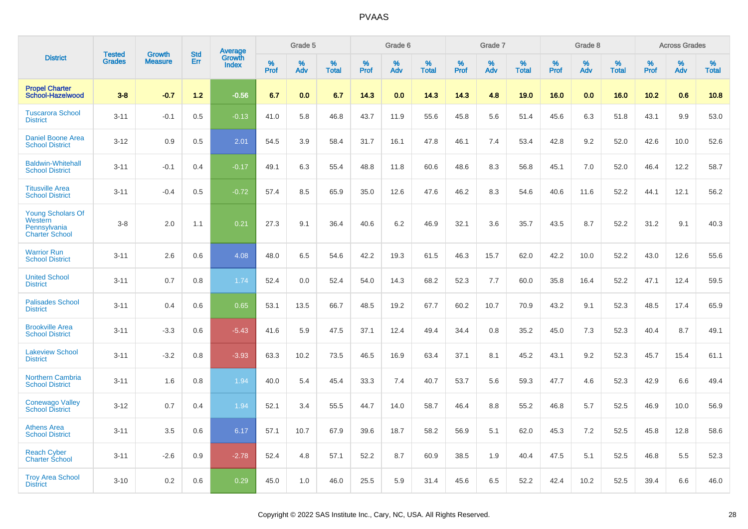|                                                                              | <b>Tested</b> | <b>Growth</b>  | <b>Std</b> |                                          |              | Grade 5  |                   |           | Grade 6  |                   |           | Grade 7  |                   |           | Grade 8  |                   |           | <b>Across Grades</b> |                   |
|------------------------------------------------------------------------------|---------------|----------------|------------|------------------------------------------|--------------|----------|-------------------|-----------|----------|-------------------|-----------|----------|-------------------|-----------|----------|-------------------|-----------|----------------------|-------------------|
| <b>District</b>                                                              | <b>Grades</b> | <b>Measure</b> | Err        | <b>Average</b><br>Growth<br><b>Index</b> | $\%$<br>Prof | %<br>Adv | %<br><b>Total</b> | %<br>Prof | %<br>Adv | %<br><b>Total</b> | %<br>Prof | %<br>Adv | %<br><b>Total</b> | %<br>Prof | %<br>Adv | %<br><b>Total</b> | %<br>Prof | %<br>Adv             | %<br><b>Total</b> |
| <b>Propel Charter</b><br>School-Hazelwood                                    | $3 - 8$       | $-0.7$         | 1.2        | $-0.56$                                  | 6.7          | 0.0      | 6.7               | 14.3      | 0.0      | 14.3              | 14.3      | 4.8      | 19.0              | 16.0      | 0.0      | 16.0              | 10.2      | 0.6                  | 10.8              |
| <b>Tuscarora School</b><br><b>District</b>                                   | $3 - 11$      | $-0.1$         | 0.5        | $-0.13$                                  | 41.0         | 5.8      | 46.8              | 43.7      | 11.9     | 55.6              | 45.8      | 5.6      | 51.4              | 45.6      | 6.3      | 51.8              | 43.1      | 9.9                  | 53.0              |
| <b>Daniel Boone Area</b><br><b>School District</b>                           | $3 - 12$      | 0.9            | 0.5        | 2.01                                     | 54.5         | 3.9      | 58.4              | 31.7      | 16.1     | 47.8              | 46.1      | 7.4      | 53.4              | 42.8      | 9.2      | 52.0              | 42.6      | 10.0                 | 52.6              |
| <b>Baldwin-Whitehall</b><br><b>School District</b>                           | $3 - 11$      | $-0.1$         | 0.4        | $-0.17$                                  | 49.1         | 6.3      | 55.4              | 48.8      | 11.8     | 60.6              | 48.6      | 8.3      | 56.8              | 45.1      | 7.0      | 52.0              | 46.4      | 12.2                 | 58.7              |
| <b>Titusville Area</b><br><b>School District</b>                             | $3 - 11$      | $-0.4$         | 0.5        | $-0.72$                                  | 57.4         | 8.5      | 65.9              | 35.0      | 12.6     | 47.6              | 46.2      | 8.3      | 54.6              | 40.6      | 11.6     | 52.2              | 44.1      | 12.1                 | 56.2              |
| <b>Young Scholars Of</b><br>Western<br>Pennsylvania<br><b>Charter School</b> | $3 - 8$       | 2.0            | 1.1        | 0.21                                     | 27.3         | 9.1      | 36.4              | 40.6      | 6.2      | 46.9              | 32.1      | 3.6      | 35.7              | 43.5      | 8.7      | 52.2              | 31.2      | 9.1                  | 40.3              |
| <b>Warrior Run</b><br><b>School District</b>                                 | $3 - 11$      | 2.6            | 0.6        | 4.08                                     | 48.0         | 6.5      | 54.6              | 42.2      | 19.3     | 61.5              | 46.3      | 15.7     | 62.0              | 42.2      | 10.0     | 52.2              | 43.0      | 12.6                 | 55.6              |
| <b>United School</b><br><b>District</b>                                      | $3 - 11$      | 0.7            | 0.8        | 1.74                                     | 52.4         | 0.0      | 52.4              | 54.0      | 14.3     | 68.2              | 52.3      | 7.7      | 60.0              | 35.8      | 16.4     | 52.2              | 47.1      | 12.4                 | 59.5              |
| <b>Palisades School</b><br><b>District</b>                                   | $3 - 11$      | 0.4            | 0.6        | 0.65                                     | 53.1         | 13.5     | 66.7              | 48.5      | 19.2     | 67.7              | 60.2      | 10.7     | 70.9              | 43.2      | 9.1      | 52.3              | 48.5      | 17.4                 | 65.9              |
| <b>Brookville Area</b><br><b>School District</b>                             | $3 - 11$      | $-3.3$         | 0.6        | $-5.43$                                  | 41.6         | 5.9      | 47.5              | 37.1      | 12.4     | 49.4              | 34.4      | 0.8      | 35.2              | 45.0      | 7.3      | 52.3              | 40.4      | 8.7                  | 49.1              |
| <b>Lakeview School</b><br><b>District</b>                                    | $3 - 11$      | $-3.2$         | 0.8        | $-3.93$                                  | 63.3         | 10.2     | 73.5              | 46.5      | 16.9     | 63.4              | 37.1      | 8.1      | 45.2              | 43.1      | 9.2      | 52.3              | 45.7      | 15.4                 | 61.1              |
| <b>Northern Cambria</b><br><b>School District</b>                            | $3 - 11$      | 1.6            | 0.8        | 1.94                                     | 40.0         | 5.4      | 45.4              | 33.3      | 7.4      | 40.7              | 53.7      | 5.6      | 59.3              | 47.7      | 4.6      | 52.3              | 42.9      | 6.6                  | 49.4              |
| <b>Conewago Valley</b><br><b>School District</b>                             | $3 - 12$      | 0.7            | 0.4        | 1.94                                     | 52.1         | 3.4      | 55.5              | 44.7      | 14.0     | 58.7              | 46.4      | 8.8      | 55.2              | 46.8      | 5.7      | 52.5              | 46.9      | 10.0                 | 56.9              |
| <b>Athens Area</b><br><b>School District</b>                                 | $3 - 11$      | 3.5            | 0.6        | 6.17                                     | 57.1         | 10.7     | 67.9              | 39.6      | 18.7     | 58.2              | 56.9      | 5.1      | 62.0              | 45.3      | 7.2      | 52.5              | 45.8      | 12.8                 | 58.6              |
| <b>Reach Cyber</b><br><b>Charter School</b>                                  | $3 - 11$      | $-2.6$         | 0.9        | $-2.78$                                  | 52.4         | 4.8      | 57.1              | 52.2      | 8.7      | 60.9              | 38.5      | 1.9      | 40.4              | 47.5      | 5.1      | 52.5              | 46.8      | 5.5                  | 52.3              |
| <b>Troy Area School</b><br><b>District</b>                                   | $3 - 10$      | 0.2            | 0.6        | 0.29                                     | 45.0         | 1.0      | 46.0              | 25.5      | 5.9      | 31.4              | 45.6      | 6.5      | 52.2              | 42.4      | 10.2     | 52.5              | 39.4      | 6.6                  | 46.0              |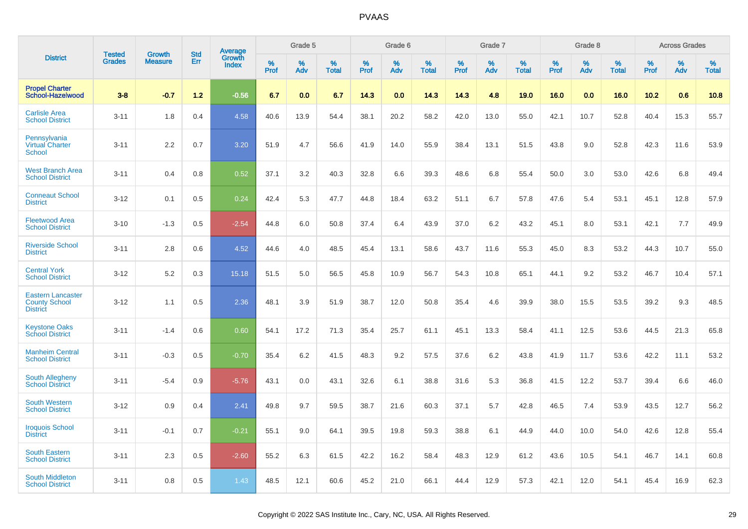|                                                                     | <b>Tested</b> | <b>Growth</b>  | <b>Std</b> |                                   |                     | Grade 5  |                      |                     | Grade 6  |                      |              | Grade 7  |                      |                     | Grade 8  |                      |                     | <b>Across Grades</b> |                      |
|---------------------------------------------------------------------|---------------|----------------|------------|-----------------------------------|---------------------|----------|----------------------|---------------------|----------|----------------------|--------------|----------|----------------------|---------------------|----------|----------------------|---------------------|----------------------|----------------------|
| <b>District</b>                                                     | <b>Grades</b> | <b>Measure</b> | Err        | Average<br>Growth<br><b>Index</b> | $\%$<br><b>Prof</b> | %<br>Adv | $\%$<br><b>Total</b> | $\%$<br><b>Prof</b> | %<br>Adv | $\%$<br><b>Total</b> | $\%$<br>Prof | %<br>Adv | $\%$<br><b>Total</b> | $\%$<br><b>Prof</b> | %<br>Adv | $\%$<br><b>Total</b> | $\%$<br><b>Prof</b> | %<br>Adv             | $\%$<br><b>Total</b> |
| <b>Propel Charter</b><br>School-Hazelwood                           | $3 - 8$       | $-0.7$         | $1.2$      | $-0.56$                           | 6.7                 | 0.0      | 6.7                  | 14.3                | 0.0      | 14.3                 | 14.3         | 4.8      | 19.0                 | 16.0                | 0.0      | 16.0                 | 10.2                | 0.6                  | 10.8                 |
| <b>Carlisle Area</b><br><b>School District</b>                      | $3 - 11$      | 1.8            | 0.4        | 4.58                              | 40.6                | 13.9     | 54.4                 | 38.1                | 20.2     | 58.2                 | 42.0         | 13.0     | 55.0                 | 42.1                | 10.7     | 52.8                 | 40.4                | 15.3                 | 55.7                 |
| Pennsylvania<br><b>Virtual Charter</b><br><b>School</b>             | $3 - 11$      | 2.2            | 0.7        | 3.20                              | 51.9                | 4.7      | 56.6                 | 41.9                | 14.0     | 55.9                 | 38.4         | 13.1     | 51.5                 | 43.8                | 9.0      | 52.8                 | 42.3                | 11.6                 | 53.9                 |
| <b>West Branch Area</b><br><b>School District</b>                   | $3 - 11$      | 0.4            | 0.8        | 0.52                              | 37.1                | 3.2      | 40.3                 | 32.8                | 6.6      | 39.3                 | 48.6         | 6.8      | 55.4                 | 50.0                | 3.0      | 53.0                 | 42.6                | 6.8                  | 49.4                 |
| <b>Conneaut School</b><br><b>District</b>                           | $3 - 12$      | 0.1            | 0.5        | 0.24                              | 42.4                | 5.3      | 47.7                 | 44.8                | 18.4     | 63.2                 | 51.1         | 6.7      | 57.8                 | 47.6                | 5.4      | 53.1                 | 45.1                | 12.8                 | 57.9                 |
| <b>Fleetwood Area</b><br><b>School District</b>                     | $3 - 10$      | $-1.3$         | 0.5        | $-2.54$                           | 44.8                | 6.0      | 50.8                 | 37.4                | 6.4      | 43.9                 | 37.0         | 6.2      | 43.2                 | 45.1                | 8.0      | 53.1                 | 42.1                | 7.7                  | 49.9                 |
| <b>Riverside School</b><br><b>District</b>                          | $3 - 11$      | 2.8            | 0.6        | 4.52                              | 44.6                | 4.0      | 48.5                 | 45.4                | 13.1     | 58.6                 | 43.7         | 11.6     | 55.3                 | 45.0                | 8.3      | 53.2                 | 44.3                | 10.7                 | 55.0                 |
| <b>Central York</b><br><b>School District</b>                       | $3 - 12$      | 5.2            | 0.3        | 15.18                             | 51.5                | 5.0      | 56.5                 | 45.8                | 10.9     | 56.7                 | 54.3         | 10.8     | 65.1                 | 44.1                | 9.2      | 53.2                 | 46.7                | 10.4                 | 57.1                 |
| <b>Eastern Lancaster</b><br><b>County School</b><br><b>District</b> | $3 - 12$      | 1.1            | 0.5        | 2.36                              | 48.1                | 3.9      | 51.9                 | 38.7                | 12.0     | 50.8                 | 35.4         | 4.6      | 39.9                 | 38.0                | 15.5     | 53.5                 | 39.2                | 9.3                  | 48.5                 |
| <b>Keystone Oaks</b><br><b>School District</b>                      | $3 - 11$      | $-1.4$         | 0.6        | 0.60                              | 54.1                | 17.2     | 71.3                 | 35.4                | 25.7     | 61.1                 | 45.1         | 13.3     | 58.4                 | 41.1                | 12.5     | 53.6                 | 44.5                | 21.3                 | 65.8                 |
| <b>Manheim Central</b><br><b>School District</b>                    | $3 - 11$      | $-0.3$         | 0.5        | $-0.70$                           | 35.4                | 6.2      | 41.5                 | 48.3                | 9.2      | 57.5                 | 37.6         | 6.2      | 43.8                 | 41.9                | 11.7     | 53.6                 | 42.2                | 11.1                 | 53.2                 |
| South Allegheny<br><b>School District</b>                           | $3 - 11$      | $-5.4$         | 0.9        | $-5.76$                           | 43.1                | 0.0      | 43.1                 | 32.6                | 6.1      | 38.8                 | 31.6         | 5.3      | 36.8                 | 41.5                | 12.2     | 53.7                 | 39.4                | 6.6                  | 46.0                 |
| <b>South Western</b><br><b>School District</b>                      | $3 - 12$      | 0.9            | 0.4        | 2.41                              | 49.8                | 9.7      | 59.5                 | 38.7                | 21.6     | 60.3                 | 37.1         | 5.7      | 42.8                 | 46.5                | 7.4      | 53.9                 | 43.5                | 12.7                 | 56.2                 |
| <b>Iroquois School</b><br><b>District</b>                           | $3 - 11$      | $-0.1$         | 0.7        | $-0.21$                           | 55.1                | 9.0      | 64.1                 | 39.5                | 19.8     | 59.3                 | 38.8         | 6.1      | 44.9                 | 44.0                | 10.0     | 54.0                 | 42.6                | 12.8                 | 55.4                 |
| <b>South Eastern</b><br><b>School District</b>                      | $3 - 11$      | 2.3            | 0.5        | $-2.60$                           | 55.2                | 6.3      | 61.5                 | 42.2                | 16.2     | 58.4                 | 48.3         | 12.9     | 61.2                 | 43.6                | 10.5     | 54.1                 | 46.7                | 14.1                 | 60.8                 |
| South Middleton<br><b>School District</b>                           | $3 - 11$      | 0.8            | 0.5        | 1.43                              | 48.5                | 12.1     | 60.6                 | 45.2                | 21.0     | 66.1                 | 44.4         | 12.9     | 57.3                 | 42.1                | 12.0     | 54.1                 | 45.4                | 16.9                 | 62.3                 |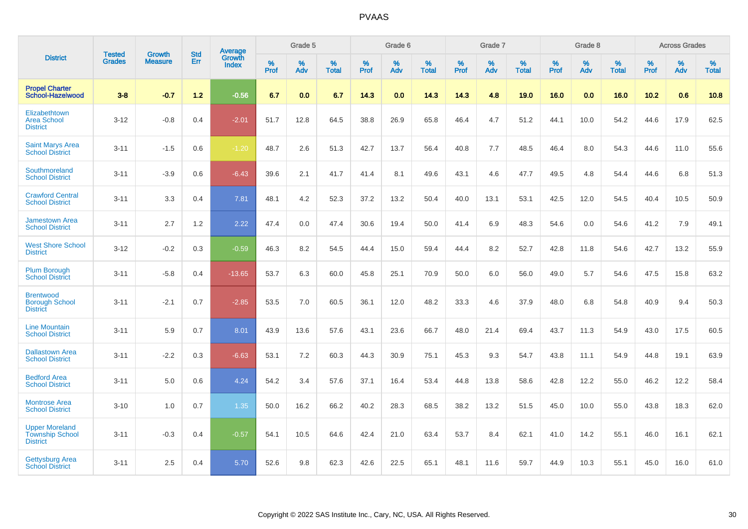|                                                                    | <b>Tested</b> | <b>Growth</b>  | <b>Std</b> | Average                       |           | Grade 5  |                   |           | Grade 6  |                   |           | Grade 7  |                   |           | Grade 8  |                   |           | <b>Across Grades</b> |                   |
|--------------------------------------------------------------------|---------------|----------------|------------|-------------------------------|-----------|----------|-------------------|-----------|----------|-------------------|-----------|----------|-------------------|-----------|----------|-------------------|-----------|----------------------|-------------------|
| <b>District</b>                                                    | <b>Grades</b> | <b>Measure</b> | Err        | <b>Growth</b><br><b>Index</b> | %<br>Prof | %<br>Adv | %<br><b>Total</b> | %<br>Prof | %<br>Adv | %<br><b>Total</b> | %<br>Prof | %<br>Adv | %<br><b>Total</b> | %<br>Prof | %<br>Adv | %<br><b>Total</b> | %<br>Prof | %<br>Adv             | %<br><b>Total</b> |
| <b>Propel Charter</b><br>School-Hazelwood                          | $3 - 8$       | $-0.7$         | $1.2$      | $-0.56$                       | 6.7       | 0.0      | 6.7               | 14.3      | 0.0      | 14.3              | 14.3      | 4.8      | 19.0              | 16.0      | 0.0      | 16.0              | 10.2      | 0.6                  | 10.8              |
| Elizabethtown<br><b>Area School</b><br><b>District</b>             | $3 - 12$      | $-0.8$         | 0.4        | $-2.01$                       | 51.7      | 12.8     | 64.5              | 38.8      | 26.9     | 65.8              | 46.4      | 4.7      | 51.2              | 44.1      | 10.0     | 54.2              | 44.6      | 17.9                 | 62.5              |
| <b>Saint Marys Area</b><br><b>School District</b>                  | $3 - 11$      | $-1.5$         | 0.6        | $-1.20$                       | 48.7      | 2.6      | 51.3              | 42.7      | 13.7     | 56.4              | 40.8      | 7.7      | 48.5              | 46.4      | 8.0      | 54.3              | 44.6      | 11.0                 | 55.6              |
| Southmoreland<br><b>School District</b>                            | $3 - 11$      | $-3.9$         | 0.6        | $-6.43$                       | 39.6      | 2.1      | 41.7              | 41.4      | 8.1      | 49.6              | 43.1      | 4.6      | 47.7              | 49.5      | 4.8      | 54.4              | 44.6      | 6.8                  | 51.3              |
| <b>Crawford Central</b><br><b>School District</b>                  | $3 - 11$      | 3.3            | 0.4        | 7.81                          | 48.1      | 4.2      | 52.3              | 37.2      | 13.2     | 50.4              | 40.0      | 13.1     | 53.1              | 42.5      | 12.0     | 54.5              | 40.4      | 10.5                 | 50.9              |
| <b>Jamestown Area</b><br><b>School District</b>                    | $3 - 11$      | 2.7            | 1.2        | 2.22                          | 47.4      | 0.0      | 47.4              | 30.6      | 19.4     | 50.0              | 41.4      | 6.9      | 48.3              | 54.6      | 0.0      | 54.6              | 41.2      | 7.9                  | 49.1              |
| <b>West Shore School</b><br><b>District</b>                        | $3 - 12$      | $-0.2$         | 0.3        | $-0.59$                       | 46.3      | 8.2      | 54.5              | 44.4      | 15.0     | 59.4              | 44.4      | 8.2      | 52.7              | 42.8      | 11.8     | 54.6              | 42.7      | 13.2                 | 55.9              |
| <b>Plum Borough</b><br><b>School District</b>                      | $3 - 11$      | $-5.8$         | 0.4        | $-13.65$                      | 53.7      | 6.3      | 60.0              | 45.8      | 25.1     | 70.9              | 50.0      | 6.0      | 56.0              | 49.0      | 5.7      | 54.6              | 47.5      | 15.8                 | 63.2              |
| <b>Brentwood</b><br><b>Borough School</b><br><b>District</b>       | $3 - 11$      | $-2.1$         | 0.7        | $-2.85$                       | 53.5      | 7.0      | 60.5              | 36.1      | 12.0     | 48.2              | 33.3      | 4.6      | 37.9              | 48.0      | 6.8      | 54.8              | 40.9      | 9.4                  | 50.3              |
| <b>Line Mountain</b><br><b>School District</b>                     | $3 - 11$      | 5.9            | 0.7        | 8.01                          | 43.9      | 13.6     | 57.6              | 43.1      | 23.6     | 66.7              | 48.0      | 21.4     | 69.4              | 43.7      | 11.3     | 54.9              | 43.0      | 17.5                 | 60.5              |
| <b>Dallastown Area</b><br><b>School District</b>                   | $3 - 11$      | $-2.2$         | 0.3        | $-6.63$                       | 53.1      | 7.2      | 60.3              | 44.3      | 30.9     | 75.1              | 45.3      | 9.3      | 54.7              | 43.8      | 11.1     | 54.9              | 44.8      | 19.1                 | 63.9              |
| <b>Bedford Area</b><br><b>School District</b>                      | $3 - 11$      | 5.0            | 0.6        | 4.24                          | 54.2      | 3.4      | 57.6              | 37.1      | 16.4     | 53.4              | 44.8      | 13.8     | 58.6              | 42.8      | 12.2     | 55.0              | 46.2      | 12.2                 | 58.4              |
| <b>Montrose Area</b><br><b>School District</b>                     | $3 - 10$      | 1.0            | 0.7        | 1.35                          | 50.0      | 16.2     | 66.2              | 40.2      | 28.3     | 68.5              | 38.2      | 13.2     | 51.5              | 45.0      | 10.0     | 55.0              | 43.8      | 18.3                 | 62.0              |
| <b>Upper Moreland</b><br><b>Township School</b><br><b>District</b> | $3 - 11$      | $-0.3$         | 0.4        | $-0.57$                       | 54.1      | 10.5     | 64.6              | 42.4      | 21.0     | 63.4              | 53.7      | 8.4      | 62.1              | 41.0      | 14.2     | 55.1              | 46.0      | 16.1                 | 62.1              |
| <b>Gettysburg Area</b><br><b>School District</b>                   | $3 - 11$      | 2.5            | 0.4        | 5.70                          | 52.6      | 9.8      | 62.3              | 42.6      | 22.5     | 65.1              | 48.1      | 11.6     | 59.7              | 44.9      | 10.3     | 55.1              | 45.0      | 16.0                 | 61.0              |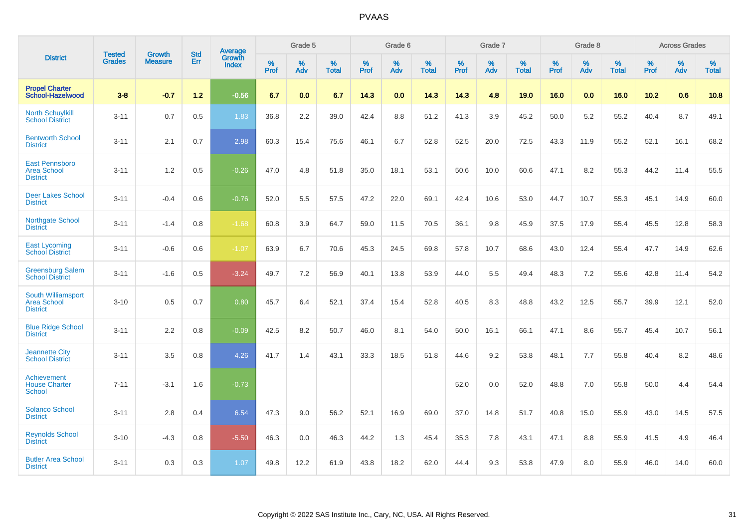|                                                                |                                |                                 | <b>Std</b> | Average                       |           | Grade 5  |                   |           | Grade 6  |                   |           | Grade 7  |                   |           | Grade 8  |                   |           | <b>Across Grades</b> |                   |
|----------------------------------------------------------------|--------------------------------|---------------------------------|------------|-------------------------------|-----------|----------|-------------------|-----------|----------|-------------------|-----------|----------|-------------------|-----------|----------|-------------------|-----------|----------------------|-------------------|
| <b>District</b>                                                | <b>Tested</b><br><b>Grades</b> | <b>Growth</b><br><b>Measure</b> | Err        | <b>Growth</b><br><b>Index</b> | %<br>Prof | %<br>Adv | %<br><b>Total</b> | %<br>Prof | %<br>Adv | %<br><b>Total</b> | %<br>Prof | %<br>Adv | %<br><b>Total</b> | %<br>Prof | %<br>Adv | %<br><b>Total</b> | %<br>Prof | %<br>Adv             | %<br><b>Total</b> |
| <b>Propel Charter</b><br>School-Hazelwood                      | $3 - 8$                        | $-0.7$                          | $1.2$      | $-0.56$                       | 6.7       | 0.0      | 6.7               | 14.3      | 0.0      | 14.3              | 14.3      | 4.8      | 19.0              | 16.0      | 0.0      | 16.0              | 10.2      | 0.6                  | 10.8              |
| <b>North Schuylkill</b><br><b>School District</b>              | $3 - 11$                       | 0.7                             | 0.5        | 1.83                          | 36.8      | 2.2      | 39.0              | 42.4      | 8.8      | 51.2              | 41.3      | 3.9      | 45.2              | 50.0      | 5.2      | 55.2              | 40.4      | 8.7                  | 49.1              |
| <b>Bentworth School</b><br><b>District</b>                     | $3 - 11$                       | 2.1                             | 0.7        | 2.98                          | 60.3      | 15.4     | 75.6              | 46.1      | 6.7      | 52.8              | 52.5      | 20.0     | 72.5              | 43.3      | 11.9     | 55.2              | 52.1      | 16.1                 | 68.2              |
| <b>East Pennsboro</b><br><b>Area School</b><br><b>District</b> | $3 - 11$                       | 1.2                             | 0.5        | $-0.26$                       | 47.0      | 4.8      | 51.8              | 35.0      | 18.1     | 53.1              | 50.6      | 10.0     | 60.6              | 47.1      | 8.2      | 55.3              | 44.2      | 11.4                 | 55.5              |
| <b>Deer Lakes School</b><br><b>District</b>                    | $3 - 11$                       | $-0.4$                          | 0.6        | $-0.76$                       | 52.0      | 5.5      | 57.5              | 47.2      | 22.0     | 69.1              | 42.4      | 10.6     | 53.0              | 44.7      | 10.7     | 55.3              | 45.1      | 14.9                 | 60.0              |
| Northgate School<br><b>District</b>                            | $3 - 11$                       | $-1.4$                          | 0.8        | $-1.68$                       | 60.8      | 3.9      | 64.7              | 59.0      | 11.5     | 70.5              | 36.1      | 9.8      | 45.9              | 37.5      | 17.9     | 55.4              | 45.5      | 12.8                 | 58.3              |
| <b>East Lycoming</b><br><b>School District</b>                 | $3 - 11$                       | $-0.6$                          | 0.6        | $-1.07$                       | 63.9      | 6.7      | 70.6              | 45.3      | 24.5     | 69.8              | 57.8      | 10.7     | 68.6              | 43.0      | 12.4     | 55.4              | 47.7      | 14.9                 | 62.6              |
| <b>Greensburg Salem</b><br><b>School District</b>              | $3 - 11$                       | $-1.6$                          | 0.5        | $-3.24$                       | 49.7      | 7.2      | 56.9              | 40.1      | 13.8     | 53.9              | 44.0      | 5.5      | 49.4              | 48.3      | 7.2      | 55.6              | 42.8      | 11.4                 | 54.2              |
| South Williamsport<br><b>Area School</b><br><b>District</b>    | $3 - 10$                       | 0.5                             | 0.7        | 0.80                          | 45.7      | 6.4      | 52.1              | 37.4      | 15.4     | 52.8              | 40.5      | 8.3      | 48.8              | 43.2      | 12.5     | 55.7              | 39.9      | 12.1                 | 52.0              |
| <b>Blue Ridge School</b><br><b>District</b>                    | $3 - 11$                       | 2.2                             | 0.8        | $-0.09$                       | 42.5      | 8.2      | 50.7              | 46.0      | 8.1      | 54.0              | 50.0      | 16.1     | 66.1              | 47.1      | 8.6      | 55.7              | 45.4      | 10.7                 | 56.1              |
| <b>Jeannette City</b><br><b>School District</b>                | $3 - 11$                       | 3.5                             | 0.8        | 4.26                          | 41.7      | 1.4      | 43.1              | 33.3      | 18.5     | 51.8              | 44.6      | 9.2      | 53.8              | 48.1      | 7.7      | 55.8              | 40.4      | 8.2                  | 48.6              |
| Achievement<br><b>House Charter</b><br><b>School</b>           | $7 - 11$                       | $-3.1$                          | 1.6        | $-0.73$                       |           |          |                   |           |          |                   | 52.0      | 0.0      | 52.0              | 48.8      | 7.0      | 55.8              | 50.0      | 4.4                  | 54.4              |
| <b>Solanco School</b><br><b>District</b>                       | $3 - 11$                       | 2.8                             | 0.4        | 6.54                          | 47.3      | 9.0      | 56.2              | 52.1      | 16.9     | 69.0              | 37.0      | 14.8     | 51.7              | 40.8      | 15.0     | 55.9              | 43.0      | 14.5                 | 57.5              |
| <b>Reynolds School</b><br><b>District</b>                      | $3 - 10$                       | $-4.3$                          | 0.8        | $-5.50$                       | 46.3      | 0.0      | 46.3              | 44.2      | 1.3      | 45.4              | 35.3      | 7.8      | 43.1              | 47.1      | 8.8      | 55.9              | 41.5      | 4.9                  | 46.4              |
| <b>Butler Area School</b><br><b>District</b>                   | $3 - 11$                       | 0.3                             | 0.3        | 1.07                          | 49.8      | 12.2     | 61.9              | 43.8      | 18.2     | 62.0              | 44.4      | 9.3      | 53.8              | 47.9      | 8.0      | 55.9              | 46.0      | 14.0                 | 60.0              |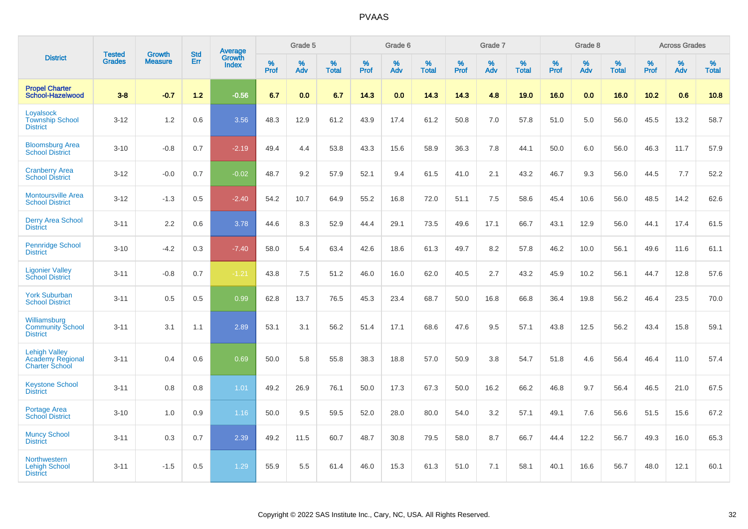|                                                                          |                                |                                 | <b>Std</b> | Average         |              | Grade 5  |                   |           | Grade 6  |                   |           | Grade 7  |                      |           | Grade 8  |                   |              | <b>Across Grades</b> |                   |
|--------------------------------------------------------------------------|--------------------------------|---------------------------------|------------|-----------------|--------------|----------|-------------------|-----------|----------|-------------------|-----------|----------|----------------------|-----------|----------|-------------------|--------------|----------------------|-------------------|
| <b>District</b>                                                          | <b>Tested</b><br><b>Grades</b> | <b>Growth</b><br><b>Measure</b> | Err        | Growth<br>Index | $\%$<br>Prof | %<br>Adv | %<br><b>Total</b> | %<br>Prof | %<br>Adv | %<br><b>Total</b> | %<br>Prof | %<br>Adv | $\%$<br><b>Total</b> | %<br>Prof | %<br>Adv | %<br><b>Total</b> | $\%$<br>Prof | %<br>Adv             | %<br><b>Total</b> |
| <b>Propel Charter</b><br><b>School-Hazelwood</b>                         | $3 - 8$                        | $-0.7$                          | $1.2$      | $-0.56$         | 6.7          | 0.0      | 6.7               | 14.3      | 0.0      | 14.3              | 14.3      | 4.8      | 19.0                 | 16.0      | 0.0      | 16.0              | 10.2         | 0.6                  | 10.8              |
| Lovalsock<br><b>Township School</b><br><b>District</b>                   | $3 - 12$                       | 1.2                             | 0.6        | 3.56            | 48.3         | 12.9     | 61.2              | 43.9      | 17.4     | 61.2              | 50.8      | 7.0      | 57.8                 | 51.0      | 5.0      | 56.0              | 45.5         | 13.2                 | 58.7              |
| <b>Bloomsburg Area</b><br><b>School District</b>                         | $3 - 10$                       | $-0.8$                          | 0.7        | $-2.19$         | 49.4         | 4.4      | 53.8              | 43.3      | 15.6     | 58.9              | 36.3      | 7.8      | 44.1                 | 50.0      | 6.0      | 56.0              | 46.3         | 11.7                 | 57.9              |
| <b>Cranberry Area</b><br><b>School District</b>                          | $3 - 12$                       | $-0.0$                          | 0.7        | $-0.02$         | 48.7         | 9.2      | 57.9              | 52.1      | 9.4      | 61.5              | 41.0      | 2.1      | 43.2                 | 46.7      | 9.3      | 56.0              | 44.5         | 7.7                  | 52.2              |
| <b>Montoursville Area</b><br><b>School District</b>                      | $3 - 12$                       | $-1.3$                          | 0.5        | $-2.40$         | 54.2         | 10.7     | 64.9              | 55.2      | 16.8     | 72.0              | 51.1      | 7.5      | 58.6                 | 45.4      | 10.6     | 56.0              | 48.5         | 14.2                 | 62.6              |
| <b>Derry Area School</b><br><b>District</b>                              | $3 - 11$                       | 2.2                             | 0.6        | 3.78            | 44.6         | 8.3      | 52.9              | 44.4      | 29.1     | 73.5              | 49.6      | 17.1     | 66.7                 | 43.1      | 12.9     | 56.0              | 44.1         | 17.4                 | 61.5              |
| <b>Pennridge School</b><br><b>District</b>                               | $3 - 10$                       | $-4.2$                          | 0.3        | $-7.40$         | 58.0         | 5.4      | 63.4              | 42.6      | 18.6     | 61.3              | 49.7      | 8.2      | 57.8                 | 46.2      | 10.0     | 56.1              | 49.6         | 11.6                 | 61.1              |
| <b>Ligonier Valley</b><br><b>School District</b>                         | $3 - 11$                       | $-0.8$                          | 0.7        | $-1.21$         | 43.8         | 7.5      | 51.2              | 46.0      | 16.0     | 62.0              | 40.5      | 2.7      | 43.2                 | 45.9      | 10.2     | 56.1              | 44.7         | 12.8                 | 57.6              |
| <b>York Suburban</b><br><b>School District</b>                           | $3 - 11$                       | 0.5                             | 0.5        | 0.99            | 62.8         | 13.7     | 76.5              | 45.3      | 23.4     | 68.7              | 50.0      | 16.8     | 66.8                 | 36.4      | 19.8     | 56.2              | 46.4         | 23.5                 | 70.0              |
| Williamsburg<br><b>Community School</b><br><b>District</b>               | $3 - 11$                       | 3.1                             | 1.1        | 2.89            | 53.1         | 3.1      | 56.2              | 51.4      | 17.1     | 68.6              | 47.6      | 9.5      | 57.1                 | 43.8      | 12.5     | 56.2              | 43.4         | 15.8                 | 59.1              |
| <b>Lehigh Valley</b><br><b>Academy Regional</b><br><b>Charter School</b> | $3 - 11$                       | 0.4                             | 0.6        | 0.69            | 50.0         | 5.8      | 55.8              | 38.3      | 18.8     | 57.0              | 50.9      | 3.8      | 54.7                 | 51.8      | 4.6      | 56.4              | 46.4         | 11.0                 | 57.4              |
| <b>Keystone School</b><br><b>District</b>                                | $3 - 11$                       | 0.8                             | 0.8        | 1.01            | 49.2         | 26.9     | 76.1              | 50.0      | 17.3     | 67.3              | 50.0      | 16.2     | 66.2                 | 46.8      | 9.7      | 56.4              | 46.5         | 21.0                 | 67.5              |
| <b>Portage Area</b><br><b>School District</b>                            | $3 - 10$                       | 1.0                             | 0.9        | 1.16            | 50.0         | 9.5      | 59.5              | 52.0      | 28.0     | 80.0              | 54.0      | 3.2      | 57.1                 | 49.1      | 7.6      | 56.6              | 51.5         | 15.6                 | 67.2              |
| <b>Muncy School</b><br><b>District</b>                                   | $3 - 11$                       | 0.3                             | 0.7        | 2.39            | 49.2         | 11.5     | 60.7              | 48.7      | 30.8     | 79.5              | 58.0      | 8.7      | 66.7                 | 44.4      | 12.2     | 56.7              | 49.3         | 16.0                 | 65.3              |
| <b>Northwestern</b><br><b>Lehigh School</b><br><b>District</b>           | $3 - 11$                       | $-1.5$                          | 0.5        | 1.29            | 55.9         | 5.5      | 61.4              | 46.0      | 15.3     | 61.3              | 51.0      | 7.1      | 58.1                 | 40.1      | 16.6     | 56.7              | 48.0         | 12.1                 | 60.1              |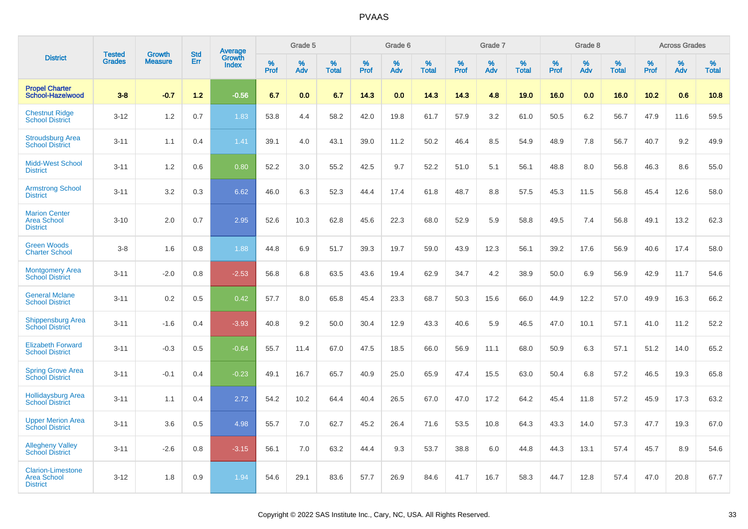|                                                                   | <b>Tested</b> | <b>Growth</b>  | <b>Std</b> | Average                |                     | Grade 5  |                   |                     | Grade 6  |                   |              | Grade 7  |                   |              | Grade 8  |                   |              | <b>Across Grades</b> |                   |
|-------------------------------------------------------------------|---------------|----------------|------------|------------------------|---------------------|----------|-------------------|---------------------|----------|-------------------|--------------|----------|-------------------|--------------|----------|-------------------|--------------|----------------------|-------------------|
| <b>District</b>                                                   | <b>Grades</b> | <b>Measure</b> | Err        | Growth<br><b>Index</b> | $\%$<br><b>Prof</b> | %<br>Adv | %<br><b>Total</b> | $\%$<br><b>Prof</b> | %<br>Adv | %<br><b>Total</b> | $\%$<br>Prof | %<br>Adv | %<br><b>Total</b> | $\%$<br>Prof | %<br>Adv | %<br><b>Total</b> | $\%$<br>Prof | %<br>Adv             | %<br><b>Total</b> |
| <b>Propel Charter</b><br>School-Hazelwood                         | $3 - 8$       | $-0.7$         | $1.2$      | $-0.56$                | 6.7                 | 0.0      | 6.7               | 14.3                | 0.0      | 14.3              | 14.3         | 4.8      | 19.0              | 16.0         | 0.0      | 16.0              | 10.2         | 0.6                  | 10.8              |
| <b>Chestnut Ridge</b><br><b>School District</b>                   | $3 - 12$      | 1.2            | 0.7        | 1.83                   | 53.8                | 4.4      | 58.2              | 42.0                | 19.8     | 61.7              | 57.9         | 3.2      | 61.0              | 50.5         | 6.2      | 56.7              | 47.9         | 11.6                 | 59.5              |
| <b>Stroudsburg Area</b><br><b>School District</b>                 | $3 - 11$      | 1.1            | 0.4        | 1.41                   | 39.1                | 4.0      | 43.1              | 39.0                | 11.2     | 50.2              | 46.4         | 8.5      | 54.9              | 48.9         | 7.8      | 56.7              | 40.7         | 9.2                  | 49.9              |
| <b>Midd-West School</b><br><b>District</b>                        | $3 - 11$      | 1.2            | 0.6        | 0.80                   | 52.2                | 3.0      | 55.2              | 42.5                | 9.7      | 52.2              | 51.0         | 5.1      | 56.1              | 48.8         | 8.0      | 56.8              | 46.3         | 8.6                  | 55.0              |
| <b>Armstrong School</b><br><b>District</b>                        | $3 - 11$      | 3.2            | 0.3        | 6.62                   | 46.0                | 6.3      | 52.3              | 44.4                | 17.4     | 61.8              | 48.7         | 8.8      | 57.5              | 45.3         | 11.5     | 56.8              | 45.4         | 12.6                 | 58.0              |
| <b>Marion Center</b><br><b>Area School</b><br><b>District</b>     | $3 - 10$      | 2.0            | 0.7        | 2.95                   | 52.6                | 10.3     | 62.8              | 45.6                | 22.3     | 68.0              | 52.9         | 5.9      | 58.8              | 49.5         | 7.4      | 56.8              | 49.1         | 13.2                 | 62.3              |
| <b>Green Woods</b><br><b>Charter School</b>                       | $3-8$         | 1.6            | 0.8        | 1.88                   | 44.8                | 6.9      | 51.7              | 39.3                | 19.7     | 59.0              | 43.9         | 12.3     | 56.1              | 39.2         | 17.6     | 56.9              | 40.6         | 17.4                 | 58.0              |
| <b>Montgomery Area</b><br><b>School District</b>                  | $3 - 11$      | $-2.0$         | 0.8        | $-2.53$                | 56.8                | 6.8      | 63.5              | 43.6                | 19.4     | 62.9              | 34.7         | 4.2      | 38.9              | 50.0         | 6.9      | 56.9              | 42.9         | 11.7                 | 54.6              |
| <b>General Mclane</b><br><b>School District</b>                   | $3 - 11$      | 0.2            | 0.5        | 0.42                   | 57.7                | 8.0      | 65.8              | 45.4                | 23.3     | 68.7              | 50.3         | 15.6     | 66.0              | 44.9         | 12.2     | 57.0              | 49.9         | 16.3                 | 66.2              |
| <b>Shippensburg Area</b><br><b>School District</b>                | $3 - 11$      | $-1.6$         | 0.4        | $-3.93$                | 40.8                | 9.2      | 50.0              | 30.4                | 12.9     | 43.3              | 40.6         | 5.9      | 46.5              | 47.0         | 10.1     | 57.1              | 41.0         | 11.2                 | 52.2              |
| <b>Elizabeth Forward</b><br><b>School District</b>                | $3 - 11$      | $-0.3$         | 0.5        | $-0.64$                | 55.7                | 11.4     | 67.0              | 47.5                | 18.5     | 66.0              | 56.9         | 11.1     | 68.0              | 50.9         | 6.3      | 57.1              | 51.2         | 14.0                 | 65.2              |
| <b>Spring Grove Area</b><br><b>School District</b>                | $3 - 11$      | $-0.1$         | 0.4        | $-0.23$                | 49.1                | 16.7     | 65.7              | 40.9                | 25.0     | 65.9              | 47.4         | 15.5     | 63.0              | 50.4         | 6.8      | 57.2              | 46.5         | 19.3                 | 65.8              |
| <b>Hollidaysburg Area</b><br><b>School District</b>               | $3 - 11$      | 1.1            | 0.4        | 2.72                   | 54.2                | 10.2     | 64.4              | 40.4                | 26.5     | 67.0              | 47.0         | 17.2     | 64.2              | 45.4         | 11.8     | 57.2              | 45.9         | 17.3                 | 63.2              |
| <b>Upper Merion Area</b><br><b>School District</b>                | $3 - 11$      | 3.6            | 0.5        | 4.98                   | 55.7                | 7.0      | 62.7              | 45.2                | 26.4     | 71.6              | 53.5         | 10.8     | 64.3              | 43.3         | 14.0     | 57.3              | 47.7         | 19.3                 | 67.0              |
| <b>Allegheny Valley</b><br><b>School District</b>                 | $3 - 11$      | $-2.6$         | 0.8        | $-3.15$                | 56.1                | 7.0      | 63.2              | 44.4                | 9.3      | 53.7              | 38.8         | 6.0      | 44.8              | 44.3         | 13.1     | 57.4              | 45.7         | 8.9                  | 54.6              |
| <b>Clarion-Limestone</b><br><b>Area School</b><br><b>District</b> | $3 - 12$      | 1.8            | 0.9        | 1.94                   | 54.6                | 29.1     | 83.6              | 57.7                | 26.9     | 84.6              | 41.7         | 16.7     | 58.3              | 44.7         | 12.8     | 57.4              | 47.0         | 20.8                 | 67.7              |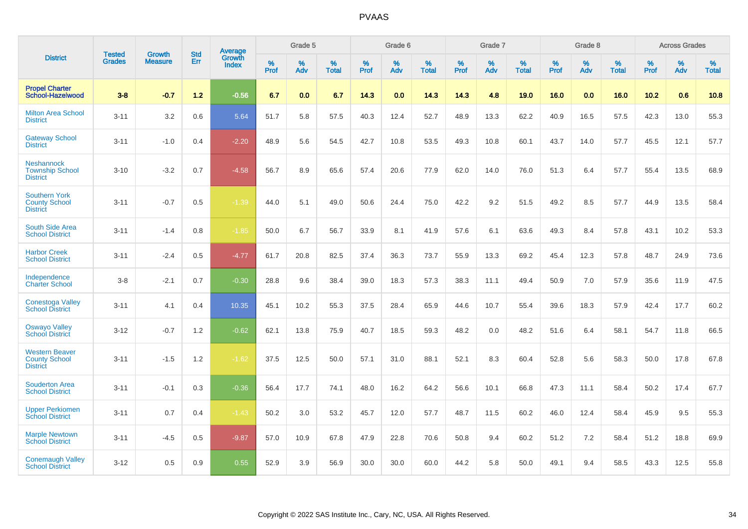|                                                                  | <b>Tested</b> | <b>Growth</b>  | <b>Std</b> | <b>Average</b>         |           | Grade 5  |                   |           | Grade 6  |                   |           | Grade 7  |                   |           | Grade 8  |                   |           | <b>Across Grades</b> |                   |
|------------------------------------------------------------------|---------------|----------------|------------|------------------------|-----------|----------|-------------------|-----------|----------|-------------------|-----------|----------|-------------------|-----------|----------|-------------------|-----------|----------------------|-------------------|
| <b>District</b>                                                  | <b>Grades</b> | <b>Measure</b> | Err        | Growth<br><b>Index</b> | %<br>Prof | %<br>Adv | %<br><b>Total</b> | %<br>Prof | %<br>Adv | %<br><b>Total</b> | %<br>Prof | %<br>Adv | %<br><b>Total</b> | %<br>Prof | %<br>Adv | %<br><b>Total</b> | %<br>Prof | %<br>Adv             | %<br><b>Total</b> |
| <b>Propel Charter</b><br>School-Hazelwood                        | $3 - 8$       | $-0.7$         | 1.2        | $-0.56$                | 6.7       | 0.0      | 6.7               | 14.3      | 0.0      | 14.3              | 14.3      | 4.8      | 19.0              | 16.0      | 0.0      | 16.0              | 10.2      | 0.6                  | 10.8              |
| <b>Milton Area School</b><br><b>District</b>                     | $3 - 11$      | 3.2            | 0.6        | 5.64                   | 51.7      | 5.8      | 57.5              | 40.3      | 12.4     | 52.7              | 48.9      | 13.3     | 62.2              | 40.9      | 16.5     | 57.5              | 42.3      | 13.0                 | 55.3              |
| <b>Gateway School</b><br><b>District</b>                         | $3 - 11$      | $-1.0$         | 0.4        | $-2.20$                | 48.9      | 5.6      | 54.5              | 42.7      | 10.8     | 53.5              | 49.3      | 10.8     | 60.1              | 43.7      | 14.0     | 57.7              | 45.5      | 12.1                 | 57.7              |
| <b>Neshannock</b><br><b>Township School</b><br><b>District</b>   | $3 - 10$      | $-3.2$         | 0.7        | $-4.58$                | 56.7      | 8.9      | 65.6              | 57.4      | 20.6     | 77.9              | 62.0      | 14.0     | 76.0              | 51.3      | 6.4      | 57.7              | 55.4      | 13.5                 | 68.9              |
| <b>Southern York</b><br><b>County School</b><br><b>District</b>  | $3 - 11$      | $-0.7$         | 0.5        | $-1.39$                | 44.0      | 5.1      | 49.0              | 50.6      | 24.4     | 75.0              | 42.2      | 9.2      | 51.5              | 49.2      | 8.5      | 57.7              | 44.9      | 13.5                 | 58.4              |
| <b>South Side Area</b><br><b>School District</b>                 | $3 - 11$      | $-1.4$         | 0.8        | $-1.85$                | 50.0      | 6.7      | 56.7              | 33.9      | 8.1      | 41.9              | 57.6      | 6.1      | 63.6              | 49.3      | 8.4      | 57.8              | 43.1      | 10.2                 | 53.3              |
| <b>Harbor Creek</b><br><b>School District</b>                    | $3 - 11$      | $-2.4$         | 0.5        | $-4.77$                | 61.7      | 20.8     | 82.5              | 37.4      | 36.3     | 73.7              | 55.9      | 13.3     | 69.2              | 45.4      | 12.3     | 57.8              | 48.7      | 24.9                 | 73.6              |
| Independence<br><b>Charter School</b>                            | $3 - 8$       | $-2.1$         | 0.7        | $-0.30$                | 28.8      | 9.6      | 38.4              | 39.0      | 18.3     | 57.3              | 38.3      | 11.1     | 49.4              | 50.9      | 7.0      | 57.9              | 35.6      | 11.9                 | 47.5              |
| <b>Conestoga Valley</b><br><b>School District</b>                | $3 - 11$      | 4.1            | 0.4        | 10.35                  | 45.1      | 10.2     | 55.3              | 37.5      | 28.4     | 65.9              | 44.6      | 10.7     | 55.4              | 39.6      | 18.3     | 57.9              | 42.4      | 17.7                 | 60.2              |
| <b>Oswayo Valley</b><br><b>School District</b>                   | $3 - 12$      | $-0.7$         | 1.2        | $-0.62$                | 62.1      | 13.8     | 75.9              | 40.7      | 18.5     | 59.3              | 48.2      | 0.0      | 48.2              | 51.6      | 6.4      | 58.1              | 54.7      | 11.8                 | 66.5              |
| <b>Western Beaver</b><br><b>County School</b><br><b>District</b> | $3 - 11$      | $-1.5$         | 1.2        | $-1.62$                | 37.5      | 12.5     | 50.0              | 57.1      | 31.0     | 88.1              | 52.1      | 8.3      | 60.4              | 52.8      | 5.6      | 58.3              | 50.0      | 17.8                 | 67.8              |
| <b>Souderton Area</b><br><b>School District</b>                  | $3 - 11$      | $-0.1$         | 0.3        | $-0.36$                | 56.4      | 17.7     | 74.1              | 48.0      | 16.2     | 64.2              | 56.6      | 10.1     | 66.8              | 47.3      | 11.1     | 58.4              | 50.2      | 17.4                 | 67.7              |
| <b>Upper Perkiomen</b><br><b>School District</b>                 | $3 - 11$      | 0.7            | 0.4        | $-1.43$                | 50.2      | 3.0      | 53.2              | 45.7      | 12.0     | 57.7              | 48.7      | 11.5     | 60.2              | 46.0      | 12.4     | 58.4              | 45.9      | 9.5                  | 55.3              |
| <b>Marple Newtown</b><br><b>School District</b>                  | $3 - 11$      | $-4.5$         | 0.5        | $-9.87$                | 57.0      | 10.9     | 67.8              | 47.9      | 22.8     | 70.6              | 50.8      | 9.4      | 60.2              | 51.2      | 7.2      | 58.4              | 51.2      | 18.8                 | 69.9              |
| <b>Conemaugh Valley</b><br><b>School District</b>                | $3 - 12$      | 0.5            | 0.9        | 0.55                   | 52.9      | 3.9      | 56.9              | 30.0      | 30.0     | 60.0              | 44.2      | 5.8      | 50.0              | 49.1      | 9.4      | 58.5              | 43.3      | 12.5                 | 55.8              |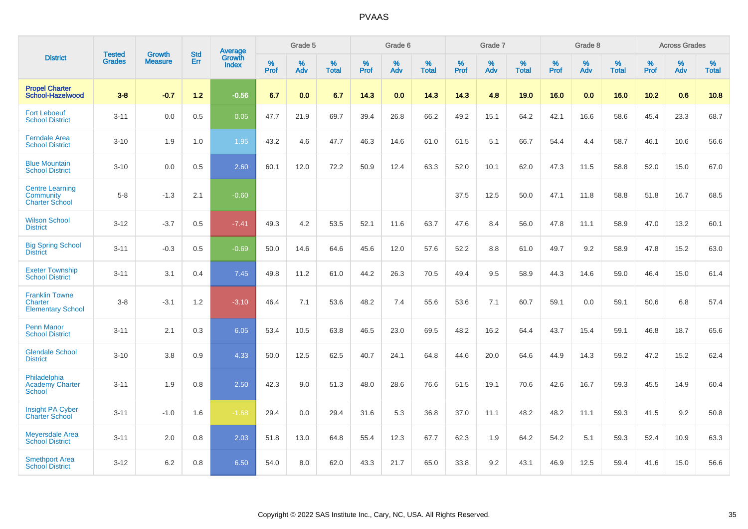|                                                                     | <b>Tested</b> | <b>Growth</b>  | <b>Std</b> | Average                       |           | Grade 5  |                   |           | Grade 6  |                   |           | Grade 7  |                   |           | Grade 8  |                   |           | <b>Across Grades</b> |                   |
|---------------------------------------------------------------------|---------------|----------------|------------|-------------------------------|-----------|----------|-------------------|-----------|----------|-------------------|-----------|----------|-------------------|-----------|----------|-------------------|-----------|----------------------|-------------------|
| <b>District</b>                                                     | <b>Grades</b> | <b>Measure</b> | Err        | <b>Growth</b><br><b>Index</b> | %<br>Prof | %<br>Adv | %<br><b>Total</b> | %<br>Prof | %<br>Adv | %<br><b>Total</b> | %<br>Prof | %<br>Adv | %<br><b>Total</b> | %<br>Prof | %<br>Adv | %<br><b>Total</b> | %<br>Prof | %<br>Adv             | %<br><b>Total</b> |
| <b>Propel Charter</b><br>School-Hazelwood                           | $3 - 8$       | $-0.7$         | $1.2$      | $-0.56$                       | 6.7       | 0.0      | 6.7               | 14.3      | 0.0      | 14.3              | 14.3      | 4.8      | 19.0              | 16.0      | 0.0      | 16.0              | 10.2      | 0.6                  | 10.8              |
| <b>Fort Leboeuf</b><br><b>School District</b>                       | $3 - 11$      | 0.0            | 0.5        | 0.05                          | 47.7      | 21.9     | 69.7              | 39.4      | 26.8     | 66.2              | 49.2      | 15.1     | 64.2              | 42.1      | 16.6     | 58.6              | 45.4      | 23.3                 | 68.7              |
| <b>Ferndale Area</b><br><b>School District</b>                      | $3 - 10$      | 1.9            | 1.0        | 1.95                          | 43.2      | 4.6      | 47.7              | 46.3      | 14.6     | 61.0              | 61.5      | 5.1      | 66.7              | 54.4      | 4.4      | 58.7              | 46.1      | 10.6                 | 56.6              |
| <b>Blue Mountain</b><br><b>School District</b>                      | $3 - 10$      | 0.0            | 0.5        | 2.60                          | 60.1      | 12.0     | 72.2              | 50.9      | 12.4     | 63.3              | 52.0      | 10.1     | 62.0              | 47.3      | 11.5     | 58.8              | 52.0      | 15.0                 | 67.0              |
| <b>Centre Learning</b><br>Community<br><b>Charter School</b>        | $5 - 8$       | $-1.3$         | 2.1        | $-0.60$                       |           |          |                   |           |          |                   | 37.5      | 12.5     | 50.0              | 47.1      | 11.8     | 58.8              | 51.8      | 16.7                 | 68.5              |
| <b>Wilson School</b><br><b>District</b>                             | $3 - 12$      | $-3.7$         | 0.5        | $-7.41$                       | 49.3      | 4.2      | 53.5              | 52.1      | 11.6     | 63.7              | 47.6      | 8.4      | 56.0              | 47.8      | 11.1     | 58.9              | 47.0      | 13.2                 | 60.1              |
| <b>Big Spring School</b><br><b>District</b>                         | $3 - 11$      | $-0.3$         | 0.5        | $-0.69$                       | 50.0      | 14.6     | 64.6              | 45.6      | 12.0     | 57.6              | 52.2      | 8.8      | 61.0              | 49.7      | 9.2      | 58.9              | 47.8      | 15.2                 | 63.0              |
| <b>Exeter Township</b><br><b>School District</b>                    | $3 - 11$      | 3.1            | 0.4        | 7.45                          | 49.8      | 11.2     | 61.0              | 44.2      | 26.3     | 70.5              | 49.4      | 9.5      | 58.9              | 44.3      | 14.6     | 59.0              | 46.4      | 15.0                 | 61.4              |
| <b>Franklin Towne</b><br><b>Charter</b><br><b>Elementary School</b> | $3-8$         | $-3.1$         | 1.2        | $-3.10$                       | 46.4      | 7.1      | 53.6              | 48.2      | 7.4      | 55.6              | 53.6      | 7.1      | 60.7              | 59.1      | 0.0      | 59.1              | 50.6      | 6.8                  | 57.4              |
| <b>Penn Manor</b><br><b>School District</b>                         | $3 - 11$      | 2.1            | 0.3        | 6.05                          | 53.4      | 10.5     | 63.8              | 46.5      | 23.0     | 69.5              | 48.2      | 16.2     | 64.4              | 43.7      | 15.4     | 59.1              | 46.8      | 18.7                 | 65.6              |
| <b>Glendale School</b><br><b>District</b>                           | $3 - 10$      | 3.8            | 0.9        | 4.33                          | 50.0      | 12.5     | 62.5              | 40.7      | 24.1     | 64.8              | 44.6      | 20.0     | 64.6              | 44.9      | 14.3     | 59.2              | 47.2      | 15.2                 | 62.4              |
| Philadelphia<br><b>Academy Charter</b><br><b>School</b>             | $3 - 11$      | 1.9            | 0.8        | 2.50                          | 42.3      | 9.0      | 51.3              | 48.0      | 28.6     | 76.6              | 51.5      | 19.1     | 70.6              | 42.6      | 16.7     | 59.3              | 45.5      | 14.9                 | 60.4              |
| <b>Insight PA Cyber</b><br><b>Charter School</b>                    | $3 - 11$      | $-1.0$         | 1.6        | $-1.68$                       | 29.4      | 0.0      | 29.4              | 31.6      | 5.3      | 36.8              | 37.0      | 11.1     | 48.2              | 48.2      | 11.1     | 59.3              | 41.5      | 9.2                  | 50.8              |
| <b>Meyersdale Area</b><br><b>School District</b>                    | $3 - 11$      | 2.0            | 0.8        | 2.03                          | 51.8      | 13.0     | 64.8              | 55.4      | 12.3     | 67.7              | 62.3      | 1.9      | 64.2              | 54.2      | 5.1      | 59.3              | 52.4      | 10.9                 | 63.3              |
| <b>Smethport Area</b><br><b>School District</b>                     | $3 - 12$      | 6.2            | 0.8        | 6.50                          | 54.0      | 8.0      | 62.0              | 43.3      | 21.7     | 65.0              | 33.8      | 9.2      | 43.1              | 46.9      | 12.5     | 59.4              | 41.6      | 15.0                 | 56.6              |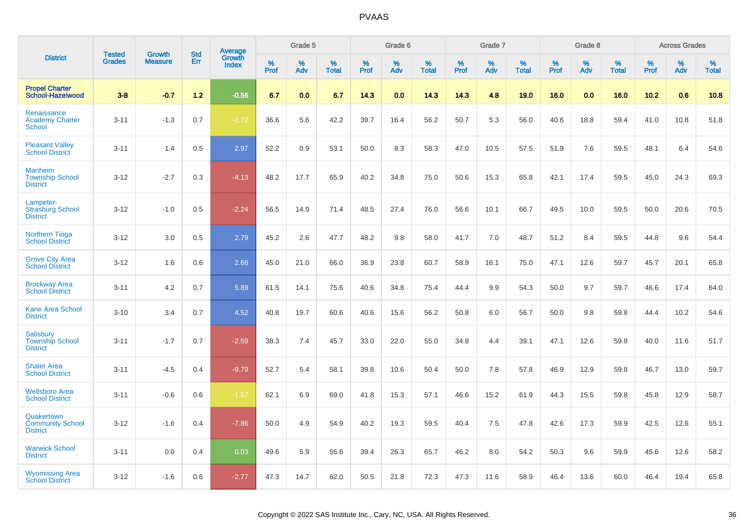|                                                               |                         |                                 | <b>Std</b> | Average                |              | Grade 5  |                   |              | Grade 6  |                   |              | Grade 7  |                   |              | Grade 8  |                   |              | <b>Across Grades</b> |                   |
|---------------------------------------------------------------|-------------------------|---------------------------------|------------|------------------------|--------------|----------|-------------------|--------------|----------|-------------------|--------------|----------|-------------------|--------------|----------|-------------------|--------------|----------------------|-------------------|
| <b>District</b>                                               | <b>Tested</b><br>Grades | <b>Growth</b><br><b>Measure</b> | Err        | Growth<br><b>Index</b> | $\%$<br>Prof | %<br>Adv | %<br><b>Total</b> | $\%$<br>Prof | %<br>Adv | %<br><b>Total</b> | $\%$<br>Prof | %<br>Adv | %<br><b>Total</b> | $\%$<br>Prof | %<br>Adv | %<br><b>Total</b> | $\%$<br>Prof | %<br>Adv             | %<br><b>Total</b> |
| <b>Propel Charter</b><br>School-Hazelwood                     | $3 - 8$                 | $-0.7$                          | $1.2$      | $-0.56$                | 6.7          | 0.0      | 6.7               | 14.3         | 0.0      | 14.3              | 14.3         | 4.8      | 19.0              | 16.0         | 0.0      | 16.0              | 10.2         | 0.6                  | 10.8              |
| Renaissance<br><b>Academy Charter</b><br><b>School</b>        | $3 - 11$                | $-1.3$                          | 0.7        | $-1.72$                | 36.6         | 5.6      | 42.2              | 39.7         | 16.4     | 56.2              | 50.7         | 5.3      | 56.0              | 40.6         | 18.8     | 59.4              | 41.0         | 10.8                 | 51.8              |
| <b>Pleasant Valley</b><br><b>School District</b>              | $3 - 11$                | 1.4                             | 0.5        | 2.97                   | 52.2         | 0.9      | 53.1              | 50.0         | 8.3      | 58.3              | 47.0         | 10.5     | 57.5              | 51.9         | 7.6      | 59.5              | 48.1         | 6.4                  | 54.6              |
| <b>Manheim</b><br><b>Township School</b><br><b>District</b>   | $3 - 12$                | $-2.7$                          | 0.3        | $-4.13$                | 48.2         | 17.7     | 65.9              | 40.2         | 34.8     | 75.0              | 50.6         | 15.3     | 65.8              | 42.1         | 17.4     | 59.5              | 45.0         | 24.3                 | 69.3              |
| Lampeter-<br><b>Strasburg School</b><br><b>District</b>       | $3 - 12$                | $-1.0$                          | 0.5        | $-2.24$                | 56.5         | 14.9     | 71.4              | 48.5         | 27.4     | 76.0              | 56.6         | 10.1     | 66.7              | 49.5         | 10.0     | 59.5              | 50.0         | 20.6                 | 70.5              |
| <b>Northern Tioga</b><br><b>School District</b>               | $3 - 12$                | 3.0                             | 0.5        | 2.79                   | 45.2         | 2.6      | 47.7              | 48.2         | 9.8      | 58.0              | 41.7         | 7.0      | 48.7              | 51.2         | 8.4      | 59.5              | 44.8         | 9.6                  | 54.4              |
| <b>Grove City Area</b><br><b>School District</b>              | $3 - 12$                | 1.6                             | 0.6        | 2.68                   | 45.0         | 21.0     | 66.0              | 36.9         | 23.8     | 60.7              | 58.9         | 16.1     | 75.0              | 47.1         | 12.6     | 59.7              | 45.7         | 20.1                 | 65.8              |
| <b>Brockway Area</b><br><b>School District</b>                | $3 - 11$                | 4.2                             | 0.7        | 5.89                   | 61.5         | 14.1     | 75.6              | 40.6         | 34.8     | 75.4              | 44.4         | 9.9      | 54.3              | 50.0         | 9.7      | 59.7              | 46.6         | 17.4                 | 64.0              |
| <b>Kane Area School</b><br><b>District</b>                    | $3 - 10$                | 3.4                             | 0.7        | 4.52                   | 40.8         | 19.7     | 60.6              | 40.6         | 15.6     | 56.2              | 50.8         | 6.0      | 56.7              | 50.0         | 9.8      | 59.8              | 44.4         | 10.2                 | 54.6              |
| <b>Salisbury</b><br><b>Township School</b><br><b>District</b> | $3 - 11$                | $-1.7$                          | 0.7        | $-2.59$                | 38.3         | 7.4      | 45.7              | 33.0         | 22.0     | 55.0              | 34.8         | 4.4      | 39.1              | 47.1         | 12.6     | 59.8              | 40.0         | 11.6                 | 51.7              |
| <b>Shaler Area</b><br><b>School District</b>                  | $3 - 11$                | $-4.5$                          | 0.4        | $-9.79$                | 52.7         | 5.4      | 58.1              | 39.8         | 10.6     | 50.4              | 50.0         | 7.8      | 57.8              | 46.9         | 12.9     | 59.8              | 46.7         | 13.0                 | 59.7              |
| <b>Wellsboro Area</b><br><b>School District</b>               | $3 - 11$                | $-0.6$                          | 0.6        | $-1.57$                | 62.1         | 6.9      | 69.0              | 41.8         | 15.3     | 57.1              | 46.6         | 15.2     | 61.9              | 44.3         | 15.5     | 59.8              | 45.8         | 12.9                 | 58.7              |
| Quakertown<br><b>Community School</b><br><b>District</b>      | $3 - 12$                | $-1.6$                          | 0.4        | $-7.86$                | 50.0         | 4.9      | 54.9              | 40.2         | 19.3     | 59.5              | 40.4         | 7.5      | 47.8              | 42.6         | 17.3     | 59.9              | 42.5         | 12.6                 | 55.1              |
| <b>Warwick School</b><br><b>District</b>                      | $3 - 11$                | 0.0                             | 0.4        | 0.03                   | 49.6         | 5.9      | 55.6              | 39.4         | 26.3     | 65.7              | 46.2         | 8.0      | 54.2              | 50.3         | 9.6      | 59.9              | 45.6         | 12.6                 | 58.2              |
| <b>Wyomissing Area</b><br><b>School District</b>              | $3 - 12$                | $-1.6$                          | 0.6        | $-2.77$                | 47.3         | 14.7     | 62.0              | 50.5         | 21.8     | 72.3              | 47.3         | 11.6     | 58.9              | 46.4         | 13.6     | 60.0              | 46.4         | 19.4                 | 65.8              |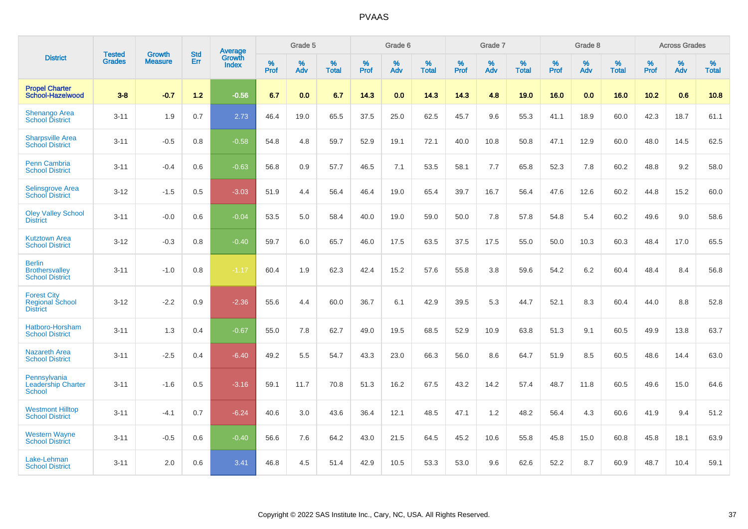|                                                                  |                                |                                 | <b>Std</b> | Average                       |           | Grade 5  |                   |           | Grade 6  |                   |           | Grade 7  |                   |           | Grade 8  |                   |           | <b>Across Grades</b> |                   |
|------------------------------------------------------------------|--------------------------------|---------------------------------|------------|-------------------------------|-----------|----------|-------------------|-----------|----------|-------------------|-----------|----------|-------------------|-----------|----------|-------------------|-----------|----------------------|-------------------|
| <b>District</b>                                                  | <b>Tested</b><br><b>Grades</b> | <b>Growth</b><br><b>Measure</b> | Err        | <b>Growth</b><br><b>Index</b> | %<br>Prof | %<br>Adv | %<br><b>Total</b> | %<br>Prof | %<br>Adv | %<br><b>Total</b> | %<br>Prof | %<br>Adv | %<br><b>Total</b> | %<br>Prof | %<br>Adv | %<br><b>Total</b> | %<br>Prof | %<br>Adv             | %<br><b>Total</b> |
| <b>Propel Charter</b><br>School-Hazelwood                        | $3 - 8$                        | $-0.7$                          | $1.2$      | $-0.56$                       | 6.7       | 0.0      | 6.7               | 14.3      | 0.0      | 14.3              | 14.3      | 4.8      | 19.0              | 16.0      | 0.0      | 16.0              | 10.2      | 0.6                  | 10.8              |
| <b>Shenango Area</b><br><b>School District</b>                   | $3 - 11$                       | 1.9                             | 0.7        | 2.73                          | 46.4      | 19.0     | 65.5              | 37.5      | 25.0     | 62.5              | 45.7      | 9.6      | 55.3              | 41.1      | 18.9     | 60.0              | 42.3      | 18.7                 | 61.1              |
| <b>Sharpsville Area</b><br><b>School District</b>                | $3 - 11$                       | $-0.5$                          | 0.8        | $-0.58$                       | 54.8      | 4.8      | 59.7              | 52.9      | 19.1     | 72.1              | 40.0      | 10.8     | 50.8              | 47.1      | 12.9     | 60.0              | 48.0      | 14.5                 | 62.5              |
| Penn Cambria<br><b>School District</b>                           | $3 - 11$                       | $-0.4$                          | 0.6        | $-0.63$                       | 56.8      | 0.9      | 57.7              | 46.5      | 7.1      | 53.5              | 58.1      | 7.7      | 65.8              | 52.3      | 7.8      | 60.2              | 48.8      | 9.2                  | 58.0              |
| <b>Selinsgrove Area</b><br><b>School District</b>                | $3 - 12$                       | $-1.5$                          | 0.5        | $-3.03$                       | 51.9      | 4.4      | 56.4              | 46.4      | 19.0     | 65.4              | 39.7      | 16.7     | 56.4              | 47.6      | 12.6     | 60.2              | 44.8      | 15.2                 | 60.0              |
| <b>Oley Valley School</b><br><b>District</b>                     | $3 - 11$                       | $-0.0$                          | 0.6        | $-0.04$                       | 53.5      | 5.0      | 58.4              | 40.0      | 19.0     | 59.0              | 50.0      | 7.8      | 57.8              | 54.8      | 5.4      | 60.2              | 49.6      | 9.0                  | 58.6              |
| <b>Kutztown Area</b><br><b>School District</b>                   | $3 - 12$                       | $-0.3$                          | 0.8        | $-0.40$                       | 59.7      | 6.0      | 65.7              | 46.0      | 17.5     | 63.5              | 37.5      | 17.5     | 55.0              | 50.0      | 10.3     | 60.3              | 48.4      | 17.0                 | 65.5              |
| <b>Berlin</b><br><b>Brothersvalley</b><br><b>School District</b> | $3 - 11$                       | $-1.0$                          | 0.8        | $-1.17$                       | 60.4      | 1.9      | 62.3              | 42.4      | 15.2     | 57.6              | 55.8      | 3.8      | 59.6              | 54.2      | $6.2\,$  | 60.4              | 48.4      | 8.4                  | 56.8              |
| <b>Forest City</b><br><b>Regional School</b><br><b>District</b>  | $3 - 12$                       | $-2.2$                          | 0.9        | $-2.36$                       | 55.6      | 4.4      | 60.0              | 36.7      | 6.1      | 42.9              | 39.5      | 5.3      | 44.7              | 52.1      | 8.3      | 60.4              | 44.0      | 8.8                  | 52.8              |
| Hatboro-Horsham<br><b>School District</b>                        | $3 - 11$                       | 1.3                             | 0.4        | $-0.67$                       | 55.0      | 7.8      | 62.7              | 49.0      | 19.5     | 68.5              | 52.9      | 10.9     | 63.8              | 51.3      | 9.1      | 60.5              | 49.9      | 13.8                 | 63.7              |
| <b>Nazareth Area</b><br><b>School District</b>                   | $3 - 11$                       | $-2.5$                          | 0.4        | $-6.40$                       | 49.2      | 5.5      | 54.7              | 43.3      | 23.0     | 66.3              | 56.0      | 8.6      | 64.7              | 51.9      | 8.5      | 60.5              | 48.6      | 14.4                 | 63.0              |
| Pennsylvania<br><b>Leadership Charter</b><br><b>School</b>       | $3 - 11$                       | $-1.6$                          | 0.5        | $-3.16$                       | 59.1      | 11.7     | 70.8              | 51.3      | 16.2     | 67.5              | 43.2      | 14.2     | 57.4              | 48.7      | 11.8     | 60.5              | 49.6      | 15.0                 | 64.6              |
| <b>Westmont Hilltop</b><br><b>School District</b>                | $3 - 11$                       | $-4.1$                          | 0.7        | $-6.24$                       | 40.6      | 3.0      | 43.6              | 36.4      | 12.1     | 48.5              | 47.1      | 1.2      | 48.2              | 56.4      | 4.3      | 60.6              | 41.9      | 9.4                  | 51.2              |
| <b>Western Wayne</b><br><b>School District</b>                   | $3 - 11$                       | $-0.5$                          | 0.6        | $-0.40$                       | 56.6      | 7.6      | 64.2              | 43.0      | 21.5     | 64.5              | 45.2      | 10.6     | 55.8              | 45.8      | 15.0     | 60.8              | 45.8      | 18.1                 | 63.9              |
| Lake-Lehman<br><b>School District</b>                            | $3 - 11$                       | 2.0                             | 0.6        | 3.41                          | 46.8      | 4.5      | 51.4              | 42.9      | 10.5     | 53.3              | 53.0      | 9.6      | 62.6              | 52.2      | 8.7      | 60.9              | 48.7      | 10.4                 | 59.1              |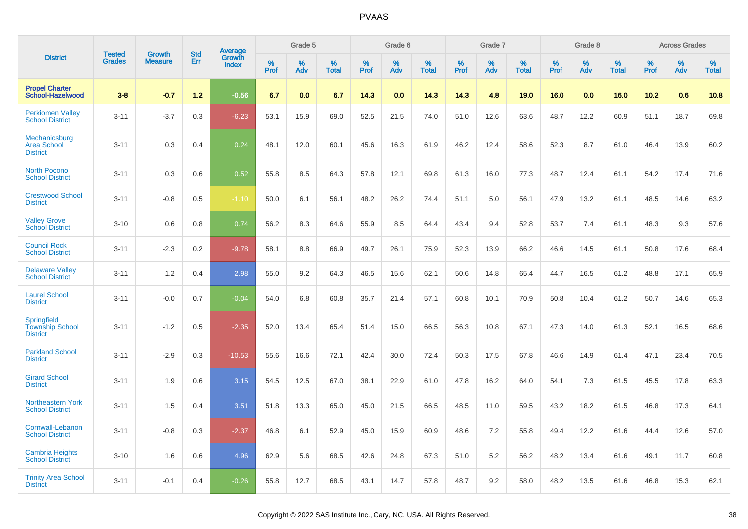|                                                                 |                                |                                 | <b>Std</b> |                                          |                     | Grade 5  |                      |              | Grade 6  |                   |              | Grade 7  |                      |                     | Grade 8  |                      |              | <b>Across Grades</b> |                      |
|-----------------------------------------------------------------|--------------------------------|---------------------------------|------------|------------------------------------------|---------------------|----------|----------------------|--------------|----------|-------------------|--------------|----------|----------------------|---------------------|----------|----------------------|--------------|----------------------|----------------------|
| <b>District</b>                                                 | <b>Tested</b><br><b>Grades</b> | <b>Growth</b><br><b>Measure</b> | Err        | <b>Average</b><br>Growth<br><b>Index</b> | $\%$<br><b>Prof</b> | %<br>Adv | $\%$<br><b>Total</b> | $\%$<br>Prof | %<br>Adv | %<br><b>Total</b> | $\%$<br>Prof | %<br>Adv | $\%$<br><b>Total</b> | $\%$<br><b>Prof</b> | %<br>Adv | $\%$<br><b>Total</b> | $\%$<br>Prof | %<br>Adv             | $\%$<br><b>Total</b> |
| <b>Propel Charter</b><br>School-Hazelwood                       | $3 - 8$                        | $-0.7$                          | $1.2$      | $-0.56$                                  | 6.7                 | 0.0      | 6.7                  | 14.3         | 0.0      | 14.3              | 14.3         | 4.8      | 19.0                 | 16.0                | 0.0      | 16.0                 | 10.2         | 0.6                  | 10.8                 |
| <b>Perkiomen Valley</b><br><b>School District</b>               | $3 - 11$                       | $-3.7$                          | 0.3        | $-6.23$                                  | 53.1                | 15.9     | 69.0                 | 52.5         | 21.5     | 74.0              | 51.0         | 12.6     | 63.6                 | 48.7                | 12.2     | 60.9                 | 51.1         | 18.7                 | 69.8                 |
| Mechanicsburg<br><b>Area School</b><br><b>District</b>          | $3 - 11$                       | 0.3                             | 0.4        | 0.24                                     | 48.1                | 12.0     | 60.1                 | 45.6         | 16.3     | 61.9              | 46.2         | 12.4     | 58.6                 | 52.3                | 8.7      | 61.0                 | 46.4         | 13.9                 | 60.2                 |
| <b>North Pocono</b><br><b>School District</b>                   | $3 - 11$                       | 0.3                             | 0.6        | 0.52                                     | 55.8                | 8.5      | 64.3                 | 57.8         | 12.1     | 69.8              | 61.3         | 16.0     | 77.3                 | 48.7                | 12.4     | 61.1                 | 54.2         | 17.4                 | 71.6                 |
| <b>Crestwood School</b><br><b>District</b>                      | $3 - 11$                       | $-0.8$                          | 0.5        | $-1.10$                                  | 50.0                | 6.1      | 56.1                 | 48.2         | 26.2     | 74.4              | 51.1         | 5.0      | 56.1                 | 47.9                | 13.2     | 61.1                 | 48.5         | 14.6                 | 63.2                 |
| <b>Valley Grove</b><br><b>School District</b>                   | $3 - 10$                       | 0.6                             | 0.8        | 0.74                                     | 56.2                | 8.3      | 64.6                 | 55.9         | 8.5      | 64.4              | 43.4         | 9.4      | 52.8                 | 53.7                | 7.4      | 61.1                 | 48.3         | 9.3                  | 57.6                 |
| <b>Council Rock</b><br><b>School District</b>                   | $3 - 11$                       | $-2.3$                          | 0.2        | $-9.78$                                  | 58.1                | 8.8      | 66.9                 | 49.7         | 26.1     | 75.9              | 52.3         | 13.9     | 66.2                 | 46.6                | 14.5     | 61.1                 | 50.8         | 17.6                 | 68.4                 |
| <b>Delaware Valley</b><br><b>School District</b>                | $3 - 11$                       | 1.2                             | 0.4        | 2.98                                     | 55.0                | 9.2      | 64.3                 | 46.5         | 15.6     | 62.1              | 50.6         | 14.8     | 65.4                 | 44.7                | 16.5     | 61.2                 | 48.8         | 17.1                 | 65.9                 |
| <b>Laurel School</b><br><b>District</b>                         | $3 - 11$                       | $-0.0$                          | 0.7        | $-0.04$                                  | 54.0                | 6.8      | 60.8                 | 35.7         | 21.4     | 57.1              | 60.8         | 10.1     | 70.9                 | 50.8                | 10.4     | 61.2                 | 50.7         | 14.6                 | 65.3                 |
| <b>Springfield</b><br><b>Township School</b><br><b>District</b> | $3 - 11$                       | $-1.2$                          | 0.5        | $-2.35$                                  | 52.0                | 13.4     | 65.4                 | 51.4         | 15.0     | 66.5              | 56.3         | 10.8     | 67.1                 | 47.3                | 14.0     | 61.3                 | 52.1         | 16.5                 | 68.6                 |
| <b>Parkland School</b><br><b>District</b>                       | $3 - 11$                       | $-2.9$                          | 0.3        | $-10.53$                                 | 55.6                | 16.6     | 72.1                 | 42.4         | 30.0     | 72.4              | 50.3         | 17.5     | 67.8                 | 46.6                | 14.9     | 61.4                 | 47.1         | 23.4                 | 70.5                 |
| <b>Girard School</b><br><b>District</b>                         | $3 - 11$                       | 1.9                             | 0.6        | 3.15                                     | 54.5                | 12.5     | 67.0                 | 38.1         | 22.9     | 61.0              | 47.8         | 16.2     | 64.0                 | 54.1                | 7.3      | 61.5                 | 45.5         | 17.8                 | 63.3                 |
| Northeastern York<br><b>School District</b>                     | $3 - 11$                       | 1.5                             | 0.4        | 3.51                                     | 51.8                | 13.3     | 65.0                 | 45.0         | 21.5     | 66.5              | 48.5         | 11.0     | 59.5                 | 43.2                | 18.2     | 61.5                 | 46.8         | 17.3                 | 64.1                 |
| Cornwall-Lebanon<br><b>School District</b>                      | $3 - 11$                       | $-0.8$                          | 0.3        | $-2.37$                                  | 46.8                | 6.1      | 52.9                 | 45.0         | 15.9     | 60.9              | 48.6         | 7.2      | 55.8                 | 49.4                | 12.2     | 61.6                 | 44.4         | 12.6                 | 57.0                 |
| <b>Cambria Heights</b><br><b>School District</b>                | $3 - 10$                       | 1.6                             | 0.6        | 4.96                                     | 62.9                | 5.6      | 68.5                 | 42.6         | 24.8     | 67.3              | 51.0         | 5.2      | 56.2                 | 48.2                | 13.4     | 61.6                 | 49.1         | 11.7                 | 60.8                 |
| <b>Trinity Area School</b><br><b>District</b>                   | $3 - 11$                       | $-0.1$                          | 0.4        | $-0.26$                                  | 55.8                | 12.7     | 68.5                 | 43.1         | 14.7     | 57.8              | 48.7         | 9.2      | 58.0                 | 48.2                | 13.5     | 61.6                 | 46.8         | 15.3                 | 62.1                 |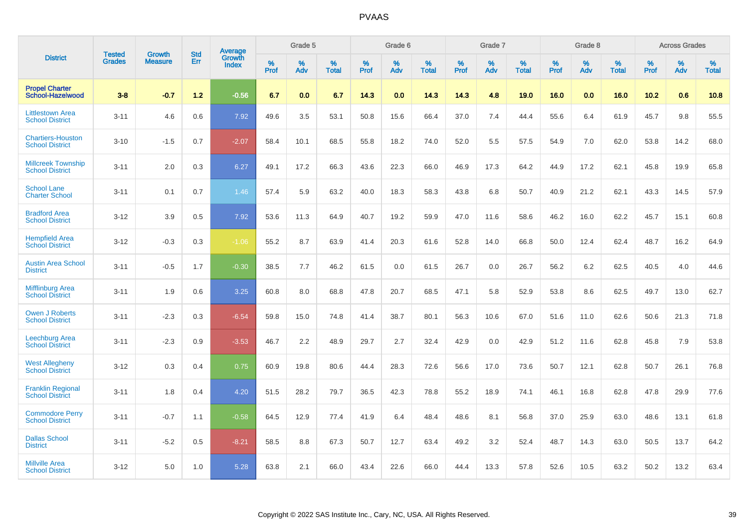|                                                     |                                |                                 | <b>Std</b> | Average                |           | Grade 5  |                   |           | Grade 6  |                   |              | Grade 7  |                   |              | Grade 8  |                   |           | <b>Across Grades</b> |                   |
|-----------------------------------------------------|--------------------------------|---------------------------------|------------|------------------------|-----------|----------|-------------------|-----------|----------|-------------------|--------------|----------|-------------------|--------------|----------|-------------------|-----------|----------------------|-------------------|
| <b>District</b>                                     | <b>Tested</b><br><b>Grades</b> | <b>Growth</b><br><b>Measure</b> | Err        | Growth<br><b>Index</b> | %<br>Prof | %<br>Adv | %<br><b>Total</b> | %<br>Prof | %<br>Adv | %<br><b>Total</b> | $\%$<br>Prof | %<br>Adv | %<br><b>Total</b> | $\%$<br>Prof | %<br>Adv | %<br><b>Total</b> | %<br>Prof | %<br>Adv             | %<br><b>Total</b> |
| <b>Propel Charter</b><br>School-Hazelwood           | $3 - 8$                        | $-0.7$                          | 1.2        | $-0.56$                | 6.7       | 0.0      | 6.7               | 14.3      | 0.0      | 14.3              | 14.3         | 4.8      | 19.0              | 16.0         | 0.0      | 16.0              | 10.2      | 0.6                  | 10.8              |
| <b>Littlestown Area</b><br><b>School District</b>   | $3 - 11$                       | 4.6                             | 0.6        | 7.92                   | 49.6      | 3.5      | 53.1              | 50.8      | 15.6     | 66.4              | 37.0         | 7.4      | 44.4              | 55.6         | 6.4      | 61.9              | 45.7      | 9.8                  | 55.5              |
| <b>Chartiers-Houston</b><br><b>School District</b>  | $3 - 10$                       | $-1.5$                          | 0.7        | $-2.07$                | 58.4      | 10.1     | 68.5              | 55.8      | 18.2     | 74.0              | 52.0         | 5.5      | 57.5              | 54.9         | 7.0      | 62.0              | 53.8      | 14.2                 | 68.0              |
| <b>Millcreek Township</b><br><b>School District</b> | $3 - 11$                       | 2.0                             | 0.3        | 6.27                   | 49.1      | 17.2     | 66.3              | 43.6      | 22.3     | 66.0              | 46.9         | 17.3     | 64.2              | 44.9         | 17.2     | 62.1              | 45.8      | 19.9                 | 65.8              |
| <b>School Lane</b><br><b>Charter School</b>         | $3 - 11$                       | 0.1                             | 0.7        | 1.46                   | 57.4      | 5.9      | 63.2              | 40.0      | 18.3     | 58.3              | 43.8         | 6.8      | 50.7              | 40.9         | 21.2     | 62.1              | 43.3      | 14.5                 | 57.9              |
| <b>Bradford Area</b><br><b>School District</b>      | $3 - 12$                       | 3.9                             | 0.5        | 7.92                   | 53.6      | 11.3     | 64.9              | 40.7      | 19.2     | 59.9              | 47.0         | 11.6     | 58.6              | 46.2         | 16.0     | 62.2              | 45.7      | 15.1                 | 60.8              |
| <b>Hempfield Area</b><br><b>School District</b>     | $3 - 12$                       | $-0.3$                          | 0.3        | $-1.06$                | 55.2      | 8.7      | 63.9              | 41.4      | 20.3     | 61.6              | 52.8         | 14.0     | 66.8              | 50.0         | 12.4     | 62.4              | 48.7      | 16.2                 | 64.9              |
| <b>Austin Area School</b><br><b>District</b>        | $3 - 11$                       | $-0.5$                          | 1.7        | $-0.30$                | 38.5      | 7.7      | 46.2              | 61.5      | 0.0      | 61.5              | 26.7         | 0.0      | 26.7              | 56.2         | 6.2      | 62.5              | 40.5      | 4.0                  | 44.6              |
| <b>Mifflinburg Area</b><br><b>School District</b>   | $3 - 11$                       | 1.9                             | 0.6        | 3.25                   | 60.8      | 8.0      | 68.8              | 47.8      | 20.7     | 68.5              | 47.1         | 5.8      | 52.9              | 53.8         | 8.6      | 62.5              | 49.7      | 13.0                 | 62.7              |
| <b>Owen J Roberts</b><br><b>School District</b>     | $3 - 11$                       | $-2.3$                          | 0.3        | $-6.54$                | 59.8      | 15.0     | 74.8              | 41.4      | 38.7     | 80.1              | 56.3         | 10.6     | 67.0              | 51.6         | 11.0     | 62.6              | 50.6      | 21.3                 | 71.8              |
| <b>Leechburg Area</b><br><b>School District</b>     | $3 - 11$                       | $-2.3$                          | 0.9        | $-3.53$                | 46.7      | 2.2      | 48.9              | 29.7      | 2.7      | 32.4              | 42.9         | 0.0      | 42.9              | 51.2         | 11.6     | 62.8              | 45.8      | 7.9                  | 53.8              |
| <b>West Allegheny</b><br><b>School District</b>     | $3 - 12$                       | 0.3                             | 0.4        | 0.75                   | 60.9      | 19.8     | 80.6              | 44.4      | 28.3     | 72.6              | 56.6         | 17.0     | 73.6              | 50.7         | 12.1     | 62.8              | 50.7      | 26.1                 | 76.8              |
| <b>Franklin Regional</b><br><b>School District</b>  | $3 - 11$                       | 1.8                             | 0.4        | 4.20                   | 51.5      | 28.2     | 79.7              | 36.5      | 42.3     | 78.8              | 55.2         | 18.9     | 74.1              | 46.1         | 16.8     | 62.8              | 47.8      | 29.9                 | 77.6              |
| <b>Commodore Perry</b><br><b>School District</b>    | $3 - 11$                       | $-0.7$                          | 1.1        | $-0.58$                | 64.5      | 12.9     | 77.4              | 41.9      | 6.4      | 48.4              | 48.6         | 8.1      | 56.8              | 37.0         | 25.9     | 63.0              | 48.6      | 13.1                 | 61.8              |
| <b>Dallas School</b><br><b>District</b>             | $3 - 11$                       | $-5.2$                          | 0.5        | $-8.21$                | 58.5      | 8.8      | 67.3              | 50.7      | 12.7     | 63.4              | 49.2         | 3.2      | 52.4              | 48.7         | 14.3     | 63.0              | 50.5      | 13.7                 | 64.2              |
| <b>Millville Area</b><br><b>School District</b>     | $3 - 12$                       | 5.0                             | 1.0        | 5.28                   | 63.8      | 2.1      | 66.0              | 43.4      | 22.6     | 66.0              | 44.4         | 13.3     | 57.8              | 52.6         | 10.5     | 63.2              | 50.2      | 13.2                 | 63.4              |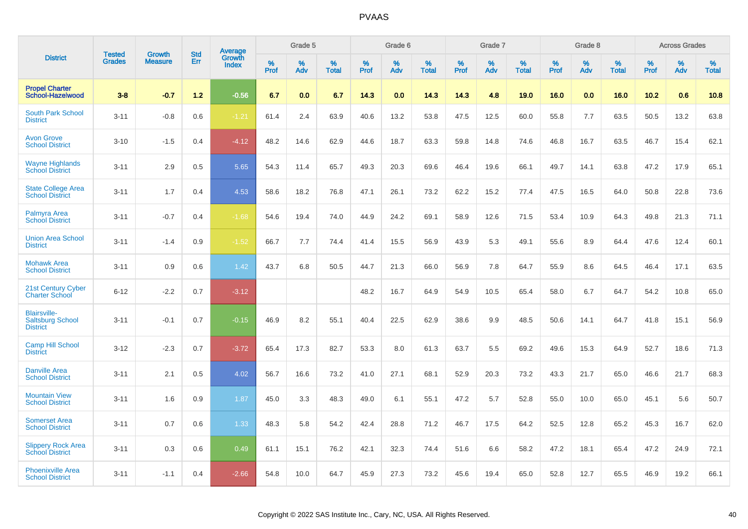|                                                                   |                         | <b>Growth</b>  | <b>Std</b> | Average                |              | Grade 5     |                      |              | Grade 6     |                      |              | Grade 7     |                   |              | Grade 8     |                   |                     | <b>Across Grades</b> |                      |
|-------------------------------------------------------------------|-------------------------|----------------|------------|------------------------|--------------|-------------|----------------------|--------------|-------------|----------------------|--------------|-------------|-------------------|--------------|-------------|-------------------|---------------------|----------------------|----------------------|
| <b>District</b>                                                   | Tested<br><b>Grades</b> | <b>Measure</b> | Err        | Growth<br><b>Index</b> | $\%$<br>Prof | $\%$<br>Adv | $\%$<br><b>Total</b> | $\%$<br>Prof | $\%$<br>Adv | $\%$<br><b>Total</b> | $\%$<br>Prof | $\%$<br>Adv | %<br><b>Total</b> | $\%$<br>Prof | $\%$<br>Adv | %<br><b>Total</b> | $\%$<br><b>Prof</b> | $\%$<br>Adv          | $\%$<br><b>Total</b> |
| <b>Propel Charter</b><br>School-Hazelwood                         | $3 - 8$                 | $-0.7$         | 1.2        | $-0.56$                | 6.7          | 0.0         | 6.7                  | 14.3         | 0.0         | 14.3                 | 14.3         | 4.8         | 19.0              | 16.0         | 0.0         | 16.0              | 10.2                | 0.6                  | 10.8                 |
| <b>South Park School</b><br><b>District</b>                       | $3 - 11$                | $-0.8$         | 0.6        | $-1.21$                | 61.4         | 2.4         | 63.9                 | 40.6         | 13.2        | 53.8                 | 47.5         | 12.5        | 60.0              | 55.8         | 7.7         | 63.5              | 50.5                | 13.2                 | 63.8                 |
| <b>Avon Grove</b><br><b>School District</b>                       | $3 - 10$                | $-1.5$         | 0.4        | $-4.12$                | 48.2         | 14.6        | 62.9                 | 44.6         | 18.7        | 63.3                 | 59.8         | 14.8        | 74.6              | 46.8         | 16.7        | 63.5              | 46.7                | 15.4                 | 62.1                 |
| <b>Wayne Highlands</b><br><b>School District</b>                  | $3 - 11$                | 2.9            | 0.5        | 5.65                   | 54.3         | 11.4        | 65.7                 | 49.3         | 20.3        | 69.6                 | 46.4         | 19.6        | 66.1              | 49.7         | 14.1        | 63.8              | 47.2                | 17.9                 | 65.1                 |
| <b>State College Area</b><br><b>School District</b>               | $3 - 11$                | 1.7            | 0.4        | 4.53                   | 58.6         | 18.2        | 76.8                 | 47.1         | 26.1        | 73.2                 | 62.2         | 15.2        | 77.4              | 47.5         | 16.5        | 64.0              | 50.8                | 22.8                 | 73.6                 |
| Palmyra Area<br><b>School District</b>                            | $3 - 11$                | $-0.7$         | 0.4        | $-1.68$                | 54.6         | 19.4        | 74.0                 | 44.9         | 24.2        | 69.1                 | 58.9         | 12.6        | 71.5              | 53.4         | 10.9        | 64.3              | 49.8                | 21.3                 | 71.1                 |
| <b>Union Area School</b><br><b>District</b>                       | $3 - 11$                | $-1.4$         | 0.9        | $-1.52$                | 66.7         | 7.7         | 74.4                 | 41.4         | 15.5        | 56.9                 | 43.9         | 5.3         | 49.1              | 55.6         | 8.9         | 64.4              | 47.6                | 12.4                 | 60.1                 |
| <b>Mohawk Area</b><br><b>School District</b>                      | $3 - 11$                | 0.9            | 0.6        | 1.42                   | 43.7         | 6.8         | 50.5                 | 44.7         | 21.3        | 66.0                 | 56.9         | 7.8         | 64.7              | 55.9         | 8.6         | 64.5              | 46.4                | 17.1                 | 63.5                 |
| 21st Century Cyber<br><b>Charter School</b>                       | $6 - 12$                | $-2.2$         | 0.7        | $-3.12$                |              |             |                      | 48.2         | 16.7        | 64.9                 | 54.9         | 10.5        | 65.4              | 58.0         | 6.7         | 64.7              | 54.2                | 10.8                 | 65.0                 |
| <b>Blairsville-</b><br><b>Saltsburg School</b><br><b>District</b> | $3 - 11$                | $-0.1$         | 0.7        | $-0.15$                | 46.9         | 8.2         | 55.1                 | 40.4         | 22.5        | 62.9                 | 38.6         | 9.9         | 48.5              | 50.6         | 14.1        | 64.7              | 41.8                | 15.1                 | 56.9                 |
| <b>Camp Hill School</b><br><b>District</b>                        | $3 - 12$                | $-2.3$         | 0.7        | $-3.72$                | 65.4         | 17.3        | 82.7                 | 53.3         | 8.0         | 61.3                 | 63.7         | 5.5         | 69.2              | 49.6         | 15.3        | 64.9              | 52.7                | 18.6                 | 71.3                 |
| <b>Danville Area</b><br><b>School District</b>                    | $3 - 11$                | 2.1            | 0.5        | 4.02                   | 56.7         | 16.6        | 73.2                 | 41.0         | 27.1        | 68.1                 | 52.9         | 20.3        | 73.2              | 43.3         | 21.7        | 65.0              | 46.6                | 21.7                 | 68.3                 |
| <b>Mountain View</b><br><b>School District</b>                    | $3 - 11$                | 1.6            | 0.9        | 1.87                   | 45.0         | 3.3         | 48.3                 | 49.0         | 6.1         | 55.1                 | 47.2         | 5.7         | 52.8              | 55.0         | 10.0        | 65.0              | 45.1                | 5.6                  | 50.7                 |
| <b>Somerset Area</b><br><b>School District</b>                    | $3 - 11$                | 0.7            | 0.6        | 1.33                   | 48.3         | 5.8         | 54.2                 | 42.4         | 28.8        | 71.2                 | 46.7         | 17.5        | 64.2              | 52.5         | 12.8        | 65.2              | 45.3                | 16.7                 | 62.0                 |
| <b>Slippery Rock Area</b><br>School District                      | $3 - 11$                | 0.3            | 0.6        | 0.49                   | 61.1         | 15.1        | 76.2                 | 42.1         | 32.3        | 74.4                 | 51.6         | 6.6         | 58.2              | 47.2         | 18.1        | 65.4              | 47.2                | 24.9                 | 72.1                 |
| <b>Phoenixville Area</b><br><b>School District</b>                | $3 - 11$                | $-1.1$         | 0.4        | $-2.66$                | 54.8         | 10.0        | 64.7                 | 45.9         | 27.3        | 73.2                 | 45.6         | 19.4        | 65.0              | 52.8         | 12.7        | 65.5              | 46.9                | 19.2                 | 66.1                 |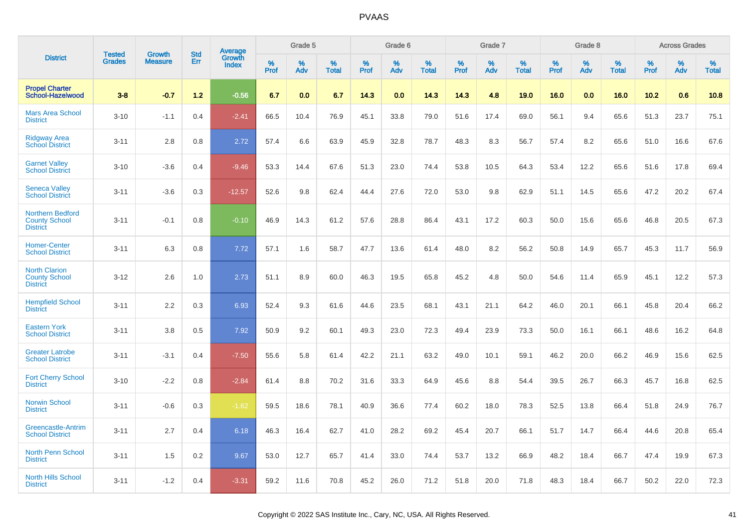|                                                                    | <b>Tested</b> | <b>Growth</b>  | <b>Std</b> | Average                |              | Grade 5  |                   |              | Grade 6  |                   |              | Grade 7  |                   |              | Grade 8  |                   |              | <b>Across Grades</b> |                   |
|--------------------------------------------------------------------|---------------|----------------|------------|------------------------|--------------|----------|-------------------|--------------|----------|-------------------|--------------|----------|-------------------|--------------|----------|-------------------|--------------|----------------------|-------------------|
| <b>District</b>                                                    | <b>Grades</b> | <b>Measure</b> | Err        | Growth<br><b>Index</b> | $\%$<br>Prof | %<br>Adv | %<br><b>Total</b> | $\%$<br>Prof | %<br>Adv | %<br><b>Total</b> | $\%$<br>Prof | %<br>Adv | %<br><b>Total</b> | $\%$<br>Prof | %<br>Adv | %<br><b>Total</b> | $\%$<br>Prof | %<br>Adv             | %<br><b>Total</b> |
| <b>Propel Charter</b><br>School-Hazelwood                          | $3 - 8$       | $-0.7$         | $1.2$      | $-0.56$                | 6.7          | 0.0      | 6.7               | 14.3         | 0.0      | 14.3              | 14.3         | 4.8      | 19.0              | 16.0         | 0.0      | 16.0              | 10.2         | 0.6                  | 10.8              |
| <b>Mars Area School</b><br><b>District</b>                         | $3 - 10$      | $-1.1$         | 0.4        | $-2.41$                | 66.5         | 10.4     | 76.9              | 45.1         | 33.8     | 79.0              | 51.6         | 17.4     | 69.0              | 56.1         | 9.4      | 65.6              | 51.3         | 23.7                 | 75.1              |
| <b>Ridgway Area</b><br><b>School District</b>                      | $3 - 11$      | 2.8            | 0.8        | 2.72                   | 57.4         | 6.6      | 63.9              | 45.9         | 32.8     | 78.7              | 48.3         | 8.3      | 56.7              | 57.4         | 8.2      | 65.6              | 51.0         | 16.6                 | 67.6              |
| <b>Garnet Valley</b><br><b>School District</b>                     | $3 - 10$      | $-3.6$         | 0.4        | $-9.46$                | 53.3         | 14.4     | 67.6              | 51.3         | 23.0     | 74.4              | 53.8         | 10.5     | 64.3              | 53.4         | 12.2     | 65.6              | 51.6         | 17.8                 | 69.4              |
| <b>Seneca Valley</b><br><b>School District</b>                     | $3 - 11$      | $-3.6$         | 0.3        | $-12.57$               | 52.6         | 9.8      | 62.4              | 44.4         | 27.6     | 72.0              | 53.0         | 9.8      | 62.9              | 51.1         | 14.5     | 65.6              | 47.2         | 20.2                 | 67.4              |
| <b>Northern Bedford</b><br><b>County School</b><br><b>District</b> | $3 - 11$      | $-0.1$         | 0.8        | $-0.10$                | 46.9         | 14.3     | 61.2              | 57.6         | 28.8     | 86.4              | 43.1         | 17.2     | 60.3              | 50.0         | 15.6     | 65.6              | 46.8         | 20.5                 | 67.3              |
| <b>Homer-Center</b><br><b>School District</b>                      | $3 - 11$      | 6.3            | 0.8        | 7.72                   | 57.1         | 1.6      | 58.7              | 47.7         | 13.6     | 61.4              | 48.0         | 8.2      | 56.2              | 50.8         | 14.9     | 65.7              | 45.3         | 11.7                 | 56.9              |
| <b>North Clarion</b><br><b>County School</b><br><b>District</b>    | $3 - 12$      | 2.6            | 1.0        | 2.73                   | 51.1         | 8.9      | 60.0              | 46.3         | 19.5     | 65.8              | 45.2         | 4.8      | 50.0              | 54.6         | 11.4     | 65.9              | 45.1         | 12.2                 | 57.3              |
| <b>Hempfield School</b><br><b>District</b>                         | $3 - 11$      | 2.2            | 0.3        | 6.93                   | 52.4         | 9.3      | 61.6              | 44.6         | 23.5     | 68.1              | 43.1         | 21.1     | 64.2              | 46.0         | 20.1     | 66.1              | 45.8         | 20.4                 | 66.2              |
| <b>Eastern York</b><br><b>School District</b>                      | $3 - 11$      | 3.8            | 0.5        | 7.92                   | 50.9         | 9.2      | 60.1              | 49.3         | 23.0     | 72.3              | 49.4         | 23.9     | 73.3              | 50.0         | 16.1     | 66.1              | 48.6         | 16.2                 | 64.8              |
| <b>Greater Latrobe</b><br><b>School District</b>                   | $3 - 11$      | $-3.1$         | 0.4        | $-7.50$                | 55.6         | 5.8      | 61.4              | 42.2         | 21.1     | 63.2              | 49.0         | 10.1     | 59.1              | 46.2         | 20.0     | 66.2              | 46.9         | 15.6                 | 62.5              |
| <b>Fort Cherry School</b><br><b>District</b>                       | $3 - 10$      | $-2.2$         | 0.8        | $-2.84$                | 61.4         | 8.8      | 70.2              | 31.6         | 33.3     | 64.9              | 45.6         | 8.8      | 54.4              | 39.5         | 26.7     | 66.3              | 45.7         | 16.8                 | 62.5              |
| <b>Norwin School</b><br><b>District</b>                            | $3 - 11$      | $-0.6$         | 0.3        | $-1.62$                | 59.5         | 18.6     | 78.1              | 40.9         | 36.6     | 77.4              | 60.2         | 18.0     | 78.3              | 52.5         | 13.8     | 66.4              | 51.8         | 24.9                 | 76.7              |
| <b>Greencastle-Antrim</b><br><b>School District</b>                | $3 - 11$      | 2.7            | 0.4        | 6.18                   | 46.3         | 16.4     | 62.7              | 41.0         | 28.2     | 69.2              | 45.4         | 20.7     | 66.1              | 51.7         | 14.7     | 66.4              | 44.6         | 20.8                 | 65.4              |
| <b>North Penn School</b><br><b>District</b>                        | $3 - 11$      | 1.5            | 0.2        | 9.67                   | 53.0         | 12.7     | 65.7              | 41.4         | 33.0     | 74.4              | 53.7         | 13.2     | 66.9              | 48.2         | 18.4     | 66.7              | 47.4         | 19.9                 | 67.3              |
| <b>North Hills School</b><br><b>District</b>                       | $3 - 11$      | $-1.2$         | 0.4        | $-3.31$                | 59.2         | 11.6     | 70.8              | 45.2         | 26.0     | 71.2              | 51.8         | 20.0     | 71.8              | 48.3         | 18.4     | 66.7              | 50.2         | 22.0                 | 72.3              |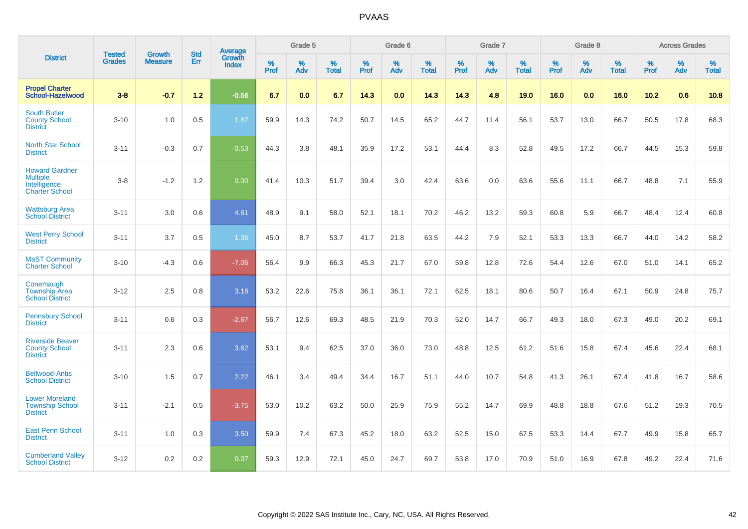|                                                                                   | <b>Tested</b> | <b>Growth</b>  | <b>Std</b> | Average                |                     | Grade 5  |                   |                  | Grade 6  |                   |              | Grade 7  |                   |           | Grade 8  |                   |           | <b>Across Grades</b> |                   |
|-----------------------------------------------------------------------------------|---------------|----------------|------------|------------------------|---------------------|----------|-------------------|------------------|----------|-------------------|--------------|----------|-------------------|-----------|----------|-------------------|-----------|----------------------|-------------------|
| <b>District</b>                                                                   | <b>Grades</b> | <b>Measure</b> | Err        | Growth<br><b>Index</b> | $\%$<br><b>Prof</b> | %<br>Adv | %<br><b>Total</b> | %<br><b>Prof</b> | %<br>Adv | %<br><b>Total</b> | $\%$<br>Prof | %<br>Adv | %<br><b>Total</b> | %<br>Prof | %<br>Adv | %<br><b>Total</b> | %<br>Prof | %<br>Adv             | %<br><b>Total</b> |
| <b>Propel Charter</b><br>School-Hazelwood                                         | $3 - 8$       | $-0.7$         | $1.2$      | $-0.56$                | 6.7                 | 0.0      | 6.7               | 14.3             | 0.0      | 14.3              | 14.3         | 4.8      | 19.0              | 16.0      | 0.0      | 16.0              | 10.2      | 0.6                  | 10.8              |
| <b>South Butler</b><br><b>County School</b><br><b>District</b>                    | $3 - 10$      | 1.0            | 0.5        | 1.87                   | 59.9                | 14.3     | 74.2              | 50.7             | 14.5     | 65.2              | 44.7         | 11.4     | 56.1              | 53.7      | 13.0     | 66.7              | 50.5      | 17.8                 | 68.3              |
| <b>North Star School</b><br><b>District</b>                                       | $3 - 11$      | $-0.3$         | 0.7        | $-0.53$                | 44.3                | 3.8      | 48.1              | 35.9             | 17.2     | 53.1              | 44.4         | 8.3      | 52.8              | 49.5      | 17.2     | 66.7              | 44.5      | 15.3                 | 59.8              |
| <b>Howard Gardner</b><br><b>Multiple</b><br>Intelligence<br><b>Charter School</b> | $3 - 8$       | $-1.2$         | 1.2        | 0.00                   | 41.4                | 10.3     | 51.7              | 39.4             | 3.0      | 42.4              | 63.6         | 0.0      | 63.6              | 55.6      | 11.1     | 66.7              | 48.8      | 7.1                  | 55.9              |
| <b>Wattsburg Area</b><br><b>School District</b>                                   | $3 - 11$      | 3.0            | 0.6        | 4.61                   | 48.9                | 9.1      | 58.0              | 52.1             | 18.1     | 70.2              | 46.2         | 13.2     | 59.3              | 60.8      | 5.9      | 66.7              | 48.4      | 12.4                 | 60.8              |
| <b>West Perry School</b><br><b>District</b>                                       | $3 - 11$      | 3.7            | 0.5        | 1.36                   | 45.0                | 8.7      | 53.7              | 41.7             | 21.8     | 63.5              | 44.2         | 7.9      | 52.1              | 53.3      | 13.3     | 66.7              | 44.0      | 14.2                 | 58.2              |
| <b>MaST Community</b><br><b>Charter School</b>                                    | $3 - 10$      | $-4.3$         | 0.6        | $-7.06$                | 56.4                | 9.9      | 66.3              | 45.3             | 21.7     | 67.0              | 59.8         | 12.8     | 72.6              | 54.4      | 12.6     | 67.0              | 51.0      | 14.1                 | 65.2              |
| Conemaugh<br><b>Township Area</b><br><b>School District</b>                       | $3 - 12$      | 2.5            | 0.8        | 3.18                   | 53.2                | 22.6     | 75.8              | 36.1             | 36.1     | 72.1              | 62.5         | 18.1     | 80.6              | 50.7      | 16.4     | 67.1              | 50.9      | 24.8                 | 75.7              |
| <b>Pennsbury School</b><br><b>District</b>                                        | $3 - 11$      | 0.6            | 0.3        | $-2.67$                | 56.7                | 12.6     | 69.3              | 48.5             | 21.9     | 70.3              | 52.0         | 14.7     | 66.7              | 49.3      | 18.0     | 67.3              | 49.0      | 20.2                 | 69.1              |
| <b>Riverside Beaver</b><br><b>County School</b><br><b>District</b>                | $3 - 11$      | 2.3            | 0.6        | 3.62                   | 53.1                | 9.4      | 62.5              | 37.0             | 36.0     | 73.0              | 48.8         | 12.5     | 61.2              | 51.6      | 15.8     | 67.4              | 45.6      | 22.4                 | 68.1              |
| <b>Bellwood-Antis</b><br><b>School District</b>                                   | $3 - 10$      | 1.5            | 0.7        | 2.22                   | 46.1                | 3.4      | 49.4              | 34.4             | 16.7     | 51.1              | 44.0         | 10.7     | 54.8              | 41.3      | 26.1     | 67.4              | 41.8      | 16.7                 | 58.6              |
| <b>Lower Moreland</b><br><b>Township School</b><br><b>District</b>                | $3 - 11$      | $-2.1$         | 0.5        | $-3.75$                | 53.0                | 10.2     | 63.2              | 50.0             | 25.9     | 75.9              | 55.2         | 14.7     | 69.9              | 48.8      | 18.8     | 67.6              | 51.2      | 19.3                 | 70.5              |
| <b>East Penn School</b><br><b>District</b>                                        | $3 - 11$      | 1.0            | 0.3        | 3.50                   | 59.9                | 7.4      | 67.3              | 45.2             | 18.0     | 63.2              | 52.5         | 15.0     | 67.5              | 53.3      | 14.4     | 67.7              | 49.9      | 15.8                 | 65.7              |
| <b>Cumberland Valley</b><br><b>School District</b>                                | $3 - 12$      | 0.2            | 0.2        | 0.07                   | 59.3                | 12.9     | 72.1              | 45.0             | 24.7     | 69.7              | 53.8         | 17.0     | 70.9              | 51.0      | 16.9     | 67.8              | 49.2      | 22.4                 | 71.6              |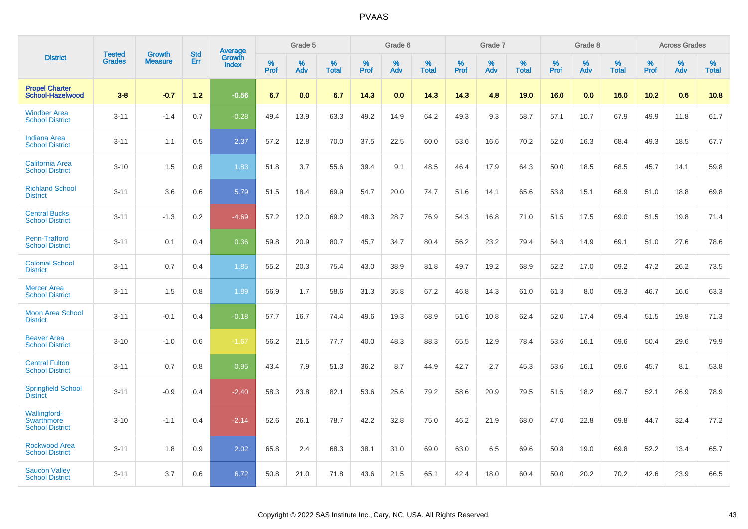|                                                             |                                |                                 | <b>Std</b> | Average         |              | Grade 5  |                      |              | Grade 6     |                      |              | Grade 7  |                      |              | Grade 8  |                      |              | <b>Across Grades</b> |                      |
|-------------------------------------------------------------|--------------------------------|---------------------------------|------------|-----------------|--------------|----------|----------------------|--------------|-------------|----------------------|--------------|----------|----------------------|--------------|----------|----------------------|--------------|----------------------|----------------------|
| <b>District</b>                                             | <b>Tested</b><br><b>Grades</b> | <b>Growth</b><br><b>Measure</b> | Err        | Growth<br>Index | $\%$<br>Prof | %<br>Adv | $\%$<br><b>Total</b> | $\%$<br>Prof | $\%$<br>Adv | $\%$<br><b>Total</b> | $\%$<br>Prof | %<br>Adv | $\%$<br><b>Total</b> | $\%$<br>Prof | %<br>Adv | $\%$<br><b>Total</b> | $\%$<br>Prof | $\%$<br>Adv          | $\%$<br><b>Total</b> |
| <b>Propel Charter</b><br>School-Hazelwood                   | $3 - 8$                        | $-0.7$                          | 1.2        | $-0.56$         | 6.7          | 0.0      | 6.7                  | 14.3         | 0.0         | 14.3                 | 14.3         | 4.8      | 19.0                 | 16.0         | 0.0      | 16.0                 | 10.2         | 0.6                  | 10.8                 |
| <b>Windber Area</b><br><b>School District</b>               | $3 - 11$                       | $-1.4$                          | 0.7        | $-0.28$         | 49.4         | 13.9     | 63.3                 | 49.2         | 14.9        | 64.2                 | 49.3         | 9.3      | 58.7                 | 57.1         | 10.7     | 67.9                 | 49.9         | 11.8                 | 61.7                 |
| <b>Indiana Area</b><br><b>School District</b>               | $3 - 11$                       | 1.1                             | 0.5        | 2.37            | 57.2         | 12.8     | 70.0                 | 37.5         | 22.5        | 60.0                 | 53.6         | 16.6     | 70.2                 | 52.0         | 16.3     | 68.4                 | 49.3         | 18.5                 | 67.7                 |
| <b>California Area</b><br><b>School District</b>            | $3 - 10$                       | 1.5                             | 0.8        | 1.83            | 51.8         | 3.7      | 55.6                 | 39.4         | 9.1         | 48.5                 | 46.4         | 17.9     | 64.3                 | 50.0         | 18.5     | 68.5                 | 45.7         | 14.1                 | 59.8                 |
| <b>Richland School</b><br><b>District</b>                   | $3 - 11$                       | 3.6                             | 0.6        | 5.79            | 51.5         | 18.4     | 69.9                 | 54.7         | 20.0        | 74.7                 | 51.6         | 14.1     | 65.6                 | 53.8         | 15.1     | 68.9                 | 51.0         | 18.8                 | 69.8                 |
| <b>Central Bucks</b><br><b>School District</b>              | $3 - 11$                       | $-1.3$                          | 0.2        | $-4.69$         | 57.2         | 12.0     | 69.2                 | 48.3         | 28.7        | 76.9                 | 54.3         | 16.8     | 71.0                 | 51.5         | 17.5     | 69.0                 | 51.5         | 19.8                 | 71.4                 |
| Penn-Trafford<br><b>School District</b>                     | $3 - 11$                       | 0.1                             | 0.4        | 0.36            | 59.8         | 20.9     | 80.7                 | 45.7         | 34.7        | 80.4                 | 56.2         | 23.2     | 79.4                 | 54.3         | 14.9     | 69.1                 | 51.0         | 27.6                 | 78.6                 |
| <b>Colonial School</b><br><b>District</b>                   | $3 - 11$                       | 0.7                             | 0.4        | 1.85            | 55.2         | 20.3     | 75.4                 | 43.0         | 38.9        | 81.8                 | 49.7         | 19.2     | 68.9                 | 52.2         | 17.0     | 69.2                 | 47.2         | 26.2                 | 73.5                 |
| <b>Mercer Area</b><br><b>School District</b>                | $3 - 11$                       | 1.5                             | 0.8        | 1.89            | 56.9         | 1.7      | 58.6                 | 31.3         | 35.8        | 67.2                 | 46.8         | 14.3     | 61.0                 | 61.3         | 8.0      | 69.3                 | 46.7         | 16.6                 | 63.3                 |
| <b>Moon Area School</b><br><b>District</b>                  | $3 - 11$                       | $-0.1$                          | 0.4        | $-0.18$         | 57.7         | 16.7     | 74.4                 | 49.6         | 19.3        | 68.9                 | 51.6         | 10.8     | 62.4                 | 52.0         | 17.4     | 69.4                 | 51.5         | 19.8                 | 71.3                 |
| <b>Beaver Area</b><br><b>School District</b>                | $3 - 10$                       | $-1.0$                          | 0.6        | $-1.67$         | 56.2         | 21.5     | 77.7                 | 40.0         | 48.3        | 88.3                 | 65.5         | 12.9     | 78.4                 | 53.6         | 16.1     | 69.6                 | 50.4         | 29.6                 | 79.9                 |
| <b>Central Fulton</b><br><b>School District</b>             | $3 - 11$                       | 0.7                             | 0.8        | 0.95            | 43.4         | 7.9      | 51.3                 | 36.2         | 8.7         | 44.9                 | 42.7         | 2.7      | 45.3                 | 53.6         | 16.1     | 69.6                 | 45.7         | 8.1                  | 53.8                 |
| <b>Springfield School</b><br><b>District</b>                | $3 - 11$                       | $-0.9$                          | 0.4        | $-2.40$         | 58.3         | 23.8     | 82.1                 | 53.6         | 25.6        | 79.2                 | 58.6         | 20.9     | 79.5                 | 51.5         | 18.2     | 69.7                 | 52.1         | 26.9                 | 78.9                 |
| <b>Wallingford-</b><br>Swarthmore<br><b>School District</b> | $3 - 10$                       | $-1.1$                          | 0.4        | $-2.14$         | 52.6         | 26.1     | 78.7                 | 42.2         | 32.8        | 75.0                 | 46.2         | 21.9     | 68.0                 | 47.0         | 22.8     | 69.8                 | 44.7         | 32.4                 | 77.2                 |
| <b>Rockwood Area</b><br><b>School District</b>              | $3 - 11$                       | 1.8                             | 0.9        | 2.02            | 65.8         | 2.4      | 68.3                 | 38.1         | 31.0        | 69.0                 | 63.0         | 6.5      | 69.6                 | 50.8         | 19.0     | 69.8                 | 52.2         | 13.4                 | 65.7                 |
| <b>Saucon Valley</b><br><b>School District</b>              | $3 - 11$                       | 3.7                             | 0.6        | 6.72            | 50.8         | 21.0     | 71.8                 | 43.6         | 21.5        | 65.1                 | 42.4         | 18.0     | 60.4                 | 50.0         | 20.2     | 70.2                 | 42.6         | 23.9                 | 66.5                 |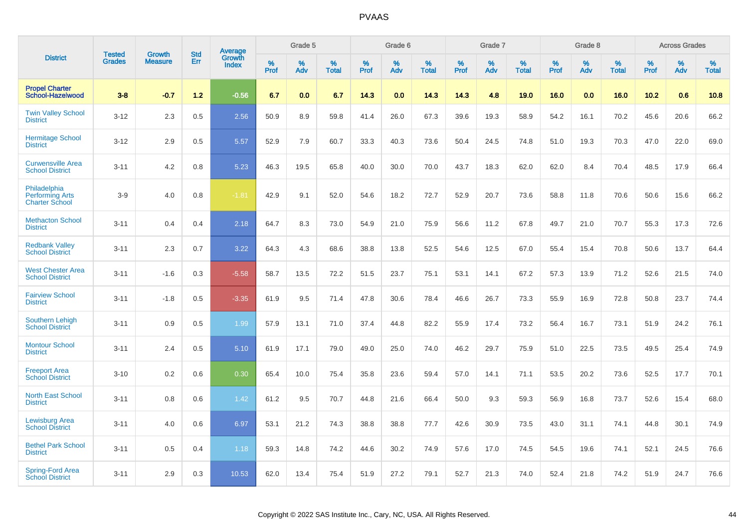|                                                                 |                         | <b>Growth</b>  | <b>Std</b> | Average         |              | Grade 5     |                      |              | Grade 6     |                      |              | Grade 7     |                      |              | Grade 8     |                      |                     | <b>Across Grades</b> |                      |
|-----------------------------------------------------------------|-------------------------|----------------|------------|-----------------|--------------|-------------|----------------------|--------------|-------------|----------------------|--------------|-------------|----------------------|--------------|-------------|----------------------|---------------------|----------------------|----------------------|
| <b>District</b>                                                 | Tested<br><b>Grades</b> | <b>Measure</b> | Err        | Growth<br>Index | $\%$<br>Prof | $\%$<br>Adv | $\%$<br><b>Total</b> | $\%$<br>Prof | $\%$<br>Adv | $\%$<br><b>Total</b> | $\%$<br>Prof | $\%$<br>Adv | $\%$<br><b>Total</b> | $\%$<br>Prof | $\%$<br>Adv | $\%$<br><b>Total</b> | $\%$<br><b>Prof</b> | $\%$<br>Adv          | $\%$<br><b>Total</b> |
| <b>Propel Charter</b><br>School-Hazelwood                       | $3 - 8$                 | $-0.7$         | 1.2        | $-0.56$         | 6.7          | 0.0         | 6.7                  | 14.3         | 0.0         | 14.3                 | 14.3         | 4.8         | 19.0                 | 16.0         | 0.0         | 16.0                 | 10.2                | 0.6                  | 10.8                 |
| <b>Twin Valley School</b><br><b>District</b>                    | $3 - 12$                | 2.3            | 0.5        | 2.56            | 50.9         | 8.9         | 59.8                 | 41.4         | 26.0        | 67.3                 | 39.6         | 19.3        | 58.9                 | 54.2         | 16.1        | 70.2                 | 45.6                | 20.6                 | 66.2                 |
| <b>Hermitage School</b><br><b>District</b>                      | $3 - 12$                | 2.9            | 0.5        | 5.57            | 52.9         | 7.9         | 60.7                 | 33.3         | 40.3        | 73.6                 | 50.4         | 24.5        | 74.8                 | 51.0         | 19.3        | 70.3                 | 47.0                | 22.0                 | 69.0                 |
| <b>Curwensville Area</b><br><b>School District</b>              | $3 - 11$                | 4.2            | 0.8        | 5.23            | 46.3         | 19.5        | 65.8                 | 40.0         | 30.0        | 70.0                 | 43.7         | 18.3        | 62.0                 | 62.0         | 8.4         | 70.4                 | 48.5                | 17.9                 | 66.4                 |
| Philadelphia<br><b>Performing Arts</b><br><b>Charter School</b> | $3-9$                   | 4.0            | 0.8        | $-1.81$         | 42.9         | 9.1         | 52.0                 | 54.6         | 18.2        | 72.7                 | 52.9         | 20.7        | 73.6                 | 58.8         | 11.8        | 70.6                 | 50.6                | 15.6                 | 66.2                 |
| <b>Methacton School</b><br><b>District</b>                      | $3 - 11$                | 0.4            | 0.4        | 2.18            | 64.7         | 8.3         | 73.0                 | 54.9         | 21.0        | 75.9                 | 56.6         | 11.2        | 67.8                 | 49.7         | 21.0        | 70.7                 | 55.3                | 17.3                 | 72.6                 |
| <b>Redbank Valley</b><br><b>School District</b>                 | $3 - 11$                | 2.3            | 0.7        | 3.22            | 64.3         | 4.3         | 68.6                 | 38.8         | 13.8        | 52.5                 | 54.6         | 12.5        | 67.0                 | 55.4         | 15.4        | 70.8                 | 50.6                | 13.7                 | 64.4                 |
| <b>West Chester Area</b><br><b>School District</b>              | $3 - 11$                | $-1.6$         | 0.3        | $-5.58$         | 58.7         | 13.5        | 72.2                 | 51.5         | 23.7        | 75.1                 | 53.1         | 14.1        | 67.2                 | 57.3         | 13.9        | 71.2                 | 52.6                | 21.5                 | 74.0                 |
| <b>Fairview School</b><br><b>District</b>                       | $3 - 11$                | $-1.8$         | 0.5        | $-3.35$         | 61.9         | 9.5         | 71.4                 | 47.8         | 30.6        | 78.4                 | 46.6         | 26.7        | 73.3                 | 55.9         | 16.9        | 72.8                 | 50.8                | 23.7                 | 74.4                 |
| <b>Southern Lehigh</b><br><b>School District</b>                | $3 - 11$                | 0.9            | 0.5        | 1.99            | 57.9         | 13.1        | 71.0                 | 37.4         | 44.8        | 82.2                 | 55.9         | 17.4        | 73.2                 | 56.4         | 16.7        | 73.1                 | 51.9                | 24.2                 | 76.1                 |
| <b>Montour School</b><br><b>District</b>                        | $3 - 11$                | 2.4            | 0.5        | 5.10            | 61.9         | 17.1        | 79.0                 | 49.0         | 25.0        | 74.0                 | 46.2         | 29.7        | 75.9                 | 51.0         | 22.5        | 73.5                 | 49.5                | 25.4                 | 74.9                 |
| <b>Freeport Area</b><br><b>School District</b>                  | $3 - 10$                | 0.2            | 0.6        | 0.30            | 65.4         | 10.0        | 75.4                 | 35.8         | 23.6        | 59.4                 | 57.0         | 14.1        | 71.1                 | 53.5         | 20.2        | 73.6                 | 52.5                | 17.7                 | 70.1                 |
| <b>North East School</b><br><b>District</b>                     | $3 - 11$                | 0.8            | 0.6        | 1.42            | 61.2         | 9.5         | 70.7                 | 44.8         | 21.6        | 66.4                 | 50.0         | 9.3         | 59.3                 | 56.9         | 16.8        | 73.7                 | 52.6                | 15.4                 | 68.0                 |
| Lewisburg Area<br><b>School District</b>                        | $3 - 11$                | 4.0            | 0.6        | 6.97            | 53.1         | 21.2        | 74.3                 | 38.8         | 38.8        | 77.7                 | 42.6         | 30.9        | 73.5                 | 43.0         | 31.1        | 74.1                 | 44.8                | 30.1                 | 74.9                 |
| <b>Bethel Park School</b><br><b>District</b>                    | $3 - 11$                | 0.5            | 0.4        | 1.18            | 59.3         | 14.8        | 74.2                 | 44.6         | 30.2        | 74.9                 | 57.6         | 17.0        | 74.5                 | 54.5         | 19.6        | 74.1                 | 52.1                | 24.5                 | 76.6                 |
| <b>Spring-Ford Area</b><br><b>School District</b>               | $3 - 11$                | 2.9            | 0.3        | 10.53           | 62.0         | 13.4        | 75.4                 | 51.9         | 27.2        | 79.1                 | 52.7         | 21.3        | 74.0                 | 52.4         | 21.8        | 74.2                 | 51.9                | 24.7                 | 76.6                 |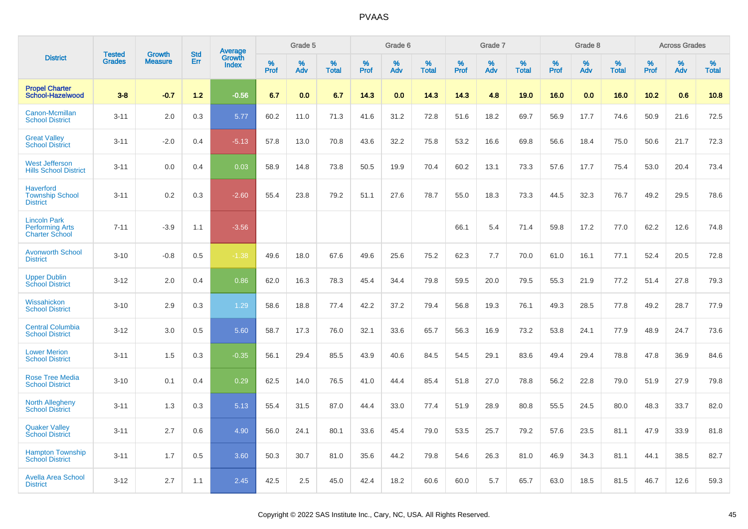|                                                                        | <b>Tested</b> | <b>Growth</b>  | <b>Std</b> | Average                |              | Grade 5  |                   |              | Grade 6  |                   |           | Grade 7  |                   |           | Grade 8  |                   |              | <b>Across Grades</b> |                   |
|------------------------------------------------------------------------|---------------|----------------|------------|------------------------|--------------|----------|-------------------|--------------|----------|-------------------|-----------|----------|-------------------|-----------|----------|-------------------|--------------|----------------------|-------------------|
| <b>District</b>                                                        | <b>Grades</b> | <b>Measure</b> | Err        | Growth<br><b>Index</b> | $\%$<br>Prof | %<br>Adv | %<br><b>Total</b> | $\%$<br>Prof | %<br>Adv | %<br><b>Total</b> | %<br>Prof | %<br>Adv | %<br><b>Total</b> | %<br>Prof | %<br>Adv | %<br><b>Total</b> | $\%$<br>Prof | %<br>Adv             | %<br><b>Total</b> |
| <b>Propel Charter</b><br>School-Hazelwood                              | $3 - 8$       | $-0.7$         | $1.2$      | $-0.56$                | 6.7          | 0.0      | 6.7               | 14.3         | 0.0      | 14.3              | 14.3      | 4.8      | 19.0              | 16.0      | 0.0      | 16.0              | 10.2         | 0.6                  | 10.8              |
| Canon-Mcmillan<br><b>School District</b>                               | $3 - 11$      | 2.0            | 0.3        | 5.77                   | 60.2         | 11.0     | 71.3              | 41.6         | 31.2     | 72.8              | 51.6      | 18.2     | 69.7              | 56.9      | 17.7     | 74.6              | 50.9         | 21.6                 | 72.5              |
| <b>Great Valley</b><br><b>School District</b>                          | $3 - 11$      | $-2.0$         | 0.4        | $-5.13$                | 57.8         | 13.0     | 70.8              | 43.6         | 32.2     | 75.8              | 53.2      | 16.6     | 69.8              | 56.6      | 18.4     | 75.0              | 50.6         | 21.7                 | 72.3              |
| <b>West Jefferson</b><br><b>Hills School District</b>                  | $3 - 11$      | 0.0            | 0.4        | 0.03                   | 58.9         | 14.8     | 73.8              | 50.5         | 19.9     | 70.4              | 60.2      | 13.1     | 73.3              | 57.6      | 17.7     | 75.4              | 53.0         | 20.4                 | 73.4              |
| <b>Haverford</b><br><b>Township School</b><br><b>District</b>          | $3 - 11$      | 0.2            | 0.3        | $-2.60$                | 55.4         | 23.8     | 79.2              | 51.1         | 27.6     | 78.7              | 55.0      | 18.3     | 73.3              | 44.5      | 32.3     | 76.7              | 49.2         | 29.5                 | 78.6              |
| <b>Lincoln Park</b><br><b>Performing Arts</b><br><b>Charter School</b> | $7 - 11$      | $-3.9$         | 1.1        | $-3.56$                |              |          |                   |              |          |                   | 66.1      | 5.4      | 71.4              | 59.8      | 17.2     | 77.0              | 62.2         | 12.6                 | 74.8              |
| <b>Avonworth School</b><br><b>District</b>                             | $3 - 10$      | $-0.8$         | 0.5        | $-1.38$                | 49.6         | 18.0     | 67.6              | 49.6         | 25.6     | 75.2              | 62.3      | 7.7      | 70.0              | 61.0      | 16.1     | 77.1              | 52.4         | 20.5                 | 72.8              |
| <b>Upper Dublin</b><br><b>School District</b>                          | $3 - 12$      | 2.0            | 0.4        | 0.86                   | 62.0         | 16.3     | 78.3              | 45.4         | 34.4     | 79.8              | 59.5      | 20.0     | 79.5              | 55.3      | 21.9     | 77.2              | 51.4         | 27.8                 | 79.3              |
| Wissahickon<br><b>School District</b>                                  | $3 - 10$      | 2.9            | 0.3        | 1.29                   | 58.6         | 18.8     | 77.4              | 42.2         | 37.2     | 79.4              | 56.8      | 19.3     | 76.1              | 49.3      | 28.5     | 77.8              | 49.2         | 28.7                 | 77.9              |
| <b>Central Columbia</b><br><b>School District</b>                      | $3 - 12$      | 3.0            | 0.5        | 5.60                   | 58.7         | 17.3     | 76.0              | 32.1         | 33.6     | 65.7              | 56.3      | 16.9     | 73.2              | 53.8      | 24.1     | 77.9              | 48.9         | 24.7                 | 73.6              |
| <b>Lower Merion</b><br><b>School District</b>                          | $3 - 11$      | 1.5            | 0.3        | $-0.35$                | 56.1         | 29.4     | 85.5              | 43.9         | 40.6     | 84.5              | 54.5      | 29.1     | 83.6              | 49.4      | 29.4     | 78.8              | 47.8         | 36.9                 | 84.6              |
| <b>Rose Tree Media</b><br><b>School District</b>                       | $3 - 10$      | 0.1            | 0.4        | 0.29                   | 62.5         | 14.0     | 76.5              | 41.0         | 44.4     | 85.4              | 51.8      | 27.0     | 78.8              | 56.2      | 22.8     | 79.0              | 51.9         | 27.9                 | 79.8              |
| <b>North Allegheny</b><br><b>School District</b>                       | $3 - 11$      | 1.3            | 0.3        | 5.13                   | 55.4         | 31.5     | 87.0              | 44.4         | 33.0     | 77.4              | 51.9      | 28.9     | 80.8              | 55.5      | 24.5     | 80.0              | 48.3         | 33.7                 | 82.0              |
| <b>Quaker Valley</b><br><b>School District</b>                         | $3 - 11$      | 2.7            | 0.6        | 4.90                   | 56.0         | 24.1     | 80.1              | 33.6         | 45.4     | 79.0              | 53.5      | 25.7     | 79.2              | 57.6      | 23.5     | 81.1              | 47.9         | 33.9                 | 81.8              |
| <b>Hampton Township</b><br><b>School District</b>                      | $3 - 11$      | 1.7            | 0.5        | 3.60                   | 50.3         | 30.7     | 81.0              | 35.6         | 44.2     | 79.8              | 54.6      | 26.3     | 81.0              | 46.9      | 34.3     | 81.1              | 44.1         | 38.5                 | 82.7              |
| <b>Avella Area School</b><br><b>District</b>                           | $3 - 12$      | 2.7            | 1.1        | 2.45                   | 42.5         | 2.5      | 45.0              | 42.4         | 18.2     | 60.6              | 60.0      | 5.7      | 65.7              | 63.0      | 18.5     | 81.5              | 46.7         | 12.6                 | 59.3              |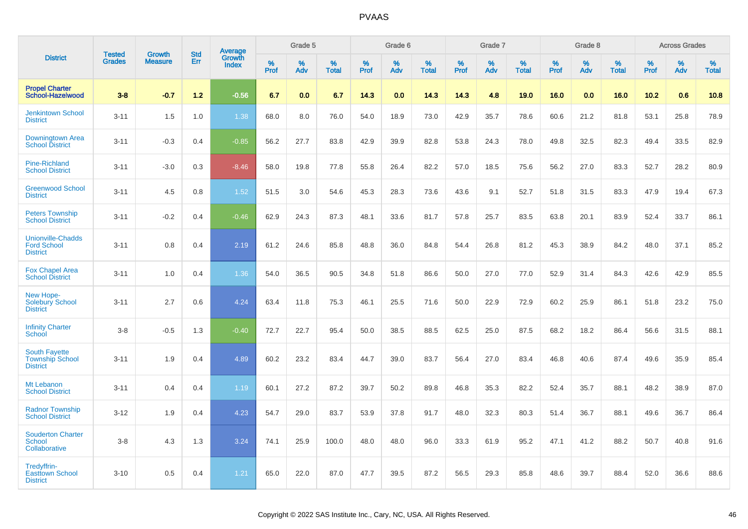|                                                                   | <b>Tested</b> | <b>Growth</b>  | <b>Std</b> | Average         |           | Grade 5  |                   |           | Grade 6  |                   |           | Grade 7  |                   |           | Grade 8  |                   |                  | <b>Across Grades</b> |                   |
|-------------------------------------------------------------------|---------------|----------------|------------|-----------------|-----------|----------|-------------------|-----------|----------|-------------------|-----------|----------|-------------------|-----------|----------|-------------------|------------------|----------------------|-------------------|
| <b>District</b>                                                   | <b>Grades</b> | <b>Measure</b> | Err        | Growth<br>Index | %<br>Prof | %<br>Adv | %<br><b>Total</b> | %<br>Prof | %<br>Adv | %<br><b>Total</b> | %<br>Prof | %<br>Adv | %<br><b>Total</b> | %<br>Prof | %<br>Adv | %<br><b>Total</b> | %<br><b>Prof</b> | %<br>Adv             | %<br><b>Total</b> |
| <b>Propel Charter</b><br>School-Hazelwood                         | $3 - 8$       | $-0.7$         | $1.2$      | $-0.56$         | 6.7       | 0.0      | 6.7               | 14.3      | 0.0      | 14.3              | 14.3      | 4.8      | 19.0              | 16.0      | 0.0      | 16.0              | 10.2             | 0.6                  | 10.8              |
| <b>Jenkintown School</b><br><b>District</b>                       | $3 - 11$      | 1.5            | 1.0        | 1.38            | 68.0      | 8.0      | 76.0              | 54.0      | 18.9     | 73.0              | 42.9      | 35.7     | 78.6              | 60.6      | 21.2     | 81.8              | 53.1             | 25.8                 | 78.9              |
| <b>Downingtown Area</b><br><b>School District</b>                 | $3 - 11$      | $-0.3$         | 0.4        | $-0.85$         | 56.2      | 27.7     | 83.8              | 42.9      | 39.9     | 82.8              | 53.8      | 24.3     | 78.0              | 49.8      | 32.5     | 82.3              | 49.4             | 33.5                 | 82.9              |
| <b>Pine-Richland</b><br><b>School District</b>                    | $3 - 11$      | $-3.0$         | 0.3        | $-8.46$         | 58.0      | 19.8     | 77.8              | 55.8      | 26.4     | 82.2              | 57.0      | 18.5     | 75.6              | 56.2      | 27.0     | 83.3              | 52.7             | 28.2                 | 80.9              |
| <b>Greenwood School</b><br><b>District</b>                        | $3 - 11$      | 4.5            | 0.8        | 1.52            | 51.5      | 3.0      | 54.6              | 45.3      | 28.3     | 73.6              | 43.6      | 9.1      | 52.7              | 51.8      | 31.5     | 83.3              | 47.9             | 19.4                 | 67.3              |
| <b>Peters Township</b><br><b>School District</b>                  | $3 - 11$      | $-0.2$         | 0.4        | $-0.46$         | 62.9      | 24.3     | 87.3              | 48.1      | 33.6     | 81.7              | 57.8      | 25.7     | 83.5              | 63.8      | 20.1     | 83.9              | 52.4             | 33.7                 | 86.1              |
| <b>Unionville-Chadds</b><br><b>Ford School</b><br><b>District</b> | $3 - 11$      | 0.8            | 0.4        | 2.19            | 61.2      | 24.6     | 85.8              | 48.8      | 36.0     | 84.8              | 54.4      | 26.8     | 81.2              | 45.3      | 38.9     | 84.2              | 48.0             | 37.1                 | 85.2              |
| <b>Fox Chapel Area</b><br><b>School District</b>                  | $3 - 11$      | 1.0            | 0.4        | 1.36            | 54.0      | 36.5     | 90.5              | 34.8      | 51.8     | 86.6              | 50.0      | 27.0     | 77.0              | 52.9      | 31.4     | 84.3              | 42.6             | 42.9                 | 85.5              |
| New Hope-<br><b>Solebury School</b><br><b>District</b>            | $3 - 11$      | 2.7            | 0.6        | 4.24            | 63.4      | 11.8     | 75.3              | 46.1      | 25.5     | 71.6              | 50.0      | 22.9     | 72.9              | 60.2      | 25.9     | 86.1              | 51.8             | 23.2                 | 75.0              |
| <b>Infinity Charter</b><br>School                                 | $3 - 8$       | $-0.5$         | 1.3        | $-0.40$         | 72.7      | 22.7     | 95.4              | 50.0      | 38.5     | 88.5              | 62.5      | 25.0     | 87.5              | 68.2      | 18.2     | 86.4              | 56.6             | 31.5                 | 88.1              |
| <b>South Fayette</b><br><b>Township School</b><br><b>District</b> | $3 - 11$      | 1.9            | 0.4        | 4.89            | 60.2      | 23.2     | 83.4              | 44.7      | 39.0     | 83.7              | 56.4      | 27.0     | 83.4              | 46.8      | 40.6     | 87.4              | 49.6             | 35.9                 | 85.4              |
| Mt Lebanon<br><b>School District</b>                              | $3 - 11$      | 0.4            | 0.4        | 1.19            | 60.1      | 27.2     | 87.2              | 39.7      | 50.2     | 89.8              | 46.8      | 35.3     | 82.2              | 52.4      | 35.7     | 88.1              | 48.2             | 38.9                 | 87.0              |
| <b>Radnor Township</b><br><b>School District</b>                  | $3 - 12$      | 1.9            | 0.4        | 4.23            | 54.7      | 29.0     | 83.7              | 53.9      | 37.8     | 91.7              | 48.0      | 32.3     | 80.3              | 51.4      | 36.7     | 88.1              | 49.6             | 36.7                 | 86.4              |
| <b>Souderton Charter</b><br><b>School</b><br>Collaborative        | $3-8$         | 4.3            | 1.3        | 3.24            | 74.1      | 25.9     | 100.0             | 48.0      | 48.0     | 96.0              | 33.3      | 61.9     | 95.2              | 47.1      | 41.2     | 88.2              | 50.7             | 40.8                 | 91.6              |
| Tredyffrin-<br><b>Easttown School</b><br><b>District</b>          | $3 - 10$      | 0.5            | 0.4        | 1.21            | 65.0      | 22.0     | 87.0              | 47.7      | 39.5     | 87.2              | 56.5      | 29.3     | 85.8              | 48.6      | 39.7     | 88.4              | 52.0             | 36.6                 | 88.6              |